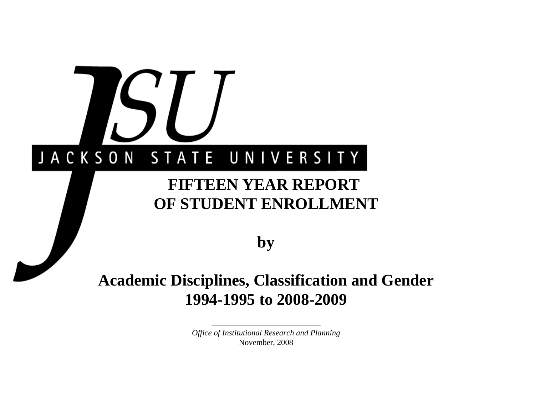# JACKSON STATE UNIVERSITY

# **FIFTEEN YEAR REPORT OF STUDENT ENROLLMENT**

**by**

# **Academic Disciplines, Classification and Gender 1994-1995 to 2008-2009**

*Office of Institutional Research and Planning* November, 2008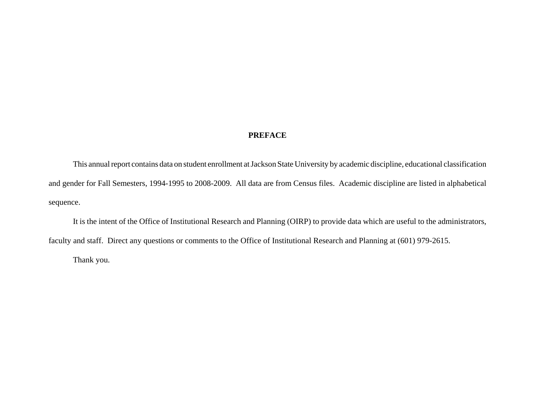#### **PREFACE**

This annual report contains data on student enrollment at Jackson State University by academic discipline, educational classification and gender for Fall Semesters, 1994-1995 to 2008-2009. All data are from Census files. Academic discipline are listed in alphabetical sequence.

It is the intent of the Office of Institutional Research and Planning (OIRP) to provide data which are useful to the administrators, faculty and staff. Direct any questions or comments to the Office of Institutional Research and Planning at (601) 979-2615.

Thank you.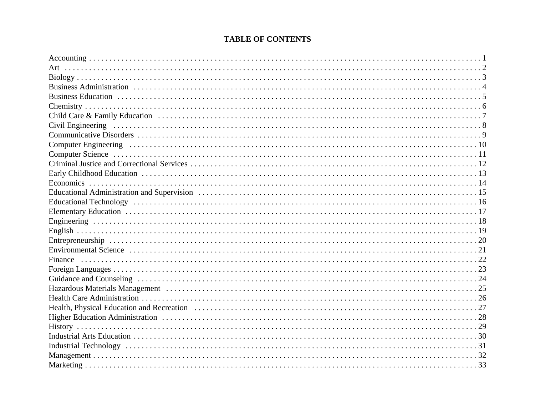# **TABLE OF CONTENTS**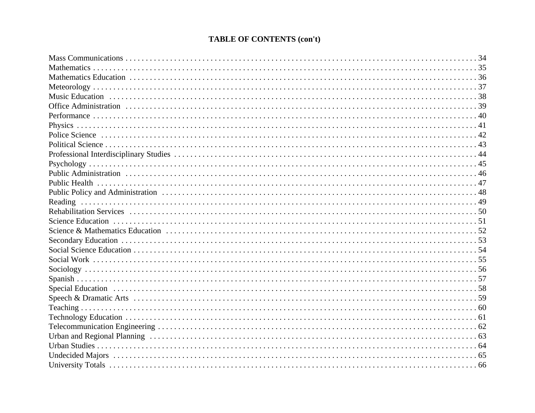# **TABLE OF CONTENTS (con't)**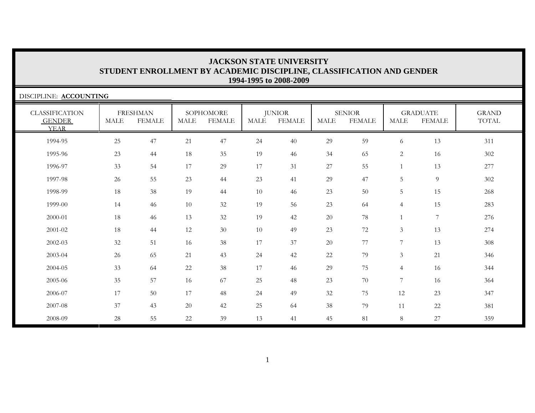| DISCIPLINE: ACCOUNTING                                |             |                                  |             |                            |        |                                |        |                                |                |                                  |                       |
|-------------------------------------------------------|-------------|----------------------------------|-------------|----------------------------|--------|--------------------------------|--------|--------------------------------|----------------|----------------------------------|-----------------------|
| <b>CLASSIFICATION</b><br><b>GENDER</b><br><b>YEAR</b> | <b>MALE</b> | <b>FRESHMAN</b><br><b>FEMALE</b> | <b>MALE</b> | SOPHOMORE<br><b>FEMALE</b> | MALE   | <b>JUNIOR</b><br><b>FEMALE</b> | MALE   | <b>SENIOR</b><br><b>FEMALE</b> | MALE           | <b>GRADUATE</b><br><b>FEMALE</b> | <b>GRAND</b><br>TOTAL |
| 1994-95                                               | 25          | 47                               | 21          | 47                         | 24     | 40                             | 29     | 59                             | 6              | 13                               | 311                   |
| 1995-96                                               | 23          | 44                               | 18          | 35                         | 19     | 46                             | 34     | 65                             | $\overline{2}$ | 16                               | 302                   |
| 1996-97                                               | 33          | 54                               | 17          | 29                         | $17\,$ | 31                             | $27\,$ | 55                             |                | 13                               | 277                   |
| 1997-98                                               | 26          | 55                               | 23          | 44                         | 23     | 41                             | 29     | 47                             | 5              | $\overline{9}$                   | 302                   |
| 1998-99                                               | 18          | 38                               | 19          | 44                         | 10     | 46                             | 23     | 50                             | 5              | 15                               | 268                   |
| 1999-00                                               | 14          | 46                               | 10          | 32                         | 19     | 56                             | 23     | 64                             | $\overline{4}$ | 15                               | 283                   |
| 2000-01                                               | 18          | 46                               | 13          | 32                         | 19     | 42                             | 20     | 78                             |                | $\overline{7}$                   | 276                   |
| 2001-02                                               | 18          | 44                               | 12          | 30                         | 10     | 49                             | 23     | 72                             | $\overline{3}$ | 13                               | 274                   |
| 2002-03                                               | 32          | 51                               | 16          | 38                         | 17     | 37                             | 20     | 77                             | 7              | 13                               | 308                   |
| 2003-04                                               | 26          | 65                               | 21          | 43                         | 24     | 42                             | 22     | 79                             | $\overline{3}$ | 21                               | 346                   |
| 2004-05                                               | 33          | 64                               | $22\,$      | 38                         | 17     | 46                             | 29     | 75                             | $\overline{4}$ | 16                               | 344                   |
| 2005-06                                               | 35          | 57                               | 16          | 67                         | $25\,$ | 48                             | 23     | 70                             | 7              | 16                               | 364                   |
| 2006-07                                               | 17          | $50\,$                           | 17          | 48                         | 24     | 49                             | 32     | 75                             | 12             | 23                               | 347                   |
| 2007-08                                               | 37          | 43                               | 20          | 42                         | 25     | 64                             | 38     | 79                             | 11             | $22\,$                           | 381                   |
| 2008-09                                               | $28\,$      | 55                               | 22          | 39                         | 13     | 41                             | 45     | 81                             | 8              | 27                               | 359                   |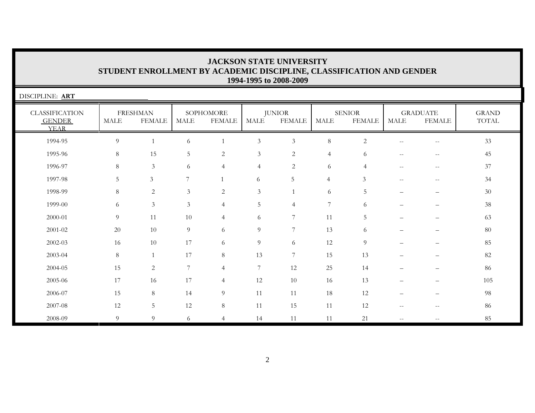| DISCIPLINE: ART                                       |             |                                  |                |                            |                  |                                |                |                                |                                                     |                                                       |                       |
|-------------------------------------------------------|-------------|----------------------------------|----------------|----------------------------|------------------|--------------------------------|----------------|--------------------------------|-----------------------------------------------------|-------------------------------------------------------|-----------------------|
| <b>CLASSIFICATION</b><br><b>GENDER</b><br><b>YEAR</b> | <b>MALE</b> | <b>FRESHMAN</b><br><b>FEMALE</b> | <b>MALE</b>    | SOPHOMORE<br><b>FEMALE</b> | <b>MALE</b>      | <b>JUNIOR</b><br><b>FEMALE</b> | MALE           | <b>SENIOR</b><br><b>FEMALE</b> | <b>MALE</b>                                         | <b>GRADUATE</b><br><b>FEMALE</b>                      | <b>GRAND</b><br>TOTAL |
| 1994-95                                               | 9           |                                  | 6              | $\mathbf{1}$               | $\mathfrak{Z}$   | 3                              | $8\,$          | $\overline{2}$                 | $\qquad \qquad -$                                   | $-\,-$                                                | 33                    |
| 1995-96                                               | 8           | 15                               | 5              | 2                          | $\mathfrak{Z}$   | $\overline{2}$                 | $\overline{4}$ | 6                              | $\qquad \qquad -$                                   | $-$                                                   | 45                    |
| 1996-97                                               | 8           | $\mathfrak{Z}$                   | 6              | $\overline{4}$             | $\overline{4}$   | $\overline{2}$                 | 6              | $\overline{4}$                 | $\hspace{0.05cm} -\hspace{0.05cm} -\hspace{0.05cm}$ | $\mathord{\hspace{1pt}\text{--}\hspace{1pt}}$         | 37                    |
| 1997-98                                               | 5           | $\mathfrak{Z}$                   | 7              | $\mathbf{1}$               | 6                | 5                              | $\overline{4}$ | 3                              | $\qquad \qquad -$                                   | $\hspace{0.05cm} - \hspace{0.05cm} - \hspace{0.05cm}$ | 34                    |
| 1998-99                                               | 8           | $\sqrt{2}$                       | $\mathfrak{Z}$ | $\sqrt{2}$                 | $\mathfrak{Z}$   |                                | 6              | 5                              |                                                     |                                                       | $30\,$                |
| 1999-00                                               | 6           | $\mathfrak{Z}$                   | $\mathfrak{Z}$ | $\overline{4}$             | 5                | $\overline{4}$                 | 7              | 6                              |                                                     |                                                       | 38                    |
| 2000-01                                               | 9           | 11                               | 10             | $\overline{4}$             | 6                | 7                              | 11             | 5                              |                                                     |                                                       | 63                    |
| 2001-02                                               | 20          | 10                               | 9              | 6                          | $\overline{9}$   | 7                              | 13             | 6                              |                                                     |                                                       | $80\,$                |
| 2002-03                                               | 16          | 10                               | 17             | 6                          | 9                | 6                              | 12             | 9                              | $\qquad \qquad -$                                   | $\overline{\phantom{0}}$                              | 85                    |
| 2003-04                                               | 8           |                                  | 17             | 8                          | 13               | 7                              | 15             | 13                             |                                                     |                                                       | 82                    |
| 2004-05                                               | 15          | $\overline{c}$                   | 7              | $\overline{4}$             | $\boldsymbol{7}$ | 12                             | 25             | 14                             |                                                     |                                                       | 86                    |
| 2005-06                                               | 17          | 16                               | 17             | $\overline{4}$             | 12               | 10                             | 16             | 13                             |                                                     |                                                       | 105                   |
| 2006-07                                               | 15          | 8                                | 14             | 9                          | 11               | 11                             | 18             | 12                             |                                                     |                                                       | 98                    |
| 2007-08                                               | 12          | 5                                | 12             | $8\,$                      | 11               | 15                             | 11             | 12                             | $\hspace{0.05cm} -\hspace{0.05cm} -\hspace{0.05cm}$ | $\qquad \qquad -$                                     | 86                    |
| 2008-09                                               | 9           | 9                                | 6              | $\overline{4}$             | 14               | 11                             | 11             | 21                             | $\qquad \qquad -$                                   | $-$                                                   | 85                    |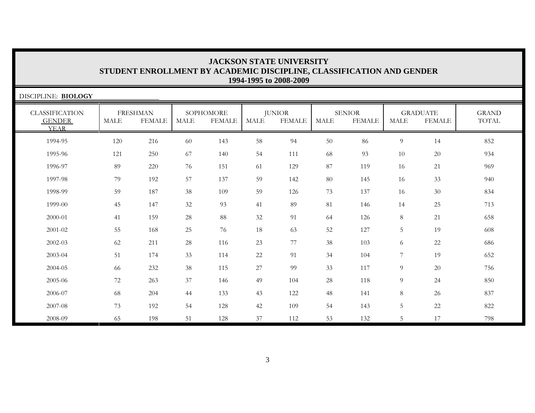| DISCIPLINE: BIOLOGY                                   |      |                                  |             |                            |      |                         |             |                                |                 |                                  |                       |
|-------------------------------------------------------|------|----------------------------------|-------------|----------------------------|------|-------------------------|-------------|--------------------------------|-----------------|----------------------------------|-----------------------|
| <b>CLASSIFICATION</b><br><b>GENDER</b><br><b>YEAR</b> | MALE | <b>FRESHMAN</b><br><b>FEMALE</b> | <b>MALE</b> | SOPHOMORE<br><b>FEMALE</b> | MALE | <b>JUNIOR</b><br>FEMALE | <b>MALE</b> | <b>SENIOR</b><br><b>FEMALE</b> | <b>MALE</b>     | <b>GRADUATE</b><br><b>FEMALE</b> | <b>GRAND</b><br>TOTAL |
| 1994-95                                               | 120  | 216                              | 60          | 143                        | 58   | 94                      | 50          | 86                             | 9               | 14                               | 852                   |
| 1995-96                                               | 121  | 250                              | 67          | 140                        | 54   | 111                     | 68          | 93                             | 10              | 20                               | 934                   |
| 1996-97                                               | 89   | 220                              | 76          | 151                        | 61   | 129                     | 87          | 119                            | 16              | 21                               | 969                   |
| 1997-98                                               | 79   | 192                              | 57          | 137                        | 59   | 142                     | 80          | 145                            | 16              | 33                               | 940                   |
| 1998-99                                               | 59   | 187                              | 38          | 109                        | 59   | 126                     | 73          | 137                            | 16              | 30                               | 834                   |
| 1999-00                                               | 45   | 147                              | 32          | 93                         | 41   | 89                      | 81          | 146                            | 14              | 25                               | 713                   |
| 2000-01                                               | 41   | 159                              | 28          | 88                         | 32   | 91                      | 64          | 126                            | $8\phantom{.}$  | 21                               | 658                   |
| 2001-02                                               | 55   | 168                              | $25\,$      | 76                         | 18   | 63                      | 52          | 127                            | $5\phantom{.0}$ | 19                               | 608                   |
| 2002-03                                               | 62   | 211                              | 28          | 116                        | 23   | 77                      | 38          | 103                            | 6               | 22                               | 686                   |
| 2003-04                                               | 51   | 174                              | 33          | 114                        | 22   | 91                      | 34          | 104                            | $\overline{7}$  | 19                               | 652                   |
| 2004-05                                               | 66   | 232                              | 38          | 115                        | 27   | 99                      | 33          | 117                            | 9               | 20                               | 756                   |
| 2005-06                                               | 72   | 263                              | 37          | 146                        | 49   | 104                     | 28          | 118                            | $\overline{9}$  | 24                               | 850                   |
| 2006-07                                               | 68   | 204                              | 44          | 133                        | 43   | 122                     | 48          | 141                            | 8               | 26                               | 837                   |
| 2007-08                                               | 73   | 192                              | 54          | 128                        | 42   | 109                     | 54          | 143                            | $\overline{5}$  | 22                               | 822                   |
| 2008-09                                               | 65   | 198                              | 51          | 128                        | 37   | 112                     | 53          | 132                            | 5               | 17                               | 798                   |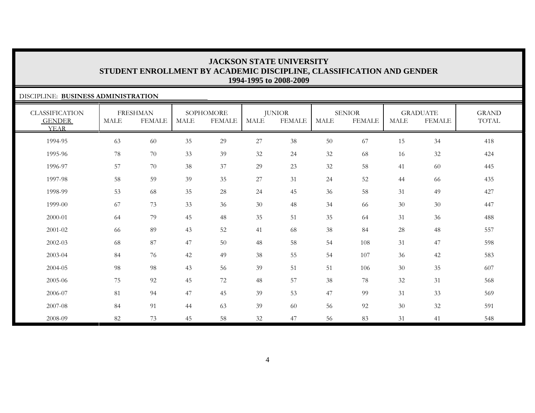#### DISCIPLINE: **BUSINESS ADMINISTRATION**CLASSIFICATION GENDER YEARFRESHMAN MALE FEMALESOPHOMORE MALE FEMALEJUNIOR MALE FEMALESENIORMALE FEMALEGRADUATE MALE FEMALEGRAND TOTAL 1994-95 63 60 35 29 27 38 50 67 15 34 418 1995-96 78 70 33 39 32 24 32 68 16 32 424 1996-97 57 70 38 37 29 23 32 58 41 60 445 1997-98 58 59 39 35 27 31 24 52 44 66 435 1998-99 53 68 35 28 24 45 36 58 31 49 427 1999-00 67 73 33 36 30 48 34 66 30 30 447 2000-01 64 79 45 48 35 51 35 64 31 36 488 2001-02 66 89 43 52 41 68 38 84 28 48 557 2002-03 68 87 47 50 48 58 54 108 31 47 598 2003-04 84 76 42 49 38 55 54 107 36 42 583 2004-05 98 98 43 56 39 51 51 106 300 35 607 2005-06 75 92 45 72 48 57 38 78 32 31 568 2006-07 81 94 47 45 39 53 47 99 31 33 569 2007-08 84 91 44 63 39 60 56 92 30 32 591 2008-0982 73 45 58 32 47 56 83 31 41 548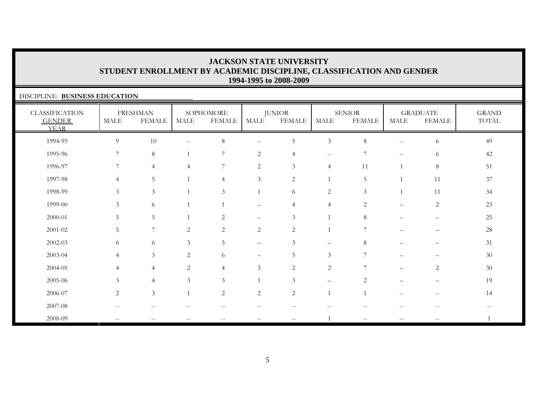#### DISCIPLINE: **BUSINESS EDUCATION**CLASSIFICATION GENDER YEARFRESHMAN MALE FEMALE**SOPHOMORE** MALE FEMALEJUNIOR MALE FEMALESENIOR MALE FEMALEGRADUATE MALE FEMALEGRAND TOTAL 1994-95 9 10 -- 8 -- 5 3 8 -- 6 491995-96 7 8 1 7 2 4 -- 7 -- 6 4242 1996-97 7 4 4 7 2 3 4 11 1 8 5151 1997-98 4 5 1 4 3 2 1 5 1 11 3737 1998-99 3 3 1 3 1 6 2 3 1 11 34 1999-00 3 6 1 1 – 4 4 2 – 2 2323 2000-01 5 5 1 2 – 3 1 8 – – 2525 2001-02 5 7 2 2 2 2 1 7 – – 2828 2002-03 6 6 3 5 – 3 – 8 – – 312003-04 4 3 2 6 – 5 3 7 – – 3030  $2004-05$  4 4 2 4 3 2 2 7  $-$  2 30 30 2005-06 3 4 3 3 1 3 – 2 – – 19 $2006-07$  2 3 1 2 2 2 1 1 -- - 14 14 2007-08 -- -- -- -- -- -- -- -- -- -- --2008-09 -- -- -- -- -- -- 1 -- -- -- 1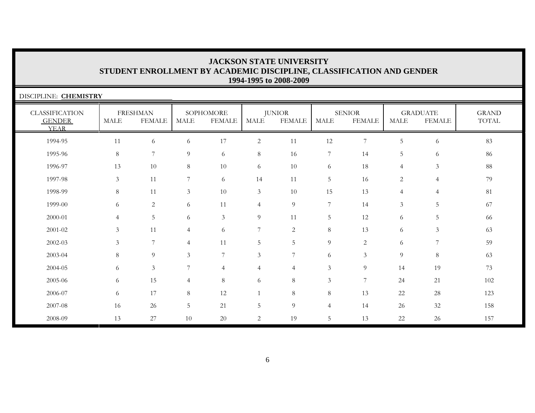| DISCIPLINE: CHEMISTRY                                 |                |                                  |                |                            |                |                                |                |                                |                |                                  |                       |
|-------------------------------------------------------|----------------|----------------------------------|----------------|----------------------------|----------------|--------------------------------|----------------|--------------------------------|----------------|----------------------------------|-----------------------|
| <b>CLASSIFICATION</b><br><b>GENDER</b><br><b>YEAR</b> | MALE           | <b>FRESHMAN</b><br><b>FEMALE</b> | <b>MALE</b>    | SOPHOMORE<br><b>FEMALE</b> | MALE           | <b>JUNIOR</b><br><b>FEMALE</b> | MALE           | <b>SENIOR</b><br><b>FEMALE</b> | MALE           | <b>GRADUATE</b><br><b>FEMALE</b> | <b>GRAND</b><br>TOTAL |
| 1994-95                                               | 11             | 6                                | 6              | $17\,$                     | $\overline{2}$ | 11                             | 12             | $7\phantom{.0}$                | 5              | 6                                | 83                    |
| 1995-96                                               | 8              | 7                                | 9              | 6                          | $\,8\,$        | 16                             | 7              | 14                             | 5              | 6                                | 86                    |
| 1996-97                                               | 13             | 10                               | 8              | $10\,$                     | 6              | 10                             | 6              | 18                             | $\overline{4}$ | $\mathfrak{Z}$                   | 88                    |
| 1997-98                                               | $\mathfrak{Z}$ | 11                               | $\overline{7}$ | 6                          | 14             | 11                             | 5              | 16                             | $\overline{c}$ | $\overline{4}$                   | 79                    |
| 1998-99                                               | 8              | 11                               | 3              | 10                         | $\mathfrak{Z}$ | 10                             | 15             | 13                             | $\overline{4}$ | $\overline{4}$                   | 81                    |
| 1999-00                                               | 6              | 2                                | 6              | 11                         | 4              | 9                              | $\overline{7}$ | 14                             | $\mathfrak{Z}$ | 5                                | 67                    |
| 2000-01                                               | $\overline{4}$ | 5                                | 6              | $\mathfrak{Z}$             | $\overline{9}$ | 11                             | 5              | $12\,$                         | 6              | 5                                | 66                    |
| 2001-02                                               | 3              | 11                               | $\overline{4}$ | 6                          | $\overline{7}$ | $\overline{2}$                 | 8              | 13                             | 6              | 3                                | 63                    |
| 2002-03                                               | 3              | 7                                | $\overline{4}$ | 11                         | 5              | 5                              | $\overline{9}$ | 2                              | 6              | 7                                | 59                    |
| 2003-04                                               | 8              | 9                                | 3              | 7                          | $\overline{3}$ | 7                              | 6              | 3                              | 9              | $8\,$                            | 63                    |
| 2004-05                                               | 6              | 3                                | 7              | $\overline{4}$             | $\overline{4}$ | $\overline{4}$                 | 3              | 9                              | 14             | 19                               | 73                    |
| 2005-06                                               | 6              | 15                               | $\overline{4}$ | 8                          | 6              | $\,8\,$                        | $\mathfrak{Z}$ | 7                              | 24             | 21                               | 102                   |
| 2006-07                                               | 6              | 17                               | 8              | $12\,$                     | $\overline{1}$ | 8                              | 8              | 13                             | 22             | 28                               | 123                   |
| 2007-08                                               | 16             | 26                               | 5              | 21                         | 5              | 9                              | $\overline{4}$ | 14                             | 26             | 32                               | 158                   |
| 2008-09                                               | 13             | 27                               | 10             | 20                         | 2              | 19                             | 5              | 13                             | 22             | 26                               | 157                   |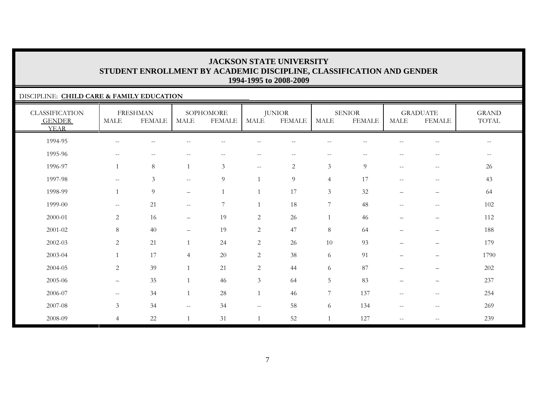#### DISCIPLINE: **CHILD CARE & FAMILY EDUCATION**

| <b>CLASSIFICATION</b><br><b>GENDER</b><br><b>YEAR</b> | <b>MALE</b>              | <b>FRESHMAN</b><br><b>FEMALE</b> | MALE                                                | SOPHOMORE<br><b>FEMALE</b> | <b>MALE</b>    | <b>JUNIOR</b><br><b>FEMALE</b> | <b>MALE</b>                                         | <b>SENIOR</b><br><b>FEMALE</b> | MALE                     | <b>GRADUATE</b><br><b>FEMALE</b>                    | <b>GRAND</b><br>TOTAL |
|-------------------------------------------------------|--------------------------|----------------------------------|-----------------------------------------------------|----------------------------|----------------|--------------------------------|-----------------------------------------------------|--------------------------------|--------------------------|-----------------------------------------------------|-----------------------|
| 1994-95                                               | --                       |                                  |                                                     |                            |                |                                |                                                     |                                |                          |                                                     | $-$                   |
| 1995-96                                               | $--$                     | $\sim$ $-$                       | $\sim$ $\sim$                                       | $\sim$ $-$                 | $- -$          | $- -$                          | $\hspace{0.05cm} -\hspace{0.05cm} -\hspace{0.05cm}$ | $\sim$ $\sim$                  | $\sim$ $-$               | $-\,-$                                              | $\sim$ $-$            |
| 1996-97                                               | $\mathbf{1}$             | 8                                |                                                     | $\mathfrak{Z}$             | $- -$          | $\overline{2}$                 | $\mathfrak{Z}$                                      | 9                              | $\mathbf{u}$             | $\hspace{0.05cm} -\hspace{0.05cm} -\hspace{0.05cm}$ | 26                    |
| 1997-98                                               | $\overline{\phantom{a}}$ | 3                                | $\hspace{0.05cm} -\hspace{0.05cm} -\hspace{0.05cm}$ | 9                          |                | 9                              | $\overline{4}$                                      | 17                             | $\overline{\phantom{m}}$ | $-\,-$                                              | 43                    |
| 1998-99                                               | $\mathbf{1}$             | $\overline{9}$                   | $\overline{\phantom{0}}$                            | $\mathbf{1}$               |                | 17                             | $\mathfrak{Z}$                                      | 32                             | -                        | —                                                   | 64                    |
| 1999-00                                               | $\overline{\phantom{a}}$ | 21                               | $\mathcal{L}=\mathcal{L}$                           | 7                          |                | 18                             | $\overline{7}$                                      | 48                             | $\mathbf{u}$             | $\hspace{0.05cm} -$                                 | 102                   |
| 2000-01                                               | 2                        | 16                               | $\qquad \qquad -$                                   | 19                         | 2              | 26                             | 1                                                   | 46                             | $\qquad \qquad -$        | $\overline{\phantom{m}}$                            | 112                   |
| 2001-02                                               | 8                        | 40                               | $\qquad \qquad -$                                   | 19                         | $\mathbf{2}$   | 47                             | 8                                                   | 64                             | $\equiv$                 | $\overline{\phantom{0}}$                            | 188                   |
| 2002-03                                               | $\overline{c}$           | 21                               |                                                     | 24                         | $\overline{c}$ | 26                             | 10                                                  | 93                             | $\overline{\phantom{0}}$ | $\overline{\phantom{0}}$                            | 179                   |
| 2003-04                                               | $\mathbf{1}$             | 17                               | $\overline{4}$                                      | 20                         | $\overline{c}$ | 38                             | 6                                                   | 91                             | $\overline{\phantom{0}}$ | $\overline{\phantom{0}}$                            | 1790                  |
| 2004-05                                               | $\overline{c}$           | 39                               |                                                     | 21                         | $\sqrt{2}$     | 44                             | 6                                                   | 87                             |                          | $\qquad \qquad -$                                   | 202                   |
| 2005-06                                               | $\overline{\phantom{0}}$ | 35                               |                                                     | 46                         | $\mathfrak{Z}$ | 64                             | $5\phantom{.0}$                                     | 83                             | $\qquad \qquad -$        | $\overline{\phantom{0}}$                            | 237                   |
| 2006-07                                               | $\mathbf{u}$             | 34                               | $\mathbf{1}$                                        | 28                         |                | 46                             | $\overline{7}$                                      | 137                            | $\overline{\phantom{m}}$ | $-\,-$                                              | 254                   |
| 2007-08                                               | $\mathfrak{Z}$           | 34                               | $\overline{\phantom{m}}$                            | 34                         | $- -$          | 58                             | 6                                                   | 134                            | $\qquad \qquad -$        | $\hspace{0.05cm}$ – $\hspace{0.05cm}$               | 269                   |
| 2008-09                                               | $\overline{4}$           | 22                               |                                                     | 31                         |                | 52                             |                                                     | 127                            | $\qquad \qquad -$        | $\hspace{0.05cm}$ – $\hspace{0.05cm}$               | 239                   |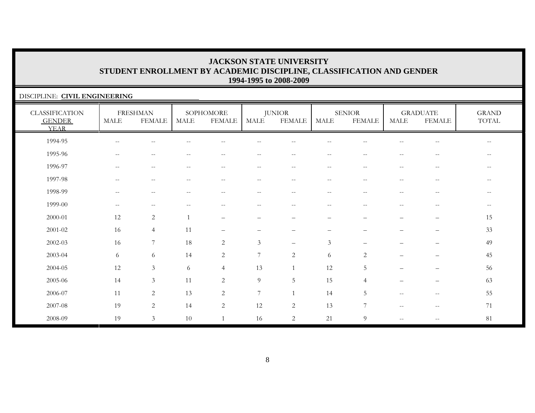#### DISCIPLINE: **CIVIL ENGINEERING** CLASSIFICATION GENDER YEARFRESHMAN MALE FEMALE**SOPHOMORE** MALE FEMALEJUNIOR MALE FEMALESENIORMALE FEMALEGRADUATE MALE FEMALEGRAND TOTAL 1994-95 -- -- -- -- -- -- -- -- -- -- --1995-96 -- -- -- -- -- -- -- -- -- -- --1996-97 -- -- -- -- -- -- -- -- -- -- --1997-98 -- -- -- -- -- -- -- -- -- -- --1998-99 -- -- -- -- -- -- -- -- -- -- --1999-00 -- -- -- -- -- -- -- -- -- -- --2000-01 12 2 1 – – – – – – – 152001-02 16 4 11 – – – – – – – 3333 2002-03 16 7 18 2 3 – 3 – – – 492003-04 6 6 14 2 7 2 6 2 – – 4545 2004-05 12 3 6 4 13 1 12 5 – – 5656 2005-06 14 3 11 2 9 5 15 4 – – 6363 2006-07 11 2 13 2 7 1 14 5 -- -- 552007-08 19 2 14 2 12 2 13 7 -- -- 7171 2008-09 19 3 10 1 16 2 21 9 -- -- 81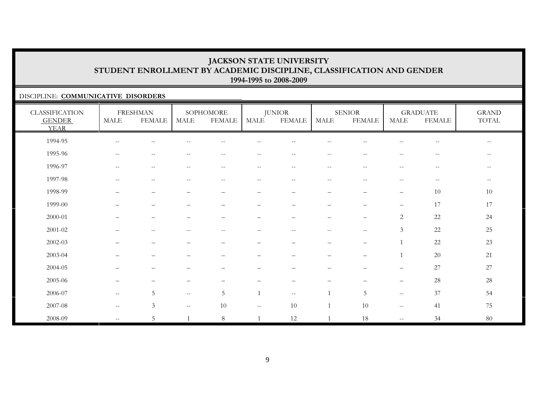#### DISCIPLINE: **COMMUNICATIVE DISORDERS**

| <b>CLASSIFICATION</b><br><b>GENDER</b><br><b>YEAR</b> | <b>MALE</b>                                         | <b>FRESHMAN</b><br><b>FEMALE</b>                      | MALE                                                | SOPHOMORE<br>FEMALE                            | <b>MALE</b>              | <b>JUNIOR</b><br><b>FEMALE</b> | <b>MALE</b>                                           | <b>SENIOR</b><br><b>FEMALE</b>                | MALE                                                | <b>GRADUATE</b><br><b>FEMALE</b>                      | <b>GRAND</b><br>$\operatorname{TOTAL}$ |
|-------------------------------------------------------|-----------------------------------------------------|-------------------------------------------------------|-----------------------------------------------------|------------------------------------------------|--------------------------|--------------------------------|-------------------------------------------------------|-----------------------------------------------|-----------------------------------------------------|-------------------------------------------------------|----------------------------------------|
| 1994-95                                               | $\hspace{0.05cm} -\hspace{0.05cm} -\hspace{0.05cm}$ | $\overline{\phantom{a}}$                              | $\qquad \qquad -$                                   | $\hspace{0.1mm}-\hspace{0.1mm}-\hspace{0.1mm}$ | $- -$                    | $ -$                           | $-$                                                   | $\qquad \qquad -$                             | $\overline{\phantom{m}}$                            | $\overline{\phantom{m}}$                              | $--$                                   |
| 1995-96                                               | $--$                                                | $\hspace{0.05cm} -\hspace{0.05cm} -\hspace{0.05cm}$   | $\mathrel{{-}{-}}$                                  | $\hspace{0.1mm}-\hspace{0.1mm}-\hspace{0.1mm}$ | $--$                     | $ -$                           | $\overline{\phantom{m}}$                              | $\mathord{\hspace{1pt}\text{--}\hspace{1pt}}$ | $\overline{\phantom{m}}$                            | $-\,-$                                                | $\overline{\phantom{m}}$               |
| 1996-97                                               | $-\,-$                                              | $\hspace{0.05cm} - \hspace{0.05cm} - \hspace{0.05cm}$ | $\qquad \qquad -$                                   | $\hspace{0.1mm}-\hspace{0.1mm}-\hspace{0.1mm}$ | $\qquad \qquad -$        | $-\,-$                         | $\hspace{0.05cm} - \hspace{0.05cm} - \hspace{0.05cm}$ | $-\,-$                                        | $\overline{\phantom{m}}$                            | $\hspace{0.05cm} - \hspace{0.05cm} - \hspace{0.05cm}$ | $- -$                                  |
| 1997-98                                               | $-$                                                 | $-$                                                   | $-$                                                 |                                                | $-$                      | --                             | $-$                                                   | --                                            | $-$                                                 | $-$                                                   | $\overline{\phantom{m}}$               |
| 1998-99                                               |                                                     | -                                                     |                                                     |                                                | -                        | -                              | -                                                     | $\overline{\phantom{0}}$                      | $\qquad \qquad -$                                   | 10                                                    | 10                                     |
| 1999-00                                               | $\qquad \qquad -$                                   | $\qquad \qquad -$                                     | $\qquad \qquad -$                                   | $\overline{\phantom{0}}$                       | $\overline{\phantom{0}}$ | $\overline{\phantom{0}}$       | $\overline{\phantom{m}}$                              | $\overline{\phantom{0}}$                      | $\overline{\phantom{m}}$                            | 17                                                    | 17                                     |
| 2000-01                                               |                                                     | —                                                     |                                                     |                                                | $\overline{\phantom{0}}$ | $\overline{\phantom{0}}$       | $\overline{\phantom{0}}$                              | $\overline{\phantom{0}}$                      | 2                                                   | 22                                                    | 24                                     |
| 2001-02                                               | $\sim$ $-$                                          | $\overline{\phantom{a}}$                              | $\overline{\phantom{a}}$                            | $\hspace{0.1mm}-\hspace{0.1mm}-\hspace{0.1mm}$ | $\overline{\phantom{a}}$ | $ -$                           | $\sim$ $-$                                            | $\hspace{0.05cm} -$                           | $\mathfrak{Z}$                                      | $22\,$                                                | $25\,$                                 |
| 2002-03                                               |                                                     |                                                       |                                                     |                                                |                          |                                |                                                       |                                               |                                                     | 22                                                    | 23                                     |
| 2003-04                                               |                                                     |                                                       |                                                     |                                                |                          |                                |                                                       | $\overline{\phantom{0}}$                      |                                                     | 20                                                    | 21                                     |
| 2004-05                                               | $\qquad \qquad -$                                   | $\overline{\phantom{m}}$                              | $\overline{\phantom{0}}$                            |                                                | —                        | -                              | -                                                     | $\overline{\phantom{0}}$                      | $\qquad \qquad -$                                   | $27\,$                                                | 27                                     |
| 2005-06                                               | $\qquad \qquad -$                                   | —                                                     | $\overline{\phantom{0}}$                            |                                                | —                        | $\overline{\phantom{0}}$       | -                                                     | $\overline{\phantom{0}}$                      | $\qquad \qquad -$                                   | 28                                                    | $28\,$                                 |
| 2006-07                                               | $\mathbf{u}$                                        | $5\phantom{.}$                                        | $\hspace{0.05cm} -\hspace{0.05cm} -\hspace{0.05cm}$ | $5\phantom{.0}$                                |                          | $\qquad \qquad -$              | $\mathbf{1}$                                          | 5                                             | $\hspace{0.05cm} -\hspace{0.05cm} -\hspace{0.05cm}$ | 37                                                    | 54                                     |
| 2007-08                                               | $\mathbf{u}$                                        | $\mathfrak{Z}$                                        | $\mathbf{u}$                                        | 10                                             | $--$                     | 10                             | $\overline{1}$                                        | 10                                            | $\hspace{0.05cm} -\hspace{0.05cm} -\hspace{0.05cm}$ | 41                                                    | 75                                     |
| 2008-09                                               | $\mathbf{u}$                                        | 5                                                     |                                                     | $8\,$                                          |                          | $12\,$                         | $\overline{1}$                                        | 18                                            | $\hspace{0.05cm} -\hspace{0.05cm} -\hspace{0.05cm}$ | 34                                                    | 80                                     |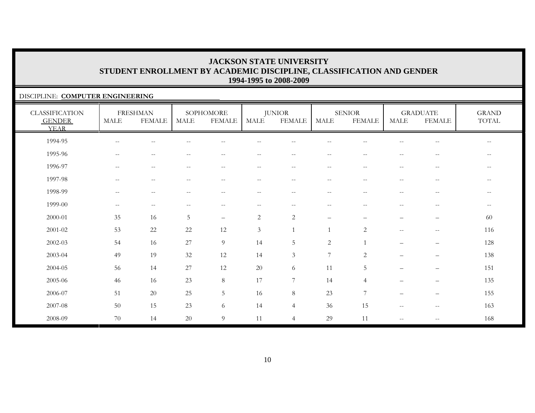#### DISCIPLINE: **COMPUTER ENGINEERING**

| <b>CLASSIFICATION</b><br><b>GENDER</b><br><b>YEAR</b> | <b>MALE</b>              | <b>FRESHMAN</b><br><b>FEMALE</b> | <b>MALE</b>                                         | SOPHOMORE<br><b>FEMALE</b> | <b>MALE</b>              | <b>JUNIOR</b><br><b>FEMALE</b>                        | <b>MALE</b>                                           | <b>SENIOR</b><br><b>FEMALE</b> | <b>MALE</b>                                         | <b>GRADUATE</b><br><b>FEMALE</b>                      | <b>GRAND</b><br>TOTAL                               |
|-------------------------------------------------------|--------------------------|----------------------------------|-----------------------------------------------------|----------------------------|--------------------------|-------------------------------------------------------|-------------------------------------------------------|--------------------------------|-----------------------------------------------------|-------------------------------------------------------|-----------------------------------------------------|
| 1994-95                                               | $-\,-$                   | $- -$                            |                                                     | $- -$                      | $-$                      | $-$                                                   | $- -$                                                 |                                | --                                                  | $-\,-$                                                | $\overline{\phantom{m}}$                            |
| 1995-96                                               | $\overline{\phantom{m}}$ | $- -$                            |                                                     | $-$                        | --                       | $\sim$                                                | $-$                                                   |                                | --                                                  | $\overline{\phantom{m}}$                              | $\qquad \qquad -$                                   |
| 1996-97                                               | $\overline{\phantom{a}}$ | $\overline{\phantom{m}}$         | $ -$                                                | $--$                       | $--$                     | $\hspace{0.05cm} -\hspace{0.05cm} -\hspace{0.05cm}$   | $--$                                                  | $\sim$ $\sim$                  | $\hspace{0.05cm} -\hspace{0.05cm} -\hspace{0.05cm}$ | $\hspace{0.05cm} -\hspace{0.05cm} -\hspace{0.05cm}$   | $\hspace{0.05cm} -\hspace{0.05cm} -\hspace{0.05cm}$ |
| 1997-98                                               | $\overline{\phantom{a}}$ | $\overline{\phantom{m}}$         | $\frac{1}{2}$                                       | $--$                       | $- -$                    | $\hspace{0.05cm} -\hspace{0.05cm} -\hspace{0.05cm}$   | $--$                                                  | $\sim$ $\sim$                  | $\hspace{0.05cm} -\hspace{0.05cm} -\hspace{0.05cm}$ | $\hspace{0.05cm} -\hspace{0.05cm} -\hspace{0.05cm}$   | $--$                                                |
| 1998-99                                               | $\overline{\phantom{a}}$ | $\overline{\phantom{m}}$         | $\hspace{0.05cm} -\hspace{0.05cm} -\hspace{0.05cm}$ | $--$                       | $--$                     | $\hspace{0.05cm} -\hspace{0.05cm} -\hspace{0.05cm}$   | $--$                                                  | $\hspace{0.05cm} -$            | $\hspace{0.05cm} -\hspace{0.05cm} -\hspace{0.05cm}$ | $\hspace{0.05cm} -\hspace{0.05cm} -\hspace{0.05cm}$   | $--$                                                |
| 1999-00                                               | $\overline{\phantom{a}}$ | $-\, -$                          | $-$                                                 | $\qquad \qquad -$          | $\overline{\phantom{m}}$ | $\hspace{0.05cm} - \hspace{0.05cm} - \hspace{0.05cm}$ | $\hspace{0.05cm} - \hspace{0.05cm} - \hspace{0.05cm}$ | $\overline{\phantom{a}}$       | --                                                  | $\overline{\phantom{m}}$                              | $--$                                                |
| 2000-01                                               | 35                       | 16                               | 5                                                   | $\qquad \qquad -$          | $\sqrt{2}$               | $\sqrt{2}$                                            | $\qquad \qquad -$                                     |                                | $\overline{\phantom{0}}$                            | $\overline{\phantom{m}}$                              | 60                                                  |
| $2001 - 02$                                           | 53                       | 22                               | 22                                                  | 12                         | $\mathfrak{Z}$           |                                                       |                                                       | 2                              | $\overline{\phantom{a}}$                            | $\overline{\phantom{m}}$                              | 116                                                 |
| $2002 - 03$                                           | 54                       | 16                               | $27\,$                                              | $\overline{9}$             | 14                       | $\mathbf 5$                                           | $\mathbf{2}$                                          | $\overline{1}$                 | $\overline{\phantom{0}}$                            | $\qquad \qquad -$                                     | 128                                                 |
| 2003-04                                               | 49                       | 19                               | $32\,$                                              | 12                         | 14                       | $\mathfrak{Z}$                                        | $\boldsymbol{7}$                                      | $\sqrt{2}$                     | $\overline{\phantom{0}}$                            | $\overline{\phantom{m}}$                              | 138                                                 |
| 2004-05                                               | 56                       | 14                               | 27                                                  | 12                         | 20                       | 6                                                     | 11                                                    | 5                              | $\overline{\phantom{0}}$                            | $\qquad \qquad -$                                     | 151                                                 |
| 2005-06                                               | 46                       | 16                               | 23                                                  | 8                          | 17                       | $\overline{7}$                                        | 14                                                    | $\overline{4}$                 | $\overline{\phantom{0}}$                            | $\qquad \qquad -$                                     | 135                                                 |
| 2006-07                                               | 51                       | 20                               | 25                                                  | $5\phantom{.0}$            | 16                       | 8                                                     | 23                                                    | $\overline{7}$                 | $\overline{\phantom{0}}$                            | $\qquad \qquad -$                                     | 155                                                 |
| 2007-08                                               | 50                       | 15                               | 23                                                  | 6                          | 14                       | $\overline{4}$                                        | 36                                                    | 15                             | $\mathcal{L}=\mathcal{L}$                           | $\sim$                                                | 163                                                 |
| 2008-09                                               | 70                       | 14                               | $20\,$                                              | $\overline{9}$             | 11                       | $\overline{4}$                                        | 29                                                    | 11                             | $\overline{\phantom{a}}$                            | $\hspace{0.05cm} - \hspace{0.05cm} - \hspace{0.05cm}$ | 168                                                 |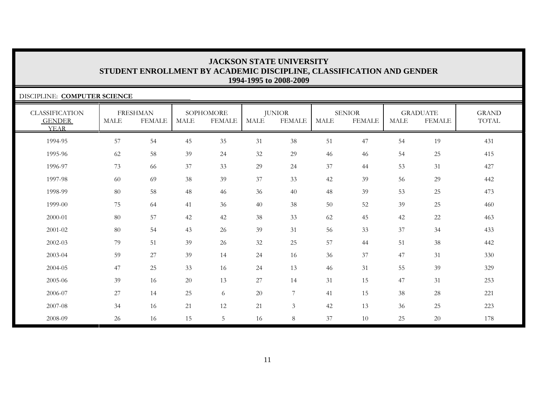| DISCIPLINE: COMPUTER SCIENCE                          |             |                                  |             |                            |             |                                |             |                                |             |                                  |                       |
|-------------------------------------------------------|-------------|----------------------------------|-------------|----------------------------|-------------|--------------------------------|-------------|--------------------------------|-------------|----------------------------------|-----------------------|
| <b>CLASSIFICATION</b><br><b>GENDER</b><br><b>YEAR</b> | <b>MALE</b> | <b>FRESHMAN</b><br><b>FEMALE</b> | <b>MALE</b> | SOPHOMORE<br><b>FEMALE</b> | <b>MALE</b> | <b>JUNIOR</b><br><b>FEMALE</b> | <b>MALE</b> | <b>SENIOR</b><br><b>FEMALE</b> | <b>MALE</b> | <b>GRADUATE</b><br><b>FEMALE</b> | <b>GRAND</b><br>TOTAL |
| 1994-95                                               | 57          | 54                               | 45          | 35                         | 31          | 38                             | 51          | 47                             | 54          | 19                               | 431                   |
| 1995-96                                               | 62          | 58                               | 39          | 24                         | 32          | 29                             | 46          | 46                             | 54          | 25                               | 415                   |
| 1996-97                                               | 73          | 66                               | 37          | 33                         | 29          | 24                             | 37          | 44                             | 53          | 31                               | 427                   |
| 1997-98                                               | 60          | 69                               | 38          | 39                         | 37          | 33                             | 42          | 39                             | 56          | 29                               | 442                   |
| 1998-99                                               | 80          | 58                               | 48          | 46                         | 36          | 40                             | 48          | 39                             | 53          | 25                               | 473                   |
| 1999-00                                               | 75          | 64                               | 41          | 36                         | 40          | 38                             | 50          | 52                             | 39          | 25                               | 460                   |
| 2000-01                                               | 80          | 57                               | 42          | 42                         | 38          | 33                             | 62          | 45                             | 42          | 22                               | 463                   |
| 2001-02                                               | 80          | 54                               | 43          | 26                         | 39          | 31                             | 56          | 33                             | 37          | 34                               | 433                   |
| 2002-03                                               | 79          | 51                               | 39          | 26                         | 32          | 25                             | 57          | 44                             | 51          | 38                               | 442                   |
| 2003-04                                               | 59          | 27                               | 39          | 14                         | 24          | 16                             | 36          | 37                             | 47          | 31                               | 330                   |
| 2004-05                                               | 47          | 25                               | 33          | 16                         | 24          | 13                             | 46          | 31                             | 55          | 39                               | 329                   |
| 2005-06                                               | 39          | 16                               | 20          | 13                         | $27\,$      | 14                             | 31          | 15                             | 47          | 31                               | 253                   |
| 2006-07                                               | 27          | 14                               | 25          | 6                          | 20          | 7                              | 41          | 15                             | 38          | 28                               | 221                   |
| 2007-08                                               | 34          | 16                               | 21          | 12                         | 21          | $\mathfrak{Z}$                 | 42          | 13                             | 36          | 25                               | 223                   |
| 2008-09                                               | 26          | 16                               | 15          | 5                          | 16          | 8                              | 37          | 10                             | 25          | 20                               | 178                   |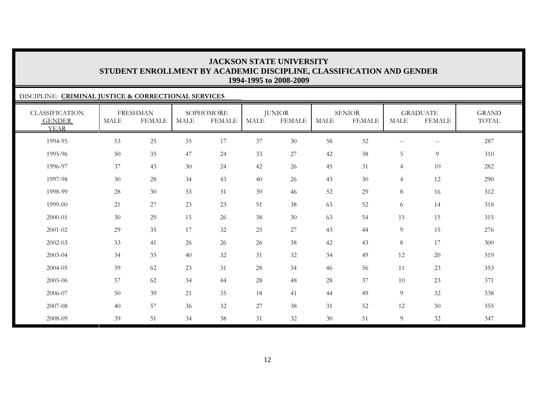#### DISCIPLINE: **CRIMINAL JUSTICE & CORRECTIONAL SERVICES** CLASSIFICATION GENDER YEARFRESHMAN MALE FEMALESOPHOMORE MALE FEMALEJUNIOR MALE FEMALESENIORMALE FEMALEGRADUATE MALE FEMALEGRAND TOTAL1994-95 53 25 35 17 37 30 58 32 -- -- 287 1995-96 50 35 47 24 33 27 42 38 5 9 310 1996-97 37 43 30 24 42 26 45 31 4 10 282 1997-98 30 28 34 43 40 26 43 30 4 12 290 1998-99 28 30 33 31 39 46 52 29 8 16 312 1999-00 $\begin{array}{ccccccccccc} 0 & 21 & 27 & 23 & 23 & 51 & 38 & 63 & 52 & 6 & 14 & 318 \end{array}$ 2000-01 30 29 15 26 38 30 63 54 15 15 315 2001-02 29 35 17 32 25 27 43 44 9 15 276 2002-03 33 41 26 26 26 38 42 43 8 17 300 2003-04 34 35 40 32 31 32 34 49 12 20 319 2004-05 39 62 23 31 28 34 46 566 11 23 353 2005-06 57 62 34 44 28 48 28 37 10 23 371 2006-07 50 39 21 35 188 41 44 49 9 32 338 2007-08 40 57 36 32 27 38 311 52 12 30 355 2008-0939 51 34 38 31 32 30 51 9 32 347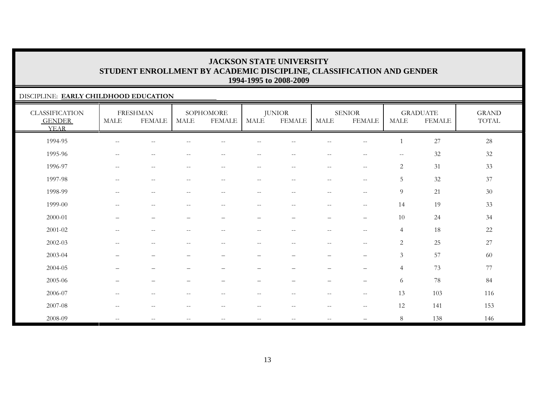#### DISCIPLINE: **EARLY CHILDHOOD EDUCATION**

| <b>CLASSIFICATION</b><br><b>GENDER</b><br><b>YEAR</b> | <b>MALE</b>                                         | <b>FRESHMAN</b><br><b>FEMALE</b> | <b>MALE</b>                                         | SOPHOMORE<br><b>FEMALE</b> | MALE                     | <b>JUNIOR</b><br><b>FEMALE</b>                        | <b>MALE</b>              | <b>SENIOR</b><br><b>FEMALE</b>        | <b>MALE</b>    | <b>GRADUATE</b><br><b>FEMALE</b> | <b>GRAND</b><br>$\operatorname{TOTAL}$ |
|-------------------------------------------------------|-----------------------------------------------------|----------------------------------|-----------------------------------------------------|----------------------------|--------------------------|-------------------------------------------------------|--------------------------|---------------------------------------|----------------|----------------------------------|----------------------------------------|
| 1994-95                                               | $\sim$ $-$                                          | --                               |                                                     |                            |                          |                                                       | --                       | $-$                                   |                | 27                               | $28\,$                                 |
| 1995-96                                               | $\hspace{0.1mm}-\hspace{0.1mm}-\hspace{0.1mm}$      | $\overline{\phantom{m}}$         | $\hspace{0.05cm}$ – $\hspace{0.05cm}$               | $\overline{\phantom{m}}$   | $\overline{\phantom{m}}$ | $--$                                                  | $--$                     | $-\,-$                                | $--$           | $32\,$                           | $32\,$                                 |
| 1996-97                                               | $\hspace{0.05cm} -\hspace{0.05cm} -\hspace{0.05cm}$ | $\overline{\phantom{m}}$         | $\hspace{0.05cm} -\hspace{0.05cm} -\hspace{0.05cm}$ | $\qquad \qquad -$          | $- -$                    | $--$                                                  | $--$                     | $-\,-$                                | 2              | 31                               | 33                                     |
| 1997-98                                               | $\hspace{0.05cm} -\hspace{0.05cm} -\hspace{0.05cm}$ | $\overline{\phantom{m}}$         | $\hspace{0.05cm}$ – $\hspace{0.05cm}$               | $-\,-$                     | $-\,-$                   | $\overline{\phantom{m}}$                              | $--$                     | $\hspace{0.05cm}$ – $\hspace{0.05cm}$ | 5              | $32\,$                           | 37                                     |
| 1998-99                                               | $-$                                                 | $- -$                            | $-$                                                 | $\sim$ $-$                 | $\overline{\phantom{m}}$ | $\hspace{0.05cm} - \hspace{0.05cm} - \hspace{0.05cm}$ | $\qquad \qquad -$        | $\hspace{0.05cm} -$                   | 9              | 21                               | 30                                     |
| 1999-00                                               | $\sim$ $\sim$                                       | $- -$                            | $-$                                                 | $- -$                      | $\overline{\phantom{a}}$ | $\sim$ $-$                                            | $\frac{1}{2}$            | $\sim$ $\sim$                         | 14             | 19                               | 33                                     |
| 2000-01                                               | $\overline{\phantom{0}}$                            | $\qquad \qquad -$                | $\overline{\phantom{0}}$                            | $\qquad \qquad -$          | $\qquad \qquad -$        | $\overline{\phantom{0}}$                              | $\overline{\phantom{m}}$ | $\overline{\phantom{m}}$              | 10             | 24                               | 34                                     |
| $2001 - 02$                                           | $\sim$ $\sim$                                       | $\sim$ $-$                       | $-$                                                 | $- -$                      | $\overline{\phantom{a}}$ | $\overline{\phantom{a}}$                              | $\frac{1}{2}$            | $\sim$ $\sim$                         | $\overline{4}$ | $18\,$                           | $22\,$                                 |
| $2002 - 03$                                           | $\hspace{0.05cm} -\hspace{0.05cm} -\hspace{0.05cm}$ | $\overline{\phantom{m}}$         | $ -$                                                | $\overline{\phantom{m}}$   | $- -$                    | $\sim$ $\sim$                                         | $- -$                    | $-\,-$                                | $\sqrt{2}$     | $25\,$                           | 27                                     |
| 2003-04                                               | —                                                   | $\qquad \qquad -$                |                                                     | -                          |                          | $\overline{\phantom{0}}$                              | $\qquad \qquad -$        | $\qquad \qquad -$                     | $\mathfrak{Z}$ | 57                               | 60                                     |
| 2004-05                                               | $\overline{\phantom{0}}$                            | $\qquad \qquad -$                |                                                     | $\qquad \qquad -$          | $\overline{\phantom{0}}$ | $\overbrace{\phantom{1232211}}$                       | $\qquad \qquad -$        | $\qquad \qquad -$                     | $\overline{4}$ | 73                               | 77                                     |
| 2005-06                                               | —                                                   | $\overbrace{\phantom{12322111}}$ |                                                     | -                          | -                        | $\overbrace{\phantom{1232211}}$                       | $\overline{\phantom{m}}$ | $\overbrace{\phantom{12322111}}$      | 6              | $78\,$                           | 84                                     |
| 2006-07                                               | $\hspace{0.05cm} -\hspace{0.05cm} -\hspace{0.05cm}$ | $\overline{\phantom{m}}$         | $\hspace{0.05cm}$ – $\hspace{0.05cm}$               | $\qquad \qquad -$          | $- -$                    | $--$                                                  | $--$                     | $\mathbf{u}$                          | 13             | 103                              | 116                                    |
| 2007-08                                               | $\hspace{0.05cm} -\hspace{0.05cm} -\hspace{0.05cm}$ | $\qquad \qquad -$                | $\hspace{0.05cm}$ – $\hspace{0.05cm}$               | $\overline{\phantom{m}}$   | $- -$                    | $\overline{\phantom{m}}$                              | $--$                     | $\overline{\phantom{m}}$              | 12             | 141                              | 153                                    |
| 2008-09                                               | $\overline{\phantom{a}}$                            | $-$                              |                                                     | $- -$                      | $-\,-$                   | $\hspace{0.05cm}$ – $\hspace{0.05cm}$                 | $\overline{\phantom{m}}$ |                                       | 8              | 138                              | 146                                    |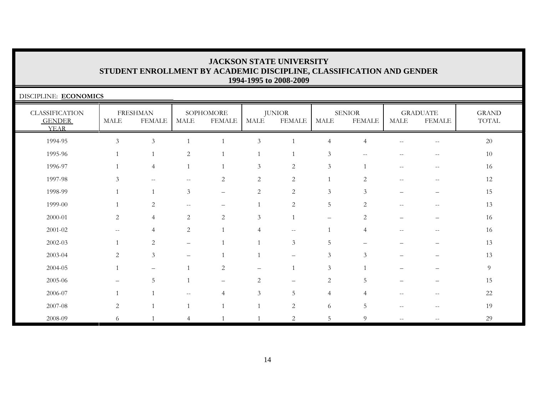| DISCIPLINE: ECONOMICS                                 |                |                                  |                          |                            |                |                                |                          |                                |       |                                                     |                                        |
|-------------------------------------------------------|----------------|----------------------------------|--------------------------|----------------------------|----------------|--------------------------------|--------------------------|--------------------------------|-------|-----------------------------------------------------|----------------------------------------|
| <b>CLASSIFICATION</b><br><b>GENDER</b><br><b>YEAR</b> | MALE           | <b>FRESHMAN</b><br><b>FEMALE</b> | MALE                     | SOPHOMORE<br><b>FEMALE</b> | MALE           | <b>JUNIOR</b><br><b>FEMALE</b> | MALE                     | <b>SENIOR</b><br><b>FEMALE</b> | MALE  | <b>GRADUATE</b><br><b>FEMALE</b>                    | <b>GRAND</b><br>$\operatorname{TOTAL}$ |
| 1994-95                                               | $\overline{3}$ | $\mathfrak{Z}$                   |                          |                            | $\mathfrak{Z}$ |                                | $\overline{4}$           | $\overline{4}$                 | $-$   | $- -$                                               | 20                                     |
| 1995-96                                               | $\mathbf{1}$   | 1                                | 2                        | $\mathbf{1}$               | 1              |                                | 3                        | $-$                            |       | --                                                  | 10                                     |
| 1996-97                                               |                | $\overline{4}$                   |                          |                            | $\mathfrak{Z}$ | $\overline{c}$                 | $\mathfrak{Z}$           | $\overline{1}$                 | $-$   | $\hspace{0.05cm} -\hspace{0.05cm} -\hspace{0.05cm}$ | 16                                     |
| 1997-98                                               | 3              | $--$                             | $-$                      | 2                          | 2              | 2                              | $\mathbf{1}$             | 2                              | $-$   | $\overline{\phantom{m}}$                            | 12                                     |
| 1998-99                                               |                |                                  | $\mathfrak{Z}$           | $\overline{\phantom{0}}$   | $\sqrt{2}$     | $\overline{c}$                 | $\mathfrak{Z}$           | 3                              |       |                                                     | 15                                     |
| 1999-00                                               |                | 2                                | $-$                      |                            | $\mathbf{1}$   | 2                              | 5                        | 2                              | $-$   | --                                                  | 13                                     |
| 2000-01                                               | 2              | $\overline{4}$                   | $\mathbf{2}$             | $\overline{2}$             | 3              |                                | $\overline{\phantom{0}}$ | $\mathbf{2}$                   |       |                                                     | 16                                     |
| 2001-02                                               |                | 4                                | $\mathbf{2}$             |                            | $\overline{4}$ | $- -$                          |                          | $\overline{4}$                 | $-$   |                                                     | 16                                     |
| $2002 - 03$                                           |                | 2                                | $\overline{\phantom{0}}$ |                            |                | $\mathfrak{Z}$                 | 5                        |                                |       |                                                     | 13                                     |
| 2003-04                                               | 2              | 3                                | $\overline{\phantom{0}}$ |                            |                |                                | 3                        | 3                              |       |                                                     | 13                                     |
| 2004-05                                               |                | $\overline{\phantom{0}}$         |                          | $\mathbf{2}$               |                |                                | $\mathfrak{Z}$           |                                |       |                                                     | 9                                      |
| 2005-06                                               |                | 5                                |                          |                            | 2              |                                | 2                        | 5                              |       |                                                     | 15                                     |
| 2006-07                                               |                |                                  |                          | $\overline{4}$             | $\mathfrak{Z}$ | 5                              | $\overline{4}$           |                                |       | --                                                  | $22\,$                                 |
| 2007-08                                               | $\overline{c}$ |                                  |                          |                            | 1              | 2                              | 6                        | 5                              | $- -$ |                                                     | 19                                     |
| 2008-09                                               | 6              |                                  | 4                        |                            | $\overline{1}$ | $\sqrt{2}$                     | 5                        | 9                              | $-$   |                                                     | 29                                     |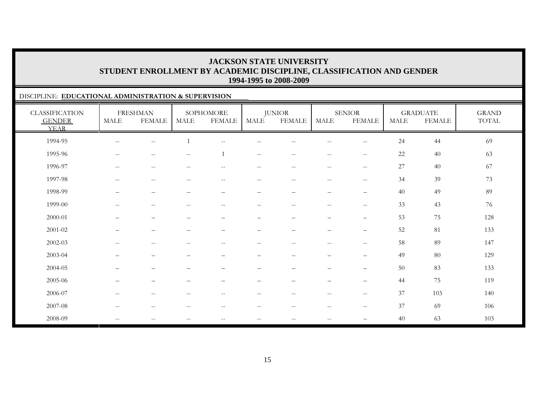#### DISCIPLINE: **EDUCATIONAL ADMINISTRATION & SUPERVISION**

| <b>CLASSIFICATION</b><br><b>GENDER</b><br><b>YEAR</b> | <b>MALE</b>                                         | <b>FRESHMAN</b><br><b>FEMALE</b> | <b>MALE</b>                                         | SOPHOMORE<br><b>FEMALE</b> | <b>MALE</b>              | <b>JUNIOR</b><br><b>FEMALE</b>    | MALE                     | <b>SENIOR</b><br><b>FEMALE</b>    | <b>MALE</b> | <b>GRADUATE</b><br><b>FEMALE</b> | <b>GRAND</b><br>TOTAL |
|-------------------------------------------------------|-----------------------------------------------------|----------------------------------|-----------------------------------------------------|----------------------------|--------------------------|-----------------------------------|--------------------------|-----------------------------------|-------------|----------------------------------|-----------------------|
| 1994-95                                               | $\sim$ $-$                                          | $-$                              |                                                     | $-$                        |                          |                                   | $\overline{\phantom{m}}$ | $\qquad \qquad -$                 | 24          | 44                               | 69                    |
| 1995-96                                               | $\hspace{0.05cm} -\hspace{0.05cm} -\hspace{0.05cm}$ | $\qquad \qquad -$                | $\sim$ $-$                                          | $\overline{1}$             | $ -$                     | $ -$                              | $\overline{\phantom{m}}$ | $\overline{\phantom{m}}$          | 22          | 40                               | 63                    |
| 1996-97                                               | $\mathcal{L}=\mathcal{L}$                           | $-\,-$                           | $\hspace{0.05cm} -\hspace{0.05cm} -\hspace{0.05cm}$ | $--$                       | $- -$                    | $--$                              | $- -$                    | $-\,-$                            | 27          | 40                               | 67                    |
| 1997-98                                               | $\hspace{0.05cm} -\hspace{0.05cm} -\hspace{0.05cm}$ | $\rightarrow$                    | $\hspace{0.05cm} -\hspace{0.05cm} -\hspace{0.05cm}$ | $--$                       | $- -$                    | $\overline{\phantom{m}}$          | $--$                     | $\overline{\phantom{m}}$          | 34          | 39                               | 73                    |
| 1998-99                                               |                                                     | $\overline{\phantom{0}}$         | $\overline{\phantom{a}}$                            | $\overline{\phantom{0}}$   | $\qquad \qquad -$        |                                   | $\qquad \qquad -$        | $\overline{\phantom{m}}$          | 40          | 49                               | 89                    |
| 1999-00                                               | $\overline{\phantom{a}}$                            | $-$                              | $\sim$ –                                            | $-$                        | $-$                      | $-$                               | $\overline{\phantom{m}}$ | $\sim$                            | 33          | 43                               | 76                    |
| 2000-01                                               | $\qquad \qquad -$                                   | $\qquad \qquad -$                | $\overline{\phantom{m}}$                            | —                          | $\qquad \qquad -$        | $\overbrace{\phantom{123221111}}$ | $\overline{\phantom{m}}$ | $\overbrace{\phantom{12322111}}$  | 53          | 75                               | 128                   |
| 2001-02                                               | —                                                   | $\qquad \qquad -$                |                                                     | -                          | -                        | $\overline{\phantom{0}}$          | $\qquad \qquad -$        | $\qquad \qquad -$                 | 52          | 81                               | 133                   |
| 2002-03                                               | $\hspace{0.05cm} -\hspace{0.05cm} -\hspace{0.05cm}$ | $\overline{\phantom{m}}$         | $-$                                                 | $\overline{\phantom{m}}$   | $ -$                     | $--$                              | $--$                     | $\sim$ $\sim$                     | 58          | 89                               | 147                   |
| 2003-04                                               | $\overline{\phantom{0}}$                            | $\qquad \qquad -$                |                                                     | $\qquad \qquad -$          | $\overline{\phantom{0}}$ | $\overbrace{\phantom{1232211}}$   | $\qquad \qquad -$        | $\qquad \qquad -$                 | 49          | 80                               | 129                   |
| 2004-05                                               | $\overline{\phantom{0}}$                            | $\qquad \qquad -$                |                                                     | $\qquad \qquad -$          |                          | $\overline{\phantom{0}}$          | $\qquad \qquad -$        | $\qquad \qquad -$                 | 50          | 83                               | 133                   |
| 2005-06                                               | $\overline{\phantom{0}}$                            | $\qquad \qquad -$                |                                                     | -                          | $\overline{\phantom{0}}$ | $\overbrace{\phantom{1232211}}$   | $\qquad \qquad -$        | $\qquad \qquad -$                 | 44          | 75                               | 119                   |
| 2006-07                                               | $\hspace{0.05cm} -\hspace{0.05cm} -\hspace{0.05cm}$ | $\overline{\phantom{m}}$         | $\hspace{0.05cm} -$                                 | $\qquad \qquad -$          | $- -$                    | $--$                              | $--$                     | $\overline{\phantom{m}}$          | 37          | 103                              | 140                   |
| 2007-08                                               | $\mathcal{L}=\mathcal{L}$                           | $-\,-$                           | $\hspace{0.05cm} -\hspace{0.05cm} -\hspace{0.05cm}$ | $\overline{\phantom{m}}$   | $\overline{\phantom{a}}$ | $- -$                             | $- -$                    | $-\,-$                            | 37          | 69                               | 106                   |
| 2008-09                                               | $\hspace{0.05cm} -\hspace{0.05cm} -\hspace{0.05cm}$ | $\qquad \qquad -$                | $\hspace{0.05cm}$ – $\hspace{0.05cm}$               | $\qquad \qquad -$          | $-\,-$                   | $--$                              | $--$                     | $\overbrace{\phantom{123221111}}$ | 40          | 63                               | 103                   |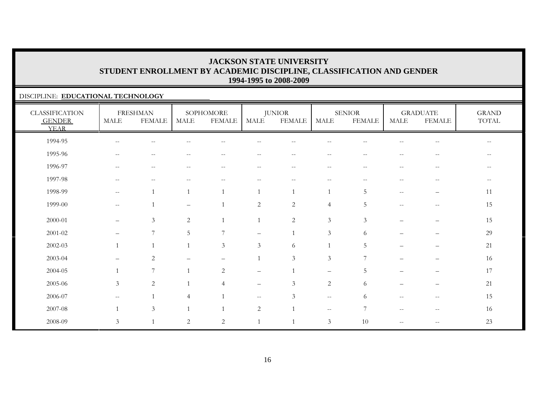#### DISCIPLINE: **EDUCATIONAL TECHNOLOGY**

| <b>CLASSIFICATION</b><br><b>GENDER</b><br><b>YEAR</b> | MALE                                                | <b>FRESHMAN</b><br><b>FEMALE</b>                    | MALE                     | SOPHOMORE<br><b>FEMALE</b>                            | <b>MALE</b>              | <b>JUNIOR</b><br><b>FEMALE</b>                      | MALE                     | <b>SENIOR</b><br><b>FEMALE</b> | MALE                                                | <b>GRADUATE</b><br><b>FEMALE</b>                    | <b>GRAND</b><br>TOTAL |
|-------------------------------------------------------|-----------------------------------------------------|-----------------------------------------------------|--------------------------|-------------------------------------------------------|--------------------------|-----------------------------------------------------|--------------------------|--------------------------------|-----------------------------------------------------|-----------------------------------------------------|-----------------------|
| 1994-95                                               | $\hspace{0.05cm} -\hspace{0.05cm} -\hspace{0.05cm}$ |                                                     |                          |                                                       |                          |                                                     |                          |                                |                                                     |                                                     |                       |
| 1995-96                                               | $- -$                                               | $\frac{1}{2}$                                       |                          | $-$                                                   |                          | $\sim$                                              | $\overline{\phantom{a}}$ | $\overline{\phantom{a}}$       |                                                     |                                                     |                       |
| 1996-97                                               | $\overline{\phantom{m}}$                            | $\qquad \qquad -$                                   |                          | $\hspace{0.05cm} - \hspace{0.05cm} - \hspace{0.05cm}$ | $- -$                    | $\overline{\phantom{m}}$                            | $\overline{\phantom{m}}$ | н.                             | $-$                                                 | $\sim$ $\sim$                                       |                       |
| 1997-98                                               | $\qquad \qquad -$                                   | $\hspace{0.05cm} -\hspace{0.05cm} -\hspace{0.05cm}$ | $\overline{\phantom{m}}$ | $ -$                                                  | $\qquad \qquad -$        | $\hspace{0.05cm} -\hspace{0.05cm} -\hspace{0.05cm}$ | $--$                     | $- -$                          | $\hspace{0.1mm}-\hspace{0.1mm}-\hspace{0.1mm}$      | $\overline{\phantom{m}}$                            | $- -$                 |
| 1998-99                                               | $\qquad \qquad -$                                   |                                                     | $\overline{1}$           |                                                       |                          |                                                     |                          | 5                              | $\hspace{0.05cm} -\hspace{0.05cm} -\hspace{0.05cm}$ | $\qquad \qquad -$                                   | 11                    |
| 1999-00                                               | $--$                                                |                                                     | $\overline{\phantom{0}}$ |                                                       | 2                        | $\overline{2}$                                      | $\overline{4}$           | 5                              | $\hspace{0.05cm} -\hspace{0.05cm} -\hspace{0.05cm}$ | $\hspace{0.05cm} -\hspace{0.05cm} -\hspace{0.05cm}$ | 15                    |
| 2000-01                                               | $\qquad \qquad -$                                   | $\mathfrak{Z}$                                      | 2                        |                                                       |                          | $\sqrt{2}$                                          | $\mathfrak{Z}$           | $\mathfrak{Z}$                 |                                                     |                                                     | 15                    |
| 2001-02                                               | $\qquad \qquad -$                                   | 7                                                   | 5                        | $\overline{7}$                                        | $\qquad \qquad -$        |                                                     | $\mathfrak{Z}$           | 6                              |                                                     |                                                     | 29                    |
| 2002-03                                               |                                                     |                                                     | $\overline{1}$           | $\mathfrak{Z}$                                        | $\mathfrak{Z}$           | 6                                                   |                          | 5                              |                                                     |                                                     | 21                    |
| 2003-04                                               |                                                     | $\overline{2}$                                      |                          |                                                       |                          | $\mathfrak{Z}$                                      | $\mathfrak{Z}$           | $7\phantom{.0}$                |                                                     |                                                     | 16                    |
| 2004-05                                               |                                                     | $7\phantom{.0}$                                     | $\overline{1}$           | 2                                                     | $\qquad \qquad -$        |                                                     | $\overline{\phantom{m}}$ | .5                             | $\overline{\phantom{0}}$                            | $\qquad \qquad -$                                   | 17                    |
| 2005-06                                               | $\mathfrak{Z}$                                      | 2                                                   | $\overline{1}$           | $\overline{4}$                                        | $\overline{\phantom{m}}$ | 3                                                   | 2                        | 6                              | $\overline{\phantom{0}}$                            | $\overline{\phantom{m}}$                            | 21                    |
| 2006-07                                               | $- -$                                               |                                                     | $\overline{4}$           |                                                       | $\overline{\phantom{m}}$ | 3                                                   | $--$                     | 6                              | $\overline{\phantom{m}}$                            | $-\,-$                                              | 15                    |
| 2007-08                                               |                                                     | 3                                                   | $\overline{1}$           |                                                       | 2                        | $\overline{1}$                                      | $\sim$ $-$               | $7\phantom{.0}$                | $\hspace{0.05cm} -\hspace{0.05cm} -\hspace{0.05cm}$ | $\hspace{0.05cm} -\hspace{0.05cm} -\hspace{0.05cm}$ | 16                    |
| 2008-09                                               | $\mathfrak{Z}$                                      | $\mathbf{1}$                                        | 2                        | 2                                                     |                          | $\mathbf{1}$                                        | 3                        | 10                             |                                                     | $-$                                                 | $23\,$                |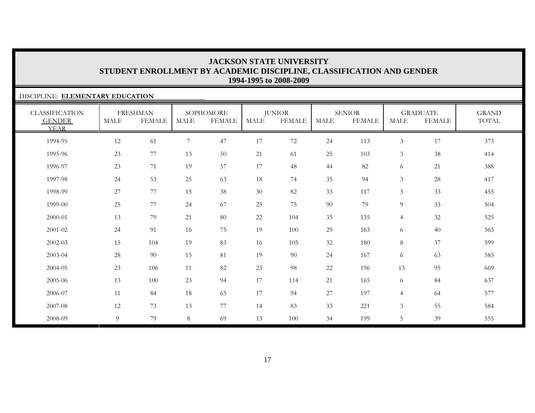#### DISCIPLINE: **ELEMENTARY EDUCATION**CLASSIFICATION GENDER YEARFRESHMAN MALE FEMALESOPHOMORE MALE FEMALEJUNIOR MALE FEMALESENIORMALE FEMALEGRADUATE MALE FEMALEGRAND TOTAL1994-95 12 61 7 47 17 72 24 113 3 17 3731995-96 23 77 13 50 21 61 25 103 3 38 4141996-97 23 71 19 57 17 48 44 82 6 21 388388 1997-98 24 53 25 63 18 74 35 94 3 28 4171998-99 27 77 15 38 30 82 33 117 3 33 4551999-00 25 77 24 67 25 75 90 79 9 33 5042000-01 13 79 21 80 22 104 35 135 4 32 5252001-02 24 91 16 75 19 100 29 163 6 40 5632002-03 15 104 19 83 16 105 32 180 8 37 5992003-04 28 90 15 81 19 90 24 167 6 63 583583 2004-05 23 106 11 82 23 98 22 196 13 95 6692005-06 13 100 23 94 17 114 21 165 6 84 6372006-07 11 84 18 65 17 94 27 197 4 64 5772007-08 12 73 13 77 14 83 33 221 3 55 5842008-09 9 79 8 69 13 100 34 199 5 39 555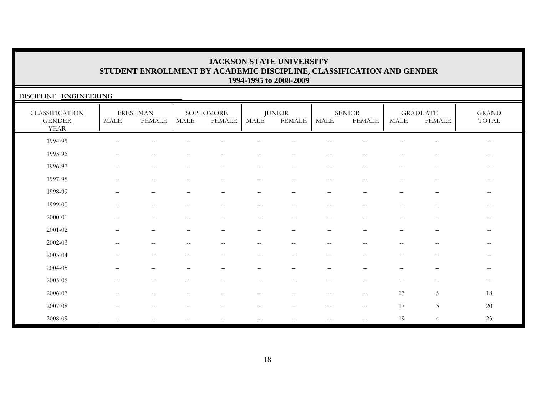| DISCIPLINE: ENGINEERING                               |                          |                                  |                          |                                                     |                          |                                |                                                |                                                     |                                                     |                                                       |                                                     |
|-------------------------------------------------------|--------------------------|----------------------------------|--------------------------|-----------------------------------------------------|--------------------------|--------------------------------|------------------------------------------------|-----------------------------------------------------|-----------------------------------------------------|-------------------------------------------------------|-----------------------------------------------------|
| <b>CLASSIFICATION</b><br><b>GENDER</b><br><b>YEAR</b> | <b>MALE</b>              | <b>FRESHMAN</b><br><b>FEMALE</b> | <b>MALE</b>              | SOPHOMORE<br><b>FEMALE</b>                          | MALE                     | <b>JUNIOR</b><br><b>FEMALE</b> | <b>MALE</b>                                    | <b>SENIOR</b><br><b>FEMALE</b>                      | <b>MALE</b>                                         | <b>GRADUATE</b><br><b>FEMALE</b>                      | $\operatorname{GRAND}$<br>$\operatorname{TOTAL}$    |
| 1994-95                                               |                          |                                  |                          |                                                     |                          |                                |                                                |                                                     |                                                     | --                                                    | $-\,-$                                              |
| 1995-96                                               |                          |                                  |                          |                                                     |                          |                                |                                                |                                                     |                                                     |                                                       | $-\,-$                                              |
| 1996-97                                               | $\overline{\phantom{a}}$ | $--$                             | $\overline{\phantom{m}}$ | $\mathbf{u}$                                        | $\sim$ $\sim$            | $--$                           | $\sim$ $-$                                     | $- -$                                               | $\hspace{0.05cm} -\hspace{0.05cm} -\hspace{0.05cm}$ | $- -$                                                 | $--$                                                |
| 1997-98                                               | $\frac{1}{2}$            | $- -$                            | $\overline{\phantom{m}}$ | $--$                                                | $--$                     | $\hspace{0.05cm} -$            | $\hspace{0.1mm}-\hspace{0.1mm}-\hspace{0.1mm}$ | $- -$                                               | $\overline{\phantom{m}}$                            | $\hspace{0.05cm} - \hspace{0.05cm} - \hspace{0.05cm}$ | $--$                                                |
| 1998-99                                               |                          |                                  |                          |                                                     |                          |                                |                                                |                                                     |                                                     | $\overline{\phantom{0}}$                              | $\hspace{0.05cm} -\hspace{0.05cm} -\hspace{0.05cm}$ |
| 1999-00                                               | $-$                      | $--$                             | $\overline{\phantom{m}}$ | $\hspace{0.05cm} -\hspace{0.05cm} -\hspace{0.05cm}$ | $--$                     | $--$                           | $\sim$ $-$                                     | $\hspace{0.05cm} -\hspace{0.05cm} -\hspace{0.05cm}$ | $\hspace{0.05cm} -\hspace{0.05cm} -\hspace{0.05cm}$ | $\sim$                                                | $\overline{\phantom{m}}$                            |
| 2000-01                                               |                          |                                  |                          | $\overline{\phantom{0}}$                            | -                        |                                |                                                |                                                     |                                                     | $\overline{\phantom{0}}$                              | $-\,-$                                              |
| $2001 - 02$                                           |                          |                                  |                          | $\overbrace{\phantom{1232211}}$                     | $\qquad \qquad -$        |                                |                                                |                                                     |                                                     | $\overline{\phantom{0}}$                              | $\hspace{0.05cm} -\hspace{0.05cm} -\hspace{0.05cm}$ |
| 2002-03                                               | $-$                      | $-$                              | --                       | $\overline{\phantom{m}}$                            | $-$                      | $-$                            | $\sim$                                         | $-$                                                 | $-$                                                 | $ -$                                                  | $-\,-$                                              |
| 2003-04                                               |                          |                                  |                          |                                                     |                          |                                |                                                |                                                     |                                                     |                                                       | $ -$                                                |
| 2004-05                                               |                          |                                  |                          |                                                     |                          |                                |                                                |                                                     |                                                     |                                                       | $-\,-$                                              |
| 2005-06                                               |                          |                                  |                          |                                                     |                          |                                |                                                |                                                     |                                                     |                                                       | $-\,-$                                              |
| 2006-07                                               |                          |                                  |                          |                                                     |                          |                                |                                                | $- -$                                               | 13                                                  | 5                                                     | 18                                                  |
| 2007-08                                               | $-$                      |                                  | $-$                      | $\overline{\phantom{m}}$                            | $\overline{\phantom{m}}$ | $-$                            | $\sim$ $-$                                     | $\overline{\phantom{m}}$                            | 17                                                  | $\mathfrak{Z}$                                        | $20\,$                                              |
| 2008-09                                               | $\overline{\phantom{a}}$ | $- -$                            | $\qquad \qquad -$        | $\hspace{0.05cm} -\hspace{0.05cm} -\hspace{0.05cm}$ | $ -$                     | $ -$                           | $\sim$ $-$                                     | —                                                   | 19                                                  | $\overline{4}$                                        | 23                                                  |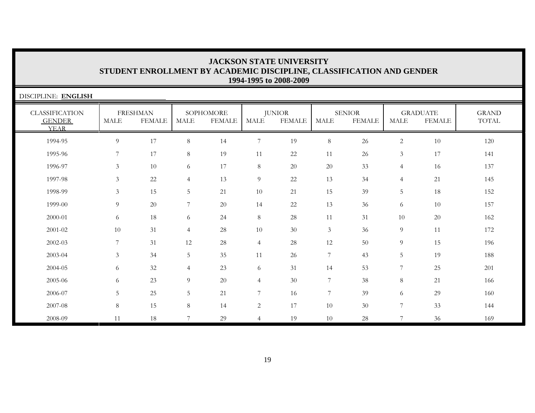| <b>JACKSON STATE UNIVERSITY</b>                                      |  |  |  |  |  |  |  |  |  |
|----------------------------------------------------------------------|--|--|--|--|--|--|--|--|--|
| STUDENT ENROLLMENT BY ACADEMIC DISCIPLINE, CLASSIFICATION AND GENDER |  |  |  |  |  |  |  |  |  |
| 1994-1995 to 2008-2009                                               |  |  |  |  |  |  |  |  |  |

| DISCIPLINE: ENGLISH                                   |                |                                  |                |                            |                |                                |                  |                                |                |                                  |                       |
|-------------------------------------------------------|----------------|----------------------------------|----------------|----------------------------|----------------|--------------------------------|------------------|--------------------------------|----------------|----------------------------------|-----------------------|
| <b>CLASSIFICATION</b><br><b>GENDER</b><br><b>YEAR</b> | <b>MALE</b>    | <b>FRESHMAN</b><br><b>FEMALE</b> | MALE           | SOPHOMORE<br><b>FEMALE</b> | <b>MALE</b>    | <b>JUNIOR</b><br><b>FEMALE</b> | <b>MALE</b>      | <b>SENIOR</b><br><b>FEMALE</b> | <b>MALE</b>    | <b>GRADUATE</b><br><b>FEMALE</b> | <b>GRAND</b><br>TOTAL |
| 1994-95                                               | $\overline{9}$ | 17                               | 8              | 14                         | $\overline{7}$ | 19                             | $\,8\,$          | 26                             | $\overline{c}$ | 10                               | 120                   |
| 1995-96                                               | 7              | 17                               | 8              | 19                         | 11             | 22                             | 11               | 26                             | $\mathfrak{Z}$ | 17                               | 141                   |
| 1996-97                                               | 3              | 10                               | 6              | 17                         | $8\,$          | 20                             | $20\,$           | 33                             | $\overline{4}$ | 16                               | 137                   |
| 1997-98                                               | 3              | 22                               | $\overline{4}$ | 13                         | 9              | 22                             | 13               | 34                             | $\overline{4}$ | 21                               | 145                   |
| 1998-99                                               | 3              | 15                               | 5              | 21                         | 10             | 21                             | 15               | 39                             | 5              | 18                               | 152                   |
| 1999-00                                               | 9              | 20                               | 7              | 20                         | 14             | 22                             | 13               | 36                             | 6              | 10                               | 157                   |
| 2000-01                                               | 6              | 18                               | 6              | 24                         | $8\,$          | 28                             | 11               | 31                             | 10             | 20                               | 162                   |
| 2001-02                                               | 10             | 31                               | $\overline{4}$ | 28                         | 10             | 30                             | 3                | 36                             | 9              | 11                               | 172                   |
| 2002-03                                               | 7              | 31                               | 12             | $28\,$                     | $\overline{4}$ | 28                             | 12               | 50                             | 9              | 15                               | 196                   |
| 2003-04                                               | $\mathfrak{Z}$ | 34                               | 5              | 35                         | 11             | 26                             | $\overline{7}$   | 43                             | 5              | 19                               | 188                   |
| 2004-05                                               | 6              | $32\,$                           | $\overline{4}$ | 23                         | 6              | 31                             | 14               | 53                             | 7              | 25                               | 201                   |
| 2005-06                                               | 6              | 23                               | 9              | 20                         | $\overline{4}$ | 30                             | $\boldsymbol{7}$ | 38                             | 8              | 21                               | 166                   |
| 2006-07                                               | 5              | 25                               | 5              | 21                         | $7\phantom{.}$ | 16                             | $\boldsymbol{7}$ | 39                             | 6              | 29                               | 160                   |
| 2007-08                                               | $8\,$          | 15                               | 8              | 14                         | $\sqrt{2}$     | 17                             | 10               | 30                             | 7              | 33                               | 144                   |
| 2008-09                                               | 11             | 18                               | 7              | 29                         | $\overline{4}$ | 19                             | 10               | 28                             | $\overline{7}$ | 36                               | 169                   |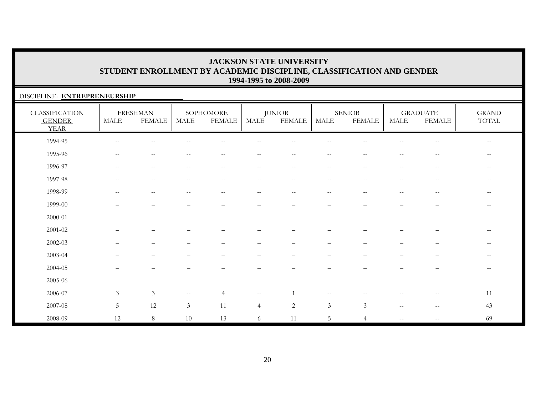#### DISCIPLINE: **ENTREPRENEURSHIP**

| <b>CLASSIFICATION</b><br><b>GENDER</b><br><b>YEAR</b> | <b>MALE</b>              | <b>FRESHMAN</b><br><b>FEMALE</b>                    | MALE              | SOPHOMORE<br><b>FEMALE</b>                          | MALE                                                | <b>JUNIOR</b><br><b>FEMALE</b>                | MALE                                                | <b>SENIOR</b><br><b>FEMALE</b> | <b>MALE</b>              | <b>GRADUATE</b><br><b>FEMALE</b>                      | <b>GRAND</b><br>TOTAL |
|-------------------------------------------------------|--------------------------|-----------------------------------------------------|-------------------|-----------------------------------------------------|-----------------------------------------------------|-----------------------------------------------|-----------------------------------------------------|--------------------------------|--------------------------|-------------------------------------------------------|-----------------------|
| 1994-95                                               | $\qquad \qquad -$        | $\sim$                                              |                   |                                                     |                                                     |                                               |                                                     |                                |                          |                                                       | $\qquad \qquad -$     |
| 1995-96                                               | $--$                     | $\sim$ $\sim$                                       | $\sim$ $-$        | $\frac{1}{2}$                                       | $- -$                                               | $\sim$ $-$                                    | $\sim$ $\sim$                                       | $\sim$ $\sim$                  | $\frac{1}{2}$            | $\hspace{0.05cm} - \hspace{0.05cm} - \hspace{0.05cm}$ | $--$                  |
| 1996-97                                               | $\overline{\phantom{m}}$ | $\hspace{0.05cm} -\hspace{0.05cm} -\hspace{0.05cm}$ | $\qquad \qquad -$ | $--$                                                | $--$                                                | $\overline{\phantom{m}}$                      | $--$                                                | $\hspace{0.05cm} -$            | $\overline{\phantom{m}}$ | $\hspace{0.05cm} - \hspace{0.05cm} - \hspace{0.05cm}$ | $--$                  |
| 1997-98                                               | $\overline{\phantom{m}}$ | $\sim$ $-$                                          | $- -$             | $\hspace{0.05cm} -\hspace{0.05cm} -\hspace{0.05cm}$ | $\hspace{0.05cm} -\hspace{0.05cm} -\hspace{0.05cm}$ | $\mathord{\hspace{1pt}\text{--}\hspace{1pt}}$ | $\hspace{0.05cm} -\hspace{0.05cm} -\hspace{0.05cm}$ | $\hspace{0.05cm} -$            | $\overline{\phantom{m}}$ | $\sim$ $\sim$                                         | $\qquad \qquad -$     |
| 1998-99                                               | $-$                      | --                                                  |                   |                                                     | $\overline{\phantom{a}}$                            |                                               |                                                     |                                | $-$                      | --                                                    |                       |
| 1999-00                                               |                          |                                                     |                   |                                                     | -                                                   |                                               | $\overline{\phantom{0}}$                            |                                |                          | $\overline{\phantom{0}}$                              | $\qquad \qquad -$     |
| $2000 - 01$                                           |                          | $\overbrace{\phantom{1232211}}$                     | —                 | $\qquad \qquad -$                                   | $\overline{\phantom{m}}$                            | $\overline{\phantom{0}}$                      | $\overline{\phantom{m}}$                            |                                | $\qquad \qquad -$        | $\overline{\phantom{m}}$                              | $\qquad \qquad -$     |
| $2001 - 02$                                           |                          |                                                     |                   |                                                     | $\overline{\phantom{0}}$                            |                                               |                                                     |                                |                          | -                                                     | $\qquad \qquad -$     |
| $2002 - 03$                                           |                          |                                                     |                   |                                                     |                                                     |                                               |                                                     |                                |                          |                                                       | $- -$                 |
| 2003-04                                               |                          |                                                     |                   |                                                     |                                                     |                                               |                                                     |                                |                          |                                                       | $- -$                 |
| 2004-05                                               | $\overline{\phantom{0}}$ | $\overline{\phantom{0}}$                            |                   |                                                     |                                                     |                                               | -                                                   |                                |                          | $\overline{\phantom{0}}$                              | $- -$                 |
| 2005-06                                               | $\qquad \qquad -$        | $\overline{\phantom{m}}$                            |                   | $--$                                                | $\overline{\phantom{m}}$                            |                                               | $\overline{\phantom{m}}$                            |                                | $\qquad \qquad -$        | —                                                     | $--$                  |
| 2006-07                                               | $\mathfrak{Z}$           | $\mathfrak{Z}$                                      | $--$              | $\overline{4}$                                      | $- -$                                               | $\mathbf{1}$                                  | $--$                                                | $-$                            | $-$                      | $\hspace{0.05cm} - \hspace{0.05cm} - \hspace{0.05cm}$ | 11                    |
| 2007-08                                               | $5\phantom{.0}$          | 12                                                  | $\mathfrak{Z}$    | 11                                                  | $\overline{4}$                                      | $\overline{c}$                                | $\mathfrak{Z}$                                      | $\mathfrak{Z}$                 | $-$                      | $\overline{\phantom{m}}$                              | 43                    |
| 2008-09                                               | 12                       | 8                                                   | 10                | 13                                                  | 6                                                   | 11                                            | 5                                                   | $\overline{4}$                 | $\overline{\phantom{a}}$ | $- -$                                                 | 69                    |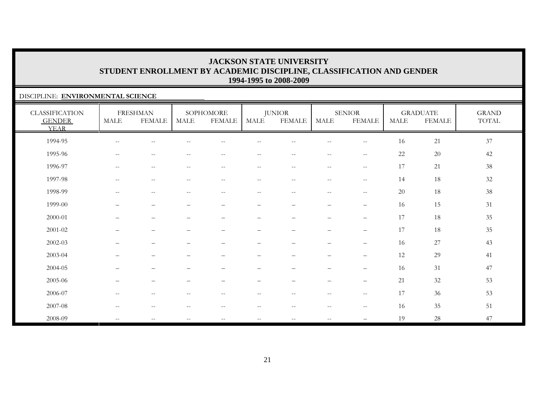#### DISCIPLINE: **ENVIRONMENTAL SCIENCE**

| <b>CLASSIFICATION</b><br><b>GENDER</b><br><b>YEAR</b> | <b>MALE</b>                                           | <b>FRESHMAN</b><br><b>FEMALE</b> | MALE                                                | SOPHOMORE<br><b>FEMALE</b>                            | MALE                                                | <b>JUNIOR</b><br><b>FEMALE</b>                        | <b>MALE</b>                     | <b>SENIOR</b><br><b>FEMALE</b>                      | <b>MALE</b> | <b>GRADUATE</b><br><b>FEMALE</b> | <b>GRAND</b><br>TOTAL |
|-------------------------------------------------------|-------------------------------------------------------|----------------------------------|-----------------------------------------------------|-------------------------------------------------------|-----------------------------------------------------|-------------------------------------------------------|---------------------------------|-----------------------------------------------------|-------------|----------------------------------|-----------------------|
| 1994-95                                               | $\hspace{0.05cm} - \hspace{0.05cm} - \hspace{0.05cm}$ | $\qquad \qquad -$                |                                                     | $- -$                                                 |                                                     |                                                       | $-$                             | $\hspace{0.05cm} -\hspace{0.05cm} -\hspace{0.05cm}$ | 16          | 21                               | 37                    |
| 1995-96                                               | $\overline{\phantom{m}}$                              | $\overline{\phantom{m}}$         | $\qquad \qquad -$                                   | $\hspace{0.05cm} - \hspace{0.05cm} - \hspace{0.05cm}$ | $\qquad \qquad -$                                   | $- -$                                                 | $--$                            | $--$                                                | 22          | $20\,$                           | 42                    |
| 1996-97                                               | $\overline{\phantom{m}}$                              | $\overline{\phantom{m}}$         | $\hspace{0.05cm} -\hspace{0.05cm} -\hspace{0.05cm}$ | $\hspace{0.05cm} -\hspace{0.05cm} -\hspace{0.05cm}$   | $\hspace{0.05cm} -\hspace{0.05cm} -\hspace{0.05cm}$ | $\hspace{0.05cm} - \hspace{0.05cm} - \hspace{0.05cm}$ | $--$                            | $-\,-$                                              | 17          | 21                               | 38                    |
| 1997-98                                               | $\overline{\phantom{m}}$                              | $-\,-$                           | $\overline{\phantom{m}}$                            | $-\,-$                                                | $-\,-$                                              | $\overline{\phantom{m}}$                              | $--$                            | $\overline{\phantom{m}}$                            | 14          | 18                               | 32                    |
| 1998-99                                               | $- -$                                                 | $\sim$ $-$                       |                                                     | $-$                                                   | --                                                  | $- -$                                                 | $\qquad \qquad -$               | $\mathord{\hspace{1pt}\text{--}\hspace{1pt}}$       | 20          | 18                               | $38\,$                |
| 1999-00                                               | $\overline{\phantom{0}}$                              | $\qquad \qquad -$                |                                                     | $\overline{\phantom{0}}$                              | $\qquad \qquad -$                                   | $\overline{\phantom{0}}$                              | $\qquad \qquad -$               | $\qquad \qquad -$                                   | 16          | 15                               | 31                    |
| 2000-01                                               |                                                       | $\overline{\phantom{0}}$         |                                                     |                                                       | $\overline{\phantom{m}}$                            |                                                       | $\qquad \qquad -$               | $\overline{\phantom{m}}$                            | 17          | 18                               | 35                    |
| $2001 - 02$                                           |                                                       | $\overline{\phantom{0}}$         |                                                     |                                                       | $\qquad \qquad -$                                   | -                                                     | $\overbrace{\phantom{1232211}}$ | $\qquad \qquad -$                                   | 17          | 18                               | 35                    |
| 2002-03                                               |                                                       |                                  |                                                     |                                                       |                                                     |                                                       | $\overline{\phantom{0}}$        | $\qquad \qquad -$                                   | 16          | 27                               | 43                    |
| 2003-04                                               |                                                       |                                  |                                                     |                                                       |                                                     |                                                       |                                 | $\qquad \qquad -$                                   | 12          | 29                               | 41                    |
| 2004-05                                               | $\qquad \qquad -$                                     | $\overline{\phantom{m}}$         | $\overline{\phantom{0}}$                            | $\overline{\phantom{0}}$                              | $\qquad \qquad -$                                   | $\overline{\phantom{m}}$                              | $\qquad \qquad -$               | $\overline{\phantom{m}}$                            | 16          | 31                               | 47                    |
| 2005-06                                               |                                                       | $\overline{\phantom{m}}$         | -                                                   | $\qquad \qquad -$                                     | $\qquad \qquad -$                                   | $\overline{\phantom{0}}$                              | $\qquad \qquad -$               | $\overline{\phantom{m}}$                            | 21          | 32                               | 53                    |
| 2006-07                                               | $\qquad \qquad -$                                     | $\overline{\phantom{m}}$         | $-$                                                 | $\overline{\phantom{m}}$                              | $- -$                                               | $- -$                                                 | $\overline{\phantom{a}}$        | $-\,-$                                              | 17          | 36                               | 53                    |
| 2007-08                                               | $\overline{\phantom{m}}$                              | $\overline{\phantom{m}}$         | $\overline{\phantom{m}}$                            | $\overline{\phantom{m}}$                              | $\overline{\phantom{m}}$                            | $\hspace{0.05cm} - \hspace{0.05cm} - \hspace{0.05cm}$ | $--$                            | $\overline{\phantom{m}}$                            | 16          | 35                               | 51                    |
| 2008-09                                               | $\hspace{0.05cm} -\hspace{0.05cm} -\hspace{0.05cm}$   | $\overline{\phantom{m}}$         | $\overline{\phantom{a}}$                            | $\overline{\phantom{m}}$                              | $\overline{\phantom{m}}$                            | $\overline{\phantom{a}}$                              | $\overline{\phantom{m}}$        | $\overline{\phantom{m}}$                            | 19          | 28                               | 47                    |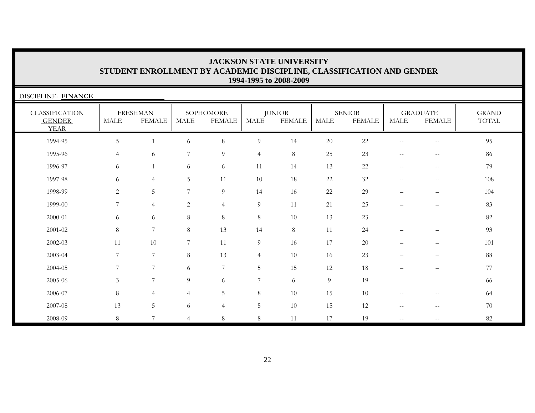| DISCIPLINE: FINANCE                                   |                 |                                  |                |                            |                |                                |                |                                |                                                     |                                  |                       |
|-------------------------------------------------------|-----------------|----------------------------------|----------------|----------------------------|----------------|--------------------------------|----------------|--------------------------------|-----------------------------------------------------|----------------------------------|-----------------------|
| <b>CLASSIFICATION</b><br><b>GENDER</b><br><b>YEAR</b> | <b>MALE</b>     | <b>FRESHMAN</b><br><b>FEMALE</b> | <b>MALE</b>    | SOPHOMORE<br><b>FEMALE</b> | MALE           | <b>JUNIOR</b><br><b>FEMALE</b> | <b>MALE</b>    | <b>SENIOR</b><br><b>FEMALE</b> | <b>MALE</b>                                         | <b>GRADUATE</b><br><b>FEMALE</b> | <b>GRAND</b><br>TOTAL |
| 1994-95                                               | 5               | $\mathbf{1}$                     | 6              | $8\,$                      | $\overline{9}$ | 14                             | 20             | 22                             | $\overline{\phantom{m}}$                            | $-\,-$                           | 95                    |
| 1995-96                                               | $\overline{4}$  | 6                                | 7              | 9                          | $\overline{4}$ | 8                              | 25             | 23                             | $\sim$ $-$                                          | $- -$                            | 86                    |
| 1996-97                                               | 6               | $\mathbf{1}$                     | 6              | 6                          | 11             | 14                             | 13             | $22\,$                         | $\hspace{0.05cm} -\hspace{0.05cm} -\hspace{0.05cm}$ | $--$                             | 79                    |
| 1997-98                                               | 6               | $\overline{4}$                   | 5              | 11                         | 10             | 18                             | 22             | 32                             | $\overline{\phantom{m}}$                            | $-\,-$                           | 108                   |
| 1998-99                                               | 2               | 5                                | 7              | $\overline{9}$             | 14             | 16                             | 22             | 29                             | $\overline{\phantom{m}}$                            | $\qquad \qquad -$                | 104                   |
| 1999-00                                               | $7\phantom{.0}$ | $\overline{4}$                   | 2              | $\overline{4}$             | $\overline{9}$ | 11                             | 21             | 25                             | $\overline{\phantom{0}}$                            | $\qquad \qquad -$                | 83                    |
| 2000-01                                               | 6               | 6                                | $\,8\,$        | $\,8\,$                    | 8              | 10                             | 13             | 23                             | $\overline{\phantom{0}}$                            |                                  | 82                    |
| 2001-02                                               | 8               | $\overline{7}$                   | $\,8\,$        | 13                         | 14             | 8                              | 11             | 24                             |                                                     |                                  | 93                    |
| 2002-03                                               | 11              | 10                               | 7              | 11                         | $\overline{9}$ | 16                             | 17             | $20\,$                         | $\overline{\phantom{m}}$                            | $\qquad \qquad -$                | 101                   |
| 2003-04                                               | 7               | $\overline{7}$                   | 8              | 13                         | $\overline{4}$ | 10                             | 16             | 23                             | $\overline{\phantom{m}}$                            | $\qquad \qquad -$                | 88                    |
| 2004-05                                               | 7               | $\overline{7}$                   | 6              | 7                          | 5              | 15                             | 12             | 18                             | $\overline{\phantom{0}}$                            | $\qquad \qquad -$                | 77                    |
| 2005-06                                               | 3               | $\overline{7}$                   | 9              | 6                          | 7              | 6                              | $\overline{9}$ | 19                             |                                                     |                                  | 66                    |
| 2006-07                                               | 8               | $\overline{4}$                   | $\overline{4}$ | 5                          | 8              | 10                             | 15             | 10                             | $-\,-$                                              | $-\,-$                           | 64                    |
| 2007-08                                               | 13              | 5                                | 6              | $\overline{4}$             | $\overline{5}$ | 10                             | 15             | 12                             | $\overline{\phantom{m}}$                            | $\qquad \qquad -$                | 70                    |
| 2008-09                                               | 8               | $\overline{7}$                   | $\overline{4}$ | $\,8\,$                    | $8\,$          | 11                             | 17             | 19                             | $\overline{\phantom{a}}$                            | $\qquad \qquad -$                | 82                    |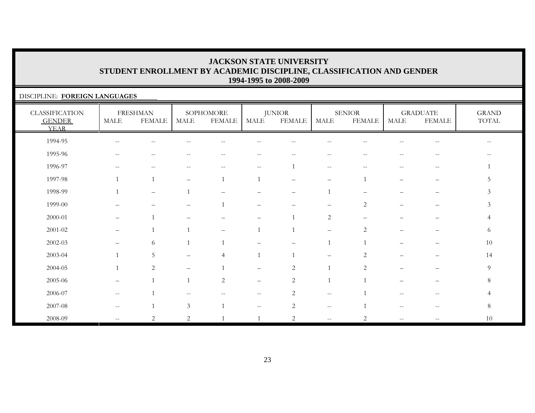#### DISCIPLINE: **FOREIGN LANGUAGES**

| <b>CLASSIFICATION</b><br><b>GENDER</b><br><b>YEAR</b> | <b>MALE</b>                                         | <b>FRESHMAN</b><br><b>FEMALE</b> | <b>MALE</b>              | SOPHOMORE<br><b>FEMALE</b> | MALE                                          | <b>JUNIOR</b><br><b>FEMALE</b> | MALE                                                | <b>SENIOR</b><br><b>FEMALE</b> | <b>MALE</b>              | <b>GRADUATE</b><br><b>FEMALE</b> | <b>GRAND</b><br>TOTAL |
|-------------------------------------------------------|-----------------------------------------------------|----------------------------------|--------------------------|----------------------------|-----------------------------------------------|--------------------------------|-----------------------------------------------------|--------------------------------|--------------------------|----------------------------------|-----------------------|
| 1994-95                                               | $\hspace{0.05cm} -\hspace{0.05cm} -\hspace{0.05cm}$ | $-$                              |                          | $\qquad \qquad -$          | $ -$                                          |                                |                                                     |                                |                          | $-$                              | $-$                   |
| 1995-96                                               | $--$                                                | $-$                              |                          | $\overline{\phantom{m}}$   | $\overline{\phantom{m}}$                      | $-$                            | $\hspace{0.05cm} -\hspace{0.05cm} -\hspace{0.05cm}$ | --                             | $-$                      | $-$                              |                       |
| 1996-97                                               | $--$                                                | $-$                              |                          | $\overline{\phantom{m}}$   | $- -$                                         |                                | $--$                                                | $-$                            |                          | $\overline{\phantom{m}}$         |                       |
| 1997-98                                               |                                                     |                                  | $\overline{\phantom{0}}$ |                            |                                               | $\overline{\phantom{0}}$       | $\overline{\phantom{m}}$                            |                                | $\overline{\phantom{0}}$ | $\overline{\phantom{0}}$         | 5                     |
| 1998-99                                               |                                                     | $\overbrace{\phantom{1232211}}$  | $\overline{1}$           | $\overline{\phantom{0}}$   |                                               | $\overline{\phantom{0}}$       | $\mathbf 1$                                         |                                |                          | $\qquad \qquad -$                | $\mathfrak{Z}$        |
| 1999-00                                               |                                                     |                                  |                          |                            |                                               |                                |                                                     | $\overline{2}$                 |                          |                                  | $\mathfrak{Z}$        |
| 2000-01                                               | $\qquad \qquad -$                                   |                                  |                          |                            | $\overbrace{\phantom{1232211}}$               |                                | 2                                                   |                                |                          | —                                | 4                     |
| $2001 - 02$                                           | $\qquad \qquad$                                     |                                  |                          |                            |                                               |                                | $\qquad \qquad -$                                   | $\overline{2}$                 |                          |                                  | 6                     |
| $2002 - 03$                                           |                                                     | 6                                |                          |                            |                                               |                                |                                                     |                                |                          | —                                | 10                    |
| 2003-04                                               |                                                     | 5                                |                          | 4                          |                                               |                                |                                                     | $\overline{2}$                 |                          |                                  | 14                    |
| 2004-05                                               |                                                     | 2                                | $\overline{\phantom{0}}$ |                            | $\qquad \qquad -$                             | $\sqrt{2}$                     |                                                     | 2                              |                          | —                                | $\overline{9}$        |
| 2005-06                                               | $\overline{\phantom{m}}$                            | $\mathbf{1}$                     | $\overline{1}$           | 2                          | $\overline{\phantom{m}}$                      | $\overline{2}$                 | $\overline{1}$                                      |                                | ▃                        | -                                | 8                     |
| 2006-07                                               | $--$                                                |                                  |                          |                            | $--$                                          | 2                              | $--$                                                |                                |                          | $-$                              | 4                     |
| 2007-08                                               | $--$                                                |                                  | $\mathfrak{Z}$           |                            | $\mathord{\hspace{1pt}\text{--}\hspace{1pt}}$ | $\overline{2}$                 | $\hspace{0.05cm} -\hspace{0.05cm} -\hspace{0.05cm}$ |                                | $-$                      | $\sim$ $\sim$                    | $8\,$                 |
| 2008-09                                               | $\overline{\phantom{m}}$                            | 2                                | $\overline{2}$           |                            |                                               | 2                              | $\sim$ $\sim$                                       | $\overline{2}$                 | $\overline{\phantom{m}}$ | $\overline{\phantom{m}}$         | 10                    |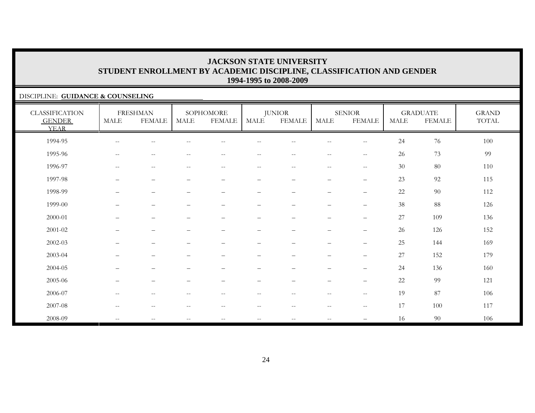#### DISCIPLINE: **GUIDANCE & COUNSELING**

| <b>CLASSIFICATION</b><br><b>GENDER</b><br><b>YEAR</b> | <b>MALE</b>                                         | <b>FRESHMAN</b><br><b>FEMALE</b>                      | <b>MALE</b>              | SOPHOMORE<br><b>FEMALE</b> | MALE                     | <b>JUNIOR</b><br><b>FEMALE</b> | <b>MALE</b>                                           | <b>SENIOR</b><br><b>FEMALE</b>                      | <b>MALE</b> | <b>GRADUATE</b><br><b>FEMALE</b> | <b>GRAND</b><br>TOTAL |
|-------------------------------------------------------|-----------------------------------------------------|-------------------------------------------------------|--------------------------|----------------------------|--------------------------|--------------------------------|-------------------------------------------------------|-----------------------------------------------------|-------------|----------------------------------|-----------------------|
| 1994-95                                               | $\overline{\phantom{m}}$                            |                                                       |                          |                            |                          |                                |                                                       | $\qquad \qquad -$                                   | 24          | 76                               | 100                   |
| 1995-96                                               | $\hspace{0.05cm} -\hspace{0.05cm} -\hspace{0.05cm}$ | $\sim$ $-$                                            |                          | $\qquad \qquad -$          | --                       |                                | $\sim$ $\sim$                                         | $-\,-$                                              | 26          | 73                               | 99                    |
| 1996-97                                               | $\overline{\phantom{m}}$                            | $\hspace{0.05cm} - \hspace{0.05cm} - \hspace{0.05cm}$ | $\overline{\phantom{m}}$ | $\qquad \qquad -$          | $\overline{\phantom{m}}$ | $\overline{\phantom{m}}$       | $\hspace{0.05cm} - \hspace{0.05cm} - \hspace{0.05cm}$ | $\hspace{0.05cm} -\hspace{0.05cm} -\hspace{0.05cm}$ | 30          | 80                               | 110                   |
| 1997-98                                               | $\qquad \qquad -$                                   | $\overline{\phantom{0}}$                              |                          | $\qquad \qquad -$          | -                        | $\overline{\phantom{0}}$       | $\overline{\phantom{0}}$                              | $\qquad \qquad -$                                   | 23          | 92                               | 115                   |
| 1998-99                                               |                                                     | $\overline{\phantom{0}}$                              |                          | $\qquad \qquad -$          | -                        | $\overline{\phantom{0}}$       | $\overline{\phantom{0}}$                              | $\qquad \qquad -$                                   | 22          | 90                               | 112                   |
| 1999-00                                               | $\qquad \qquad -$                                   |                                                       |                          | ▃                          | $\overline{\phantom{0}}$ |                                |                                                       |                                                     | 38          | 88                               | 126                   |
| 2000-01                                               | $\overline{\phantom{m}}$                            | $\overline{\phantom{a}}$                              |                          | $\overline{\phantom{0}}$   | $\qquad \qquad -$        | $\overline{\phantom{0}}$       | $\overline{\phantom{m}}$                              | $\qquad \qquad -$                                   | 27          | 109                              | 136                   |
| $2001 - 02$                                           |                                                     |                                                       |                          |                            |                          |                                |                                                       | $\qquad \qquad -$                                   | 26          | 126                              | 152                   |
| $2002 - 03$                                           |                                                     |                                                       |                          |                            |                          |                                |                                                       | $\qquad \qquad -$                                   | 25          | 144                              | 169                   |
| 2003-04                                               |                                                     |                                                       |                          |                            |                          |                                |                                                       |                                                     | 27          | 152                              | 179                   |
| 2004-05                                               | $\overline{\phantom{0}}$                            | $\qquad \qquad -$                                     |                          | —                          | -                        | $\qquad \qquad -$              | $\overline{\phantom{m}}$                              | $\qquad \qquad -$                                   | 24          | 136                              | 160                   |
| 2005-06                                               | $\qquad \qquad -$                                   |                                                       |                          | $\overline{\phantom{0}}$   | -                        |                                |                                                       | $\qquad \qquad -$                                   | 22          | 99                               | 121                   |
| 2006-07                                               | $\overline{\phantom{m}}$                            | $\hspace{0.05cm} - \hspace{0.05cm} - \hspace{0.05cm}$ | $\overline{\phantom{m}}$ | $\qquad \qquad -$          | $\overline{\phantom{m}}$ | $- -$                          | $\hspace{0.05cm} - \hspace{0.05cm} - \hspace{0.05cm}$ | $--$                                                | 19          | 87                               | 106                   |
| 2007-08                                               | $--$                                                | $\sim$ $\sim$                                         | $\overline{\phantom{m}}$ | $\qquad \qquad -$          | $- -$                    | $- -$                          | $\sim$ $-$                                            | $-\,-$                                              | 17          | 100                              | 117                   |
| 2008-09                                               | $\mathbf{u}$                                        | $\hspace{0.05cm} -\hspace{0.05cm} -\hspace{0.05cm}$   | $--$                     | $\overline{\phantom{m}}$   | $- -$                    | $\sim$ $\sim$                  | $\mathbf{u}$                                          |                                                     | 16          | 90                               | 106                   |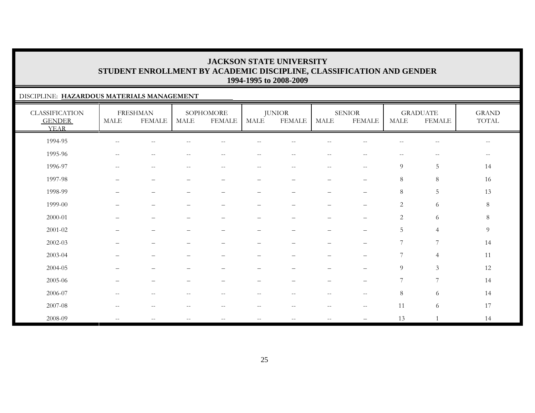#### DISCIPLINE: **HAZARDOUS MATERIALS MANAGEMENT**

| <b>CLASSIFICATION</b><br><b>GENDER</b><br><b>YEAR</b> | <b>MALE</b>              | <b>FRESHMAN</b><br><b>FEMALE</b>                    | <b>MALE</b>              | SOPHOMORE<br><b>FEMALE</b> | <b>MALE</b>              | <b>JUNIOR</b><br><b>FEMALE</b>  | <b>MALE</b>              | <b>SENIOR</b><br><b>FEMALE</b>                      | <b>MALE</b>              | <b>GRADUATE</b><br><b>FEMALE</b>                    | <b>GRAND</b><br>TOTAL    |
|-------------------------------------------------------|--------------------------|-----------------------------------------------------|--------------------------|----------------------------|--------------------------|---------------------------------|--------------------------|-----------------------------------------------------|--------------------------|-----------------------------------------------------|--------------------------|
| 1994-95                                               | $\overline{\phantom{m}}$ | $\sim$                                              |                          |                            |                          |                                 |                          |                                                     |                          | $\sim$ $\sim$                                       | $\overline{\phantom{m}}$ |
| 1995-96                                               | $--$                     | $\sim$ $\sim$                                       | $- -$                    | $\sim$ $-$                 | $- -$                    | $\sim$ $-$                      | $\sim$ $-$               | $\sim$ $\sim$                                       | $--$                     | $\hspace{0.05cm} -\hspace{0.05cm} -\hspace{0.05cm}$ | $--$                     |
| 1996-97                                               | $\overline{\phantom{m}}$ | $\hspace{0.05cm} -\hspace{0.05cm} -\hspace{0.05cm}$ | $\overline{\phantom{m}}$ | $--$                       | $\overline{\phantom{m}}$ | $--$                            | $--$                     | $-\,-$                                              | $\overline{9}$           | $\overline{5}$                                      | 14                       |
| 1997-98                                               | $\qquad \qquad$          | $\overbrace{\phantom{1232211}}$                     |                          | —                          | $\qquad \qquad -$        | $\overbrace{\phantom{1232211}}$ | $\overline{\phantom{0}}$ | $\qquad \qquad -$                                   | 8                        | 8                                                   | 16                       |
| 1998-99                                               |                          | $\overline{\phantom{0}}$                            |                          | $\overline{\phantom{0}}$   |                          |                                 |                          | —                                                   | $\,8\,$                  | 5                                                   | 13                       |
| 1999-00                                               |                          | $\overline{\phantom{0}}$                            |                          |                            | -                        |                                 | $\overline{\phantom{0}}$ | $\overline{\phantom{0}}$                            | 2                        | 6                                                   | 8                        |
| 2000-01                                               |                          | $\overbrace{\phantom{1232211}}$                     | $\overline{\phantom{0}}$ | $\qquad \qquad -$          | —                        |                                 | $\overline{\phantom{m}}$ | $\qquad \qquad -$                                   | $\overline{c}$           | 6                                                   | $8\,$                    |
| $2001 - 02$                                           |                          |                                                     |                          |                            |                          |                                 |                          | —                                                   | $\overline{5}$           | $\overline{4}$                                      | $\overline{9}$           |
| 2002-03                                               |                          |                                                     |                          |                            |                          |                                 |                          | $\overline{\phantom{0}}$                            | $\overline{\mathcal{I}}$ | $\overline{7}$                                      | 14                       |
| 2003-04                                               |                          |                                                     |                          |                            |                          |                                 |                          |                                                     | 7                        | $\overline{4}$                                      | 11                       |
| 2004-05                                               |                          | $\overline{\phantom{0}}$                            |                          | —                          | -                        |                                 | $\overline{\phantom{0}}$ | $\overline{\phantom{m}}$                            | $\overline{9}$           | $\mathfrak{Z}$                                      | 12                       |
| 2005-06                                               | $\overline{\phantom{0}}$ | $\overline{\phantom{m}}$                            |                          | —                          | -                        | -                               | $\overline{\phantom{0}}$ | $\qquad \qquad -$                                   | 7                        | 7                                                   | 14                       |
| 2006-07                                               | $\overline{\phantom{m}}$ | $\sim$ $-$                                          | $-$                      | $\overline{\phantom{m}}$   | $\overline{\phantom{m}}$ | $--$                            | $\sim$ $-$               | $\hspace{0.05cm} -\hspace{0.05cm} -\hspace{0.05cm}$ | $\,8\,$                  | 6                                                   | 14                       |
| 2007-08                                               | $\overline{\phantom{m}}$ | $-$                                                 |                          | $\qquad \qquad -$          | --                       | $\overline{\phantom{m}}$        | $\sim$ $\sim$            | $-\,-$                                              | 11                       | 6                                                   | 17                       |
| 2008-09                                               | $\overline{\phantom{a}}$ | $\hspace{0.05cm} -\hspace{0.05cm} -\hspace{0.05cm}$ | $\qquad \qquad -$        | $\overline{\phantom{m}}$   | $\overline{\phantom{m}}$ | $\overline{\phantom{m}}$        | $\overline{\phantom{m}}$ |                                                     | 13                       |                                                     | 14                       |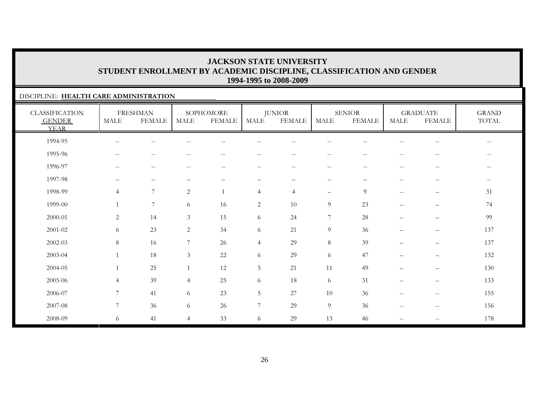#### DISCIPLINE: **HEALTH CARE ADMINISTRATION**

| <b>CLASSIFICATION</b><br><b>GENDER</b><br><b>YEAR</b> | <b>MALE</b>              | <b>FRESHMAN</b><br><b>FEMALE</b>                      | MALE           | SOPHOMORE<br><b>FEMALE</b> | MALE                     | <b>JUNIOR</b><br><b>FEMALE</b>        | MALE                     | <b>SENIOR</b><br><b>FEMALE</b> | <b>MALE</b>              | <b>GRADUATE</b><br><b>FEMALE</b>                      | <b>GRAND</b><br>TOTAL    |
|-------------------------------------------------------|--------------------------|-------------------------------------------------------|----------------|----------------------------|--------------------------|---------------------------------------|--------------------------|--------------------------------|--------------------------|-------------------------------------------------------|--------------------------|
| 1994-95                                               | $\overline{\phantom{m}}$ | $-$                                                   |                |                            |                          |                                       |                          |                                |                          | $\qquad \qquad -$                                     | $\overline{\phantom{m}}$ |
| 1995-96                                               | $\overline{\phantom{m}}$ | $-$                                                   |                |                            |                          |                                       | --                       |                                |                          | $\qquad \qquad -$                                     | $- -$                    |
| 1996-97                                               | $\overline{\phantom{a}}$ | $\hspace{0.05cm} - \hspace{0.05cm} - \hspace{0.05cm}$ |                | $\qquad \qquad -$          | $\overline{\phantom{m}}$ | $\hspace{0.05cm}$ – $\hspace{0.05cm}$ | $\overline{\phantom{m}}$ | $\hspace{0.05cm} -$            | $\overline{\phantom{m}}$ | $\hspace{0.05cm} - \hspace{0.05cm} - \hspace{0.05cm}$ | $\overline{\phantom{m}}$ |
| 1997-98                                               | $\overline{\phantom{0}}$ | $\qquad \qquad -$                                     | -              | $\qquad \qquad -$          | $\overline{\phantom{m}}$ | $\overline{\phantom{m}}$              | $\overline{\phantom{0}}$ | -                              | $- -$                    | $\overline{\phantom{m}}$                              | $--$                     |
| 1998-99                                               | $\overline{4}$           | 7                                                     | 2              | 1                          | $\overline{4}$           | $\overline{4}$                        | $\overline{\phantom{m}}$ | 9                              | $\overline{\phantom{m}}$ | $\qquad \qquad -$                                     | 31                       |
| 1999-00                                               | $\mathbf{1}$             | 7                                                     | 6              | 16                         | 2                        | 10                                    | 9                        | 23                             |                          | $\qquad \qquad -$                                     | 74                       |
| 2000-01                                               | $\overline{2}$           | 14                                                    | $\mathfrak{Z}$ | 15                         | 6                        | 24                                    | $\boldsymbol{7}$         | 28                             |                          | $\qquad \qquad -$                                     | 99                       |
| 2001-02                                               | 6                        | 23                                                    | 2              | 34                         | 6                        | 21                                    | 9                        | 36                             |                          | $\qquad \qquad -$                                     | 137                      |
| 2002-03                                               | 8                        | 16                                                    | 7              | 26                         | $\overline{4}$           | 29                                    | 8                        | 39                             |                          | $\qquad \qquad -$                                     | 137                      |
| 2003-04                                               | 1                        | 18                                                    | 3              | $22\,$                     | 6                        | 29                                    | 6                        | 47                             |                          | $\qquad \qquad -$                                     | 132                      |
| 2004-05                                               | $\mathbf{1}$             | 25                                                    | $\overline{1}$ | 12                         | $\mathbf 5$              | 21                                    | 11                       | 49                             |                          | $\qquad \qquad -$                                     | 130                      |
| 2005-06                                               | $\overline{4}$           | 39                                                    | $\overline{4}$ | 25                         | 6                        | 18                                    | 6                        | 31                             | $\overline{\phantom{0}}$ | $\qquad \qquad -$                                     | 133                      |
| 2006-07                                               | 7                        | 41                                                    | 6              | 23                         | 5                        | 27                                    | 10                       | 36                             | $\overline{\phantom{m}}$ | $\overline{\phantom{m}}$                              | 155                      |
| 2007-08                                               | $\overline{7}$           | 36                                                    | 6              | 26                         | 7                        | 29                                    | 9                        | 36                             | $\overline{\phantom{m}}$ | $-\,-$                                                | 156                      |
| 2008-09                                               | 6                        | 41                                                    | $\overline{4}$ | 33                         | 6                        | 29                                    | 13                       | 46                             | --                       | $\qquad \qquad -$                                     | 178                      |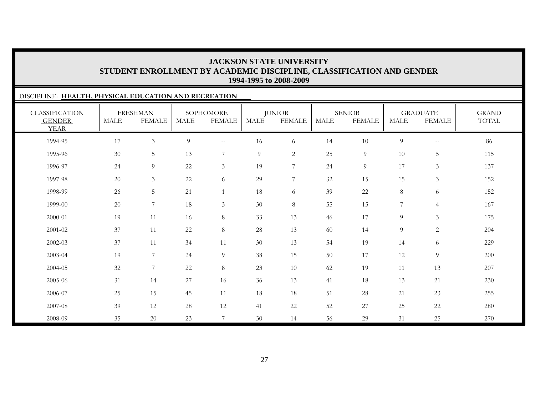| DISCIPLINE: HEALTH, PHYSICAL EDUCATION AND RECREATION |             |                                  |             |                            |                |                                |      |                                |                |                                                     |                       |
|-------------------------------------------------------|-------------|----------------------------------|-------------|----------------------------|----------------|--------------------------------|------|--------------------------------|----------------|-----------------------------------------------------|-----------------------|
| <b>CLASSIFICATION</b><br><b>GENDER</b><br><b>YEAR</b> | <b>MALE</b> | <b>FRESHMAN</b><br><b>FEMALE</b> | <b>MALE</b> | SOPHOMORE<br><b>FEMALE</b> | <b>MALE</b>    | <b>JUNIOR</b><br><b>FEMALE</b> | MALE | <b>SENIOR</b><br><b>FEMALE</b> | <b>MALE</b>    | <b>GRADUATE</b><br><b>FEMALE</b>                    | <b>GRAND</b><br>TOTAL |
| 1994-95                                               | 17          | 3                                | 9           | $\overline{\phantom{m}}$   | 16             | 6                              | 14   | 10                             | $\overline{9}$ | $\hspace{0.05cm} -\hspace{0.05cm} -\hspace{0.05cm}$ | 86                    |
| 1995-96                                               | 30          | $5\phantom{.0}$                  | 13          | $\overline{7}$             | $\overline{9}$ | $\overline{2}$                 | 25   | 9                              | 10             | $5\,$                                               | 115                   |
| 1996-97                                               | 24          | 9                                | 22          | $\mathfrak{Z}$             | 19             | 7                              | 24   | 9                              | 17             | $\mathfrak{Z}$                                      | 137                   |
| 1997-98                                               | 20          | $\mathfrak{Z}$                   | 22          | 6                          | 29             | 7                              | 32   | 15                             | 15             | $\mathfrak{Z}$                                      | 152                   |
| 1998-99                                               | 26          | $5\phantom{.}$                   | 21          | $\mathbf{1}$               | 18             | 6                              | 39   | 22                             | 8              | 6                                                   | 152                   |
| 1999-00                                               | 20          | $\overline{7}$                   | $18\,$      | $\mathfrak{Z}$             | $30\,$         | 8                              | 55   | 15                             | $\overline{7}$ | $\overline{4}$                                      | 167                   |
| 2000-01                                               | 19          | 11                               | 16          | 8                          | 33             | 13                             | 46   | 17                             | 9              | 3                                                   | 175                   |
| 2001-02                                               | 37          | 11                               | $22\,$      | 8                          | $28\,$         | 13                             | 60   | 14                             | 9              | $\mathbf{2}$                                        | 204                   |
| 2002-03                                               | 37          | 11                               | 34          | 11                         | $30\,$         | 13                             | 54   | 19                             | 14             | 6                                                   | 229                   |
| 2003-04                                               | 19          | 7                                | 24          | 9                          | 38             | 15                             | 50   | 17                             | 12             | 9                                                   | 200                   |
| 2004-05                                               | 32          | $\overline{7}$                   | $22\,$      | $8\,$                      | 23             | 10                             | 62   | 19                             | 11             | 13                                                  | 207                   |
| 2005-06                                               | 31          | 14                               | 27          | 16                         | 36             | 13                             | 41   | 18                             | 13             | 21                                                  | 230                   |
| 2006-07                                               | 25          | 15                               | 45          | 11                         | 18             | 18                             | 51   | 28                             | 21             | 23                                                  | 255                   |
| 2007-08                                               | 39          | 12                               | 28          | 12                         | 41             | 22                             | 52   | 27                             | 25             | $22\,$                                              | 280                   |
| 2008-09                                               | 35          | 20                               | 23          | 7                          | 30             | 14                             | 56   | 29                             | 31             | 25                                                  | 270                   |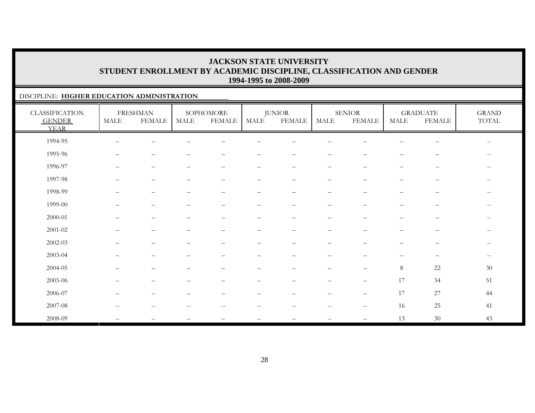#### DISCIPLINE: **HIGHER EDUCATION ADMINISTRATION**

| <b>CLASSIFICATION</b><br><b>GENDER</b><br><b>YEAR</b> | MALE                     | <b>FRESHMAN</b><br><b>FEMALE</b> | MALE | SOPHOMORE<br><b>FEMALE</b> | <b>MALE</b>              | <b>JUNIOR</b><br><b>FEMALE</b> | MALE              | ${\tt SENIOR}$<br><b>FEMALE</b> | <b>MALE</b>              | <b>GRADUATE</b><br><b>FEMALE</b> | <b>GRAND</b><br>$\operatorname{TOTAL}$ |
|-------------------------------------------------------|--------------------------|----------------------------------|------|----------------------------|--------------------------|--------------------------------|-------------------|---------------------------------|--------------------------|----------------------------------|----------------------------------------|
| 1994-95                                               |                          |                                  |      |                            |                          |                                |                   |                                 |                          |                                  | $\overline{\phantom{m}}$               |
| 1995-96                                               | $\qquad \qquad -$        | $\overbrace{\phantom{1232211}}$  |      |                            | $\overline{\phantom{0}}$ |                                | $\qquad \qquad -$ | $\overline{\phantom{0}}$        | —                        | $\overline{\phantom{m}}$         | $\qquad \qquad -$                      |
| 1996-97                                               | $\overline{\phantom{0}}$ | $\overbrace{\phantom{1232211}}$  |      | $\overline{\phantom{0}}$   | $\qquad \qquad -$        | $\qquad \qquad -$              | $\qquad \qquad -$ | $\overline{\phantom{m}}$        | $\overline{\phantom{0}}$ | $\overline{\phantom{m}}$         | --                                     |
| 1997-98                                               |                          | $\overline{\phantom{0}}$         |      |                            | $\overline{\phantom{0}}$ |                                | -                 |                                 | —                        |                                  | $- -$                                  |
| 1998-99                                               |                          | $\overline{\phantom{0}}$         |      |                            | $\overline{\phantom{0}}$ |                                |                   |                                 | $\overline{\phantom{0}}$ |                                  | $- -$                                  |
| 1999-00                                               |                          | $\overline{\phantom{0}}$         |      |                            | $\overline{\phantom{0}}$ |                                | -                 |                                 |                          | $\overline{\phantom{0}}$         | $-\,-$                                 |
| 2000-01                                               |                          | $\overline{\phantom{0}}$         |      |                            | $\qquad \qquad -$        |                                | -                 |                                 | —                        | $\overline{\phantom{m}}$         | $\qquad \qquad -$                      |
| $2001 - 02$                                           |                          |                                  |      |                            |                          |                                |                   |                                 |                          | $\overline{\phantom{0}}$         | $-\,-$                                 |
| $2002 - 03$                                           |                          |                                  |      |                            |                          |                                |                   |                                 |                          |                                  | $\overline{\phantom{m}}$               |
| 2003-04                                               |                          |                                  |      |                            |                          |                                |                   |                                 |                          | $\overline{\phantom{m}}$         | $--$                                   |
| 2004-05                                               | $\overline{\phantom{0}}$ | $\overline{\phantom{0}}$         |      |                            | -                        | $\overline{\phantom{0}}$       | $\qquad \qquad -$ | $\qquad \qquad -$               | $\,8\,$                  | 22                               | 30                                     |
| 2005-06                                               | —                        | $\overline{\phantom{0}}$         |      | $\overline{\phantom{0}}$   | $\overline{\phantom{0}}$ | $\qquad \qquad -$              | $\qquad \qquad -$ | $\qquad \qquad -$               | 17                       | 34                               | 51                                     |
| 2006-07                                               |                          | $\overline{\phantom{0}}$         |      |                            |                          |                                |                   | $\overbrace{\phantom{1232211}}$ | 17                       | 27                               | 44                                     |
| 2007-08                                               |                          |                                  |      |                            |                          |                                |                   | $-$                             | 16                       | 25                               | 41                                     |
| 2008-09                                               |                          |                                  |      |                            |                          |                                |                   | $\qquad \qquad -$               | 13                       | 30                               | 43                                     |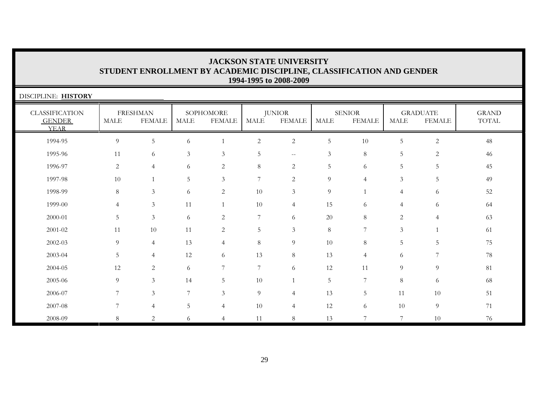| <b>JACKSON STATE UNIVERSITY</b>                                      |  |  |  |  |  |  |  |  |  |
|----------------------------------------------------------------------|--|--|--|--|--|--|--|--|--|
| STUDENT ENROLLMENT BY ACADEMIC DISCIPLINE, CLASSIFICATION AND GENDER |  |  |  |  |  |  |  |  |  |
| 1994-1995 to 2008-2009                                               |  |  |  |  |  |  |  |  |  |

| DISCIPLINE: HISTORY                                   |                |                                  |                |                            |                |                                |                |                                |                |                                  |                       |
|-------------------------------------------------------|----------------|----------------------------------|----------------|----------------------------|----------------|--------------------------------|----------------|--------------------------------|----------------|----------------------------------|-----------------------|
| <b>CLASSIFICATION</b><br><b>GENDER</b><br><b>YEAR</b> | MALE           | <b>FRESHMAN</b><br><b>FEMALE</b> | MALE           | SOPHOMORE<br><b>FEMALE</b> | <b>MALE</b>    | <b>JUNIOR</b><br><b>FEMALE</b> | <b>MALE</b>    | <b>SENIOR</b><br><b>FEMALE</b> | <b>MALE</b>    | <b>GRADUATE</b><br><b>FEMALE</b> | <b>GRAND</b><br>TOTAL |
| 1994-95                                               | $\overline{9}$ | 5                                | 6              |                            | $\overline{c}$ | 2                              | $5\,$          | 10                             | 5              | $\overline{2}$                   | 48                    |
| 1995-96                                               | 11             | 6                                | $\mathfrak{Z}$ | $\mathfrak{Z}$             | 5              | $\qquad \qquad -$              | 3              | 8                              | 5              | $\overline{2}$                   | 46                    |
| 1996-97                                               | $\overline{2}$ | $\overline{4}$                   | 6              | 2                          | 8              | 2                              | 5              | 6                              | 5              | 5                                | 45                    |
| 1997-98                                               | 10             | $\mathbf{1}$                     | 5              | 3                          | 7              | 2                              | 9              | $\overline{4}$                 | 3              | 5                                | 49                    |
| 1998-99                                               | 8              | 3                                | 6              | 2                          | 10             | $\mathfrak{Z}$                 | 9              |                                | $\overline{4}$ | 6                                | 52                    |
| 1999-00                                               | $\overline{4}$ | 3                                | 11             | $\mathbf{1}$               | 10             | $\overline{4}$                 | 15             | 6                              | $\overline{4}$ | 6                                | 64                    |
| 2000-01                                               | 5              | 3                                | 6              | 2                          | $\overline{7}$ | 6                              | 20             | 8                              | $\overline{2}$ | $\overline{4}$                   | 63                    |
| 2001-02                                               | 11             | 10                               | 11             | 2                          | 5              | 3                              | 8              | 7                              | 3              |                                  | 61                    |
| 2002-03                                               | 9              | $\overline{4}$                   | 13             | $\overline{4}$             | $8\,$          | 9                              | 10             | 8                              | 5              | 5                                | 75                    |
| 2003-04                                               | 5              | $\overline{4}$                   | 12             | 6                          | 13             | 8                              | 13             | $\overline{4}$                 | 6              |                                  | 78                    |
| 2004-05                                               | 12             | 2                                | 6              | 7                          | 7              | 6                              | 12             | 11                             | 9              | 9                                | 81                    |
| 2005-06                                               | 9              | 3                                | 14             | 5                          | 10             |                                | $\overline{5}$ | 7                              | 8              | 6                                | 68                    |
| 2006-07                                               | 7              | $\mathfrak{Z}$                   | $\overline{7}$ | $\mathfrak{Z}$             | $\overline{9}$ | $\overline{4}$                 | 13             | 5 <sub>1</sub>                 | 11             | 10                               | 51                    |
| 2007-08                                               | $\overline{7}$ | 4                                | 5              | $\overline{4}$             | 10             | $\overline{4}$                 | 12             | 6                              | 10             | $\overline{9}$                   | 71                    |
| 2008-09                                               | 8              | 2                                | 6              | 4                          | 11             | 8                              | 13             |                                | 7              | 10                               | 76                    |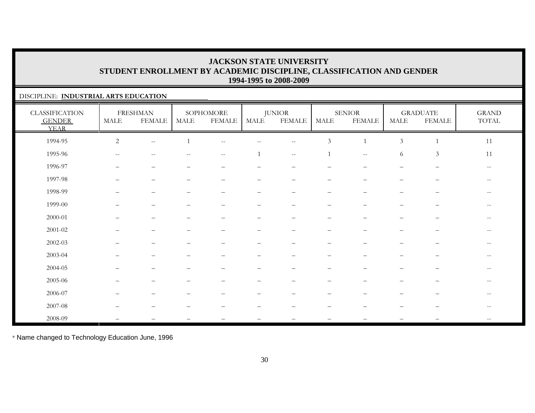#### DISCIPLINE: **INDUSTRIAL ARTS EDUCATION**

| <b>CLASSIFICATION</b><br><b>GENDER</b><br><b>YEAR</b> | MALE                     | <b>FRESHMAN</b><br><b>FEMALE</b>                      | MALE              | SOPHOMORE<br><b>FEMALE</b>                          | MALE                            | <b>JUNIOR</b><br><b>FEMALE</b> | MALE                     | <b>SENIOR</b><br><b>FEMALE</b>                      | <b>MALE</b>              | <b>GRADUATE</b><br><b>FEMALE</b> | $\operatorname{GRAND}$<br>TOTAL |
|-------------------------------------------------------|--------------------------|-------------------------------------------------------|-------------------|-----------------------------------------------------|---------------------------------|--------------------------------|--------------------------|-----------------------------------------------------|--------------------------|----------------------------------|---------------------------------|
| 1994-95                                               | $\overline{c}$           | $- -$                                                 |                   | $\hspace{0.05cm} -\hspace{0.05cm} -\hspace{0.05cm}$ | $-$                             | $- -$                          | $\mathfrak{Z}$           |                                                     | $\mathfrak{Z}$           |                                  | 11                              |
| 1995-96                                               | $--$                     | $\hspace{0.05cm} - \hspace{0.05cm} - \hspace{0.05cm}$ | $\qquad \qquad -$ | $--$                                                |                                 | $\overline{\phantom{m}}$       | 1                        | $\hspace{0.05cm} -\hspace{0.05cm} -\hspace{0.05cm}$ | 6                        | $\mathfrak{Z}$                   | 11                              |
| 1996-97                                               | $\qquad \qquad -$        | $\overbrace{\phantom{1232211}}$                       | —                 | $\overline{\phantom{0}}$                            | $\overline{\phantom{0}}$        | $\overline{\phantom{0}}$       | $\overline{\phantom{0}}$ | $\overline{\phantom{0}}$                            | $\qquad \qquad -$        | $\overline{\phantom{m}}$         | $\sim$ $\sim$                   |
| 1997-98                                               | $\overline{\phantom{0}}$ | $\overbrace{\phantom{1232211}}$                       | -                 | $\overline{\phantom{0}}$                            | $\overline{\phantom{0}}$        | $\overline{\phantom{0}}$       | $\qquad \qquad -$        | $\overbrace{\phantom{1232211}}$                     | $\overline{\phantom{0}}$ | -                                | $-$                             |
| 1998-99                                               | $\overline{\phantom{0}}$ | $\overbrace{\phantom{1232211}}$                       |                   | $\overline{\phantom{0}}$                            | $\overbrace{\phantom{1232211}}$ | $\overline{\phantom{m}}$       | -                        | $\overline{\phantom{0}}$                            | $\qquad \qquad -$        |                                  | $\overline{\phantom{m}}$        |
| 1999-00                                               |                          |                                                       |                   |                                                     |                                 |                                |                          |                                                     |                          |                                  |                                 |
| 2000-01                                               | —                        | $\overline{\phantom{m}}$                              |                   | $\overline{\phantom{m}}$                            | $\qquad \qquad -$               | $\qquad \qquad -$              | $\overline{\phantom{m}}$ | $\overline{\phantom{0}}$                            | —                        | $\overline{\phantom{m}}$         | $-\,-$                          |
| $2001 - 02$                                           |                          |                                                       |                   | -                                                   | $\overline{\phantom{m}}$        |                                | $\overline{\phantom{0}}$ |                                                     |                          | —                                | $- -$                           |
| $2002 - 03$                                           |                          |                                                       |                   |                                                     | $\overbrace{\phantom{1232211}}$ |                                | $\overline{\phantom{0}}$ |                                                     |                          | —                                | $\overline{\phantom{m}}$        |
| 2003-04                                               |                          |                                                       |                   |                                                     |                                 |                                |                          |                                                     |                          |                                  | $- -$                           |
| 2004-05                                               |                          |                                                       |                   |                                                     |                                 |                                |                          |                                                     |                          |                                  | $- -$                           |
| 2005-06                                               | —                        | $\overline{\phantom{0}}$                              |                   |                                                     |                                 | $\qquad \qquad -$              | $\overline{\phantom{m}}$ |                                                     |                          | $\overline{\phantom{m}}$         | $\overline{\phantom{m}}$        |
| 2006-07                                               |                          |                                                       |                   |                                                     |                                 |                                |                          |                                                     |                          |                                  |                                 |
| 2007-08                                               |                          | $\overline{\phantom{a}}$                              |                   |                                                     |                                 |                                |                          |                                                     |                          | -                                | $\overline{\phantom{m}}$        |
| 2008-09                                               |                          |                                                       |                   |                                                     |                                 |                                |                          |                                                     |                          |                                  | $\overline{\phantom{m}}$        |

\* Name changed to Technology Education June, 1996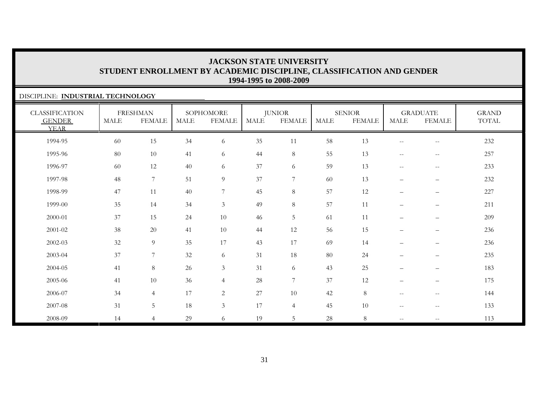#### DISCIPLINE: **INDUSTRIAL TECHNOLOGY**

| <b>CLASSIFICATION</b><br><b>GENDER</b><br><b>YEAR</b> | <b>MALE</b> | <b>FRESHMAN</b><br><b>FEMALE</b> | <b>MALE</b> | SOPHOMORE<br><b>FEMALE</b> | MALE | <b>JUNIOR</b><br><b>FEMALE</b> | <b>MALE</b> | <b>SENIOR</b><br><b>FEMALE</b> | <b>MALE</b>                                         | <b>GRADUATE</b><br><b>FEMALE</b>                      | <b>GRAND</b><br>TOTAL |
|-------------------------------------------------------|-------------|----------------------------------|-------------|----------------------------|------|--------------------------------|-------------|--------------------------------|-----------------------------------------------------|-------------------------------------------------------|-----------------------|
| 1994-95                                               | 60          | 15                               | 34          | 6                          | 35   | 11                             | 58          | 13                             | $\overline{\phantom{m}}$                            | $\hspace{0.05cm} -$                                   | 232                   |
| 1995-96                                               | 80          | 10                               | 41          | 6                          | 44   | 8                              | 55          | 13                             | $\hspace{0.05cm} -\hspace{0.05cm} -\hspace{0.05cm}$ | $\hspace{0.1mm}-\hspace{0.1mm}-\hspace{0.1mm}$        | 257                   |
| 1996-97                                               | 60          | 12                               | 40          | 6                          | 37   | 6                              | 59          | 13                             | $\overline{\phantom{m}}$                            | $-\,-$                                                | 233                   |
| 1997-98                                               | 48          | $7\phantom{.0}$                  | 51          | $\overline{9}$             | 37   | $7\phantom{.}$                 | 60          | 13                             | $\overline{\phantom{0}}$                            | $\qquad \qquad -$                                     | 232                   |
| 1998-99                                               | 47          | 11                               | 40          | 7                          | 45   | 8                              | 57          | 12                             | $\overline{\phantom{0}}$                            | $\overline{\phantom{0}}$                              | 227                   |
| 1999-00                                               | 35          | 14                               | 34          | $\mathfrak{Z}$             | 49   | $8\,$                          | 57          | 11                             | $\overline{\phantom{0}}$                            | $\overline{\phantom{0}}$                              | 211                   |
| 2000-01                                               | 37          | 15                               | 24          | 10                         | 46   | $\mathbf 5$                    | 61          | 11                             | $\overline{\phantom{0}}$                            | $\overline{\phantom{m}}$                              | 209                   |
| $2001 - 02$                                           | 38          | 20                               | 41          | 10                         | 44   | 12                             | 56          | 15                             | $\overline{\phantom{0}}$                            | $\qquad \qquad -$                                     | 236                   |
| $2002 - 03$                                           | 32          | 9                                | 35          | 17                         | 43   | 17                             | 69          | 14                             | $\overline{\phantom{0}}$                            | $\overline{\phantom{0}}$                              | 236                   |
| 2003-04                                               | 37          | $\overline{7}$                   | 32          | 6                          | 31   | 18                             | 80          | 24                             | $\overline{\phantom{0}}$                            | $\qquad \qquad -$                                     | 235                   |
| 2004-05                                               | 41          | $8\,$                            | $26\,$      | $\mathfrak{Z}$             | 31   | 6                              | 43          | 25                             | $\qquad \qquad -$                                   | $\overline{\phantom{m}}$                              | 183                   |
| 2005-06                                               | 41          | 10                               | 36          | $\overline{4}$             | 28   | $7\phantom{.}$                 | 37          | 12                             | $\overline{\phantom{0}}$                            | $\qquad \qquad -$                                     | 175                   |
| 2006-07                                               | 34          | $\overline{4}$                   | 17          | 2                          | 27   | 10                             | 42          | 8                              | $\overline{\phantom{a}}$                            | $\hspace{0.05cm} - \hspace{0.05cm} - \hspace{0.05cm}$ | 144                   |
| 2007-08                                               | 31          | 5                                | 18          | $\mathfrak{Z}$             | 17   | $\overline{4}$                 | 45          | 10                             | $\overline{\phantom{m}}$                            | $\hspace{0.05cm} - \hspace{0.05cm} - \hspace{0.05cm}$ | 133                   |
| 2008-09                                               | 14          | $\overline{4}$                   | 29          | 6                          | 19   | 5                              | 28          | $8\,$                          | $\sim$ $\sim$                                       | $-\,-$                                                | 113                   |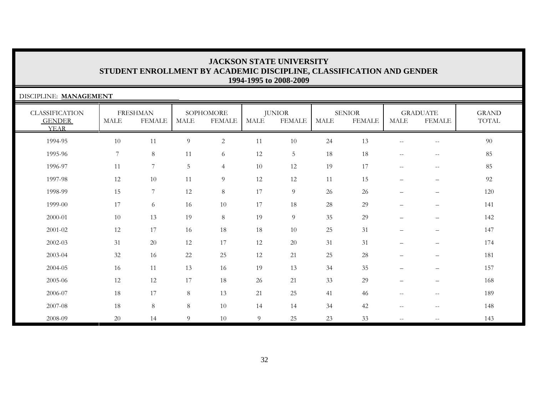| DISCIPLINE: MANAGEMENT                                |      |                                  |        |                            |                |                                |             |                                |                                                     |                                  |                       |
|-------------------------------------------------------|------|----------------------------------|--------|----------------------------|----------------|--------------------------------|-------------|--------------------------------|-----------------------------------------------------|----------------------------------|-----------------------|
| <b>CLASSIFICATION</b><br><b>GENDER</b><br><b>YEAR</b> | MALE | <b>FRESHMAN</b><br><b>FEMALE</b> | MALE   | SOPHOMORE<br><b>FEMALE</b> | MALE           | <b>JUNIOR</b><br><b>FEMALE</b> | <b>MALE</b> | <b>SENIOR</b><br><b>FEMALE</b> | MALE                                                | <b>GRADUATE</b><br><b>FEMALE</b> | <b>GRAND</b><br>TOTAL |
| 1994-95                                               | 10   | 11                               | 9      | $\sqrt{2}$                 | 11             | 10                             | 24          | 13                             | $\overline{\phantom{m}}$                            | $\overline{\phantom{m}}$         | 90                    |
| 1995-96                                               | 7    | $8\,$                            | 11     | 6                          | 12             | 5                              | 18          | 18                             | $\mathbf{u}$                                        | $- -$                            | 85                    |
| 1996-97                                               | 11   | $\overline{7}$                   | 5      | $\overline{4}$             | 10             | 12                             | 19          | 17                             | $\hspace{0.05cm} -\hspace{0.05cm} -\hspace{0.05cm}$ | $- -$                            | 85                    |
| 1997-98                                               | 12   | 10                               | 11     | 9                          | 12             | 12                             | 11          | 15                             | $\overline{\phantom{0}}$                            | $\qquad \qquad$                  | 92                    |
| 1998-99                                               | 15   | 7                                | 12     | $8\,$                      | 17             | $\overline{9}$                 | 26          | 26                             | $\overline{\phantom{m}}$                            | $\qquad \qquad$                  | 120                   |
| 1999-00                                               | 17   | 6                                | 16     | 10                         | 17             | 18                             | 28          | 29                             | $\overline{\phantom{m}}$                            | $\qquad \qquad$                  | 141                   |
| 2000-01                                               | 10   | 13                               | 19     | $8\,$                      | 19             | 9                              | 35          | 29                             |                                                     | $\qquad \qquad -$                | 142                   |
| 2001-02                                               | 12   | 17                               | 16     | 18                         | 18             | 10                             | 25          | 31                             | $\overline{\phantom{m}}$                            | $\qquad \qquad$                  | 147                   |
| $2002 - 03$                                           | 31   | 20                               | 12     | 17                         | 12             | 20                             | 31          | 31                             | $\overline{\phantom{m}}$                            | -                                | 174                   |
| 2003-04                                               | 32   | 16                               | $22\,$ | 25                         | 12             | 21                             | 25          | $28\,$                         | $\overline{\phantom{0}}$                            | $\overline{\phantom{0}}$         | 181                   |
| 2004-05                                               | 16   | 11                               | 13     | 16                         | 19             | 13                             | 34          | 35                             | $\qquad \qquad -$                                   | -                                | 157                   |
| 2005-06                                               | 12   | 12                               | 17     | 18                         | 26             | 21                             | 33          | 29                             |                                                     | $\qquad \qquad -$                | 168                   |
| 2006-07                                               | 18   | 17                               | $8\,$  | 13                         | 21             | 25                             | 41          | 46                             | $\overline{\phantom{m}}$                            | $-\,-$                           | 189                   |
| 2007-08                                               | 18   | 8                                | $8\,$  | 10                         | 14             | 14                             | 34          | 42                             | $\overline{\phantom{m}}$                            | $\overline{\phantom{m}}$         | 148                   |
| 2008-09                                               | 20   | 14                               | 9      | 10                         | $\overline{9}$ | 25                             | 23          | 33                             | $\overline{\phantom{a}}$                            | $- -$                            | 143                   |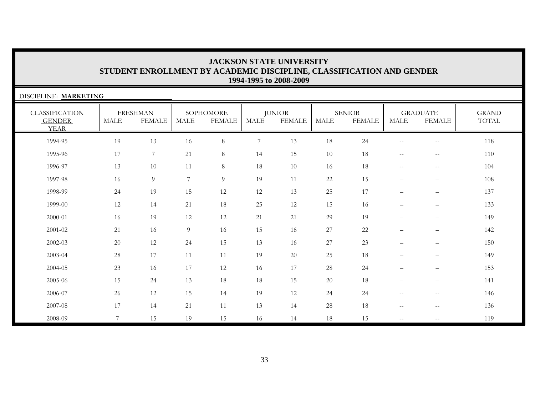| DISCIPLINE: MARKETING                                 |                 |                                  |                |                            |                |                                |             |                                |                                                     |                                                     |                       |
|-------------------------------------------------------|-----------------|----------------------------------|----------------|----------------------------|----------------|--------------------------------|-------------|--------------------------------|-----------------------------------------------------|-----------------------------------------------------|-----------------------|
| <b>CLASSIFICATION</b><br><b>GENDER</b><br><b>YEAR</b> | MALE            | <b>FRESHMAN</b><br><b>FEMALE</b> | MALE           | SOPHOMORE<br><b>FEMALE</b> | MALE           | <b>JUNIOR</b><br><b>FEMALE</b> | <b>MALE</b> | <b>SENIOR</b><br><b>FEMALE</b> | <b>MALE</b>                                         | <b>GRADUATE</b><br><b>FEMALE</b>                    | <b>GRAND</b><br>TOTAL |
| 1994-95                                               | 19              | 13                               | 16             | $8\,$                      | $\overline{7}$ | 13                             | 18          | 24                             | $\overline{\phantom{m}}$                            | $-\,-$                                              | 118                   |
| 1995-96                                               | 17              | $7\phantom{.}$                   | 21             | $8\,$                      | 14             | 15                             | 10          | 18                             | $\overline{\phantom{m}}$                            | $- -$                                               | 110                   |
| 1996-97                                               | 13              | 10                               | 11             | $8\,$                      | 18             | 10                             | 16          | 18                             | $\hspace{0.05cm} -\hspace{0.05cm} -\hspace{0.05cm}$ | $-\,-$                                              | 104                   |
| 1997-98                                               | 16              | $\overline{9}$                   | $\overline{7}$ | $\overline{9}$             | 19             | 11                             | 22          | 15                             | $\overline{\phantom{m}}$                            | $\qquad \qquad$                                     | 108                   |
| 1998-99                                               | 24              | 19                               | 15             | 12                         | 12             | 13                             | 25          | 17                             | $\overline{\phantom{0}}$                            | $\overline{\phantom{0}}$                            | 137                   |
| 1999-00                                               | 12              | 14                               | 21             | 18                         | 25             | 12                             | 15          | 16                             | $\overline{\phantom{m}}$                            | $\qquad \qquad$                                     | 133                   |
| 2000-01                                               | 16              | 19                               | 12             | 12                         | 21             | 21                             | 29          | 19                             | $\overline{\phantom{m}}$                            | $\qquad \qquad$                                     | 149                   |
| 2001-02                                               | 21              | 16                               | 9              | 16                         | 15             | 16                             | 27          | $22\,$                         | $\overline{\phantom{m}}$                            | $\qquad \qquad$                                     | 142                   |
| 2002-03                                               | 20              | 12                               | 24             | 15                         | 13             | 16                             | 27          | 23                             | $\qquad \qquad -$                                   | $\overline{\phantom{0}}$                            | 150                   |
| 2003-04                                               | 28              | 17                               | 11             | 11                         | 19             | 20                             | $25\,$      | $18\,$                         | $\overline{\phantom{m}}$                            | -                                                   | 149                   |
| 2004-05                                               | 23              | 16                               | 17             | 12                         | 16             | 17                             | $28\,$      | 24                             | $\overline{\phantom{m}}$                            | $\qquad \qquad$                                     | 153                   |
| 2005-06                                               | 15              | 24                               | 13             | 18                         | 18             | 15                             | $20\,$      | $18\,$                         | $\qquad \qquad -$                                   | -                                                   | 141                   |
| 2006-07                                               | 26              | 12                               | 15             | 14                         | 19             | 12                             | 24          | 24                             | $\overline{\phantom{m}}$                            | $\hspace{0.05cm} -\hspace{0.05cm} -\hspace{0.05cm}$ | 146                   |
| 2007-08                                               | 17              | 14                               | 21             | 11                         | 13             | 14                             | $28\,$      | 18                             | $\overline{\phantom{m}}$                            | $\overline{\phantom{m}}$                            | 136                   |
| 2008-09                                               | $7\phantom{.0}$ | 15                               | 19             | 15                         | 16             | 14                             | 18          | 15                             | $\overline{\phantom{a}}$                            | $- -$                                               | 119                   |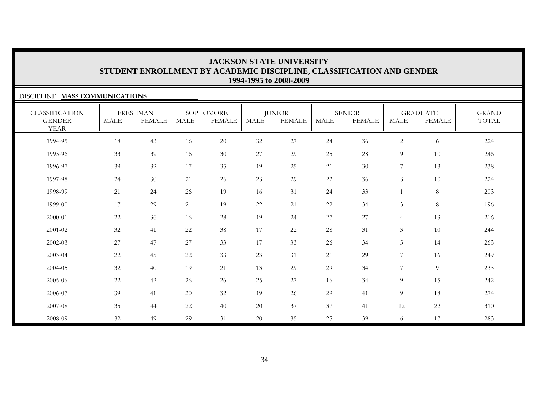#### DISCIPLINE: **MASS COMMUNICATIONS**

| <b>CLASSIFICATION</b><br><b>GENDER</b><br><b>YEAR</b> | <b>MALE</b> | <b>FRESHMAN</b><br><b>FEMALE</b> | <b>MALE</b> | SOPHOMORE<br><b>FEMALE</b> | <b>MALE</b> | <b>JUNIOR</b><br><b>FEMALE</b> | <b>MALE</b> | <b>SENIOR</b><br><b>FEMALE</b> | <b>MALE</b>    | <b>GRADUATE</b><br><b>FEMALE</b> | <b>GRAND</b><br>TOTAL |
|-------------------------------------------------------|-------------|----------------------------------|-------------|----------------------------|-------------|--------------------------------|-------------|--------------------------------|----------------|----------------------------------|-----------------------|
| 1994-95                                               | $18\,$      | 43                               | 16          | 20                         | 32          | $27\,$                         | 24          | 36                             | $\overline{c}$ | 6                                | 224                   |
| 1995-96                                               | 33          | 39                               | 16          | 30                         | $27\,$      | 29                             | 25          | 28                             | 9              | 10                               | 246                   |
| 1996-97                                               | 39          | $32\,$                           | 17          | 35                         | 19          | 25                             | 21          | 30                             | 7              | 13                               | 238                   |
| 1997-98                                               | 24          | 30                               | 21          | 26                         | 23          | 29                             | 22          | 36                             | 3              | 10                               | 224                   |
| 1998-99                                               | 21          | 24                               | 26          | 19                         | 16          | 31                             | 24          | 33                             |                | $8\,$                            | 203                   |
| 1999-00                                               | 17          | 29                               | 21          | 19                         | $22\,$      | 21                             | 22          | 34                             | 3              | $\,8\,$                          | 196                   |
| 2000-01                                               | 22          | 36                               | 16          | 28                         | 19          | 24                             | $27\,$      | $27\,$                         | $\overline{4}$ | 13                               | 216                   |
| $2001 - 02$                                           | 32          | 41                               | 22          | 38                         | 17          | 22                             | $28\,$      | 31                             | $\mathfrak{Z}$ | 10                               | 244                   |
| 2002-03                                               | 27          | 47                               | 27          | 33                         | 17          | 33                             | 26          | 34                             | 5              | 14                               | 263                   |
| $2003 - 04$                                           | $22\,$      | 45                               | 22          | 33                         | 23          | 31                             | 21          | 29                             | 7              | 16                               | 249                   |
| 2004-05                                               | 32          | 40                               | 19          | 21                         | 13          | 29                             | 29          | 34                             | 7              | 9                                | 233                   |
| 2005-06                                               | 22          | 42                               | 26          | 26                         | 25          | 27                             | 16          | 34                             | 9              | 15                               | 242                   |
| 2006-07                                               | 39          | 41                               | 20          | 32                         | 19          | 26                             | 29          | 41                             | 9              | 18                               | 274                   |
| 2007-08                                               | 35          | 44                               | 22          | 40                         | 20          | 37                             | 37          | 41                             | 12             | 22                               | 310                   |
| 2008-09                                               | 32          | 49                               | 29          | 31                         | 20          | 35                             | 25          | 39                             | 6              | 17                               | 283                   |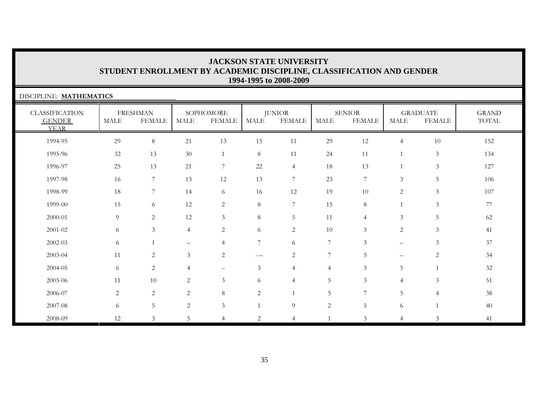| DISCIPLINE: MATHEMATICS                               |             |                                  |                          |                            |                |                                |                |                                |                          |                                  |                       |
|-------------------------------------------------------|-------------|----------------------------------|--------------------------|----------------------------|----------------|--------------------------------|----------------|--------------------------------|--------------------------|----------------------------------|-----------------------|
| <b>CLASSIFICATION</b><br><b>GENDER</b><br><b>YEAR</b> | <b>MALE</b> | <b>FRESHMAN</b><br><b>FEMALE</b> | <b>MALE</b>              | SOPHOMORE<br><b>FEMALE</b> | <b>MALE</b>    | <b>JUNIOR</b><br><b>FEMALE</b> | <b>MALE</b>    | <b>SENIOR</b><br><b>FEMALE</b> | <b>MALE</b>              | <b>GRADUATE</b><br><b>FEMALE</b> | <b>GRAND</b><br>TOTAL |
| 1994-95                                               | 29          | 8                                | 21                       | 13                         | 15             | 11                             | 29             | 12                             | $\overline{4}$           | 10                               | 152                   |
| 1995-96                                               | 32          | 13                               | 30                       | 1                          | $8\,$          | 11                             | 24             | 11                             | $\overline{1}$           | $\mathfrak{Z}$                   | 134                   |
| 1996-97                                               | 25          | 13                               | 21                       | $\overline{7}$             | $22\,$         | $\overline{4}$                 | 18             | 13                             | $\overline{1}$           | $\mathfrak{Z}$                   | 127                   |
| 1997-98                                               | 16          | 7                                | 13                       | 12                         | 13             | $\overline{7}$                 | 23             | 7                              | $\mathfrak{Z}$           | 5                                | 106                   |
| 1998-99                                               | 18          | 7                                | 14                       | 6                          | 16             | 12                             | 19             | $10\,$                         | $\sqrt{2}$               | $\mathfrak{Z}$                   | 107                   |
| 1999-00                                               | 15          | 6                                | 12                       | 2                          | $8\,$          | $\overline{7}$                 | 15             | 8                              |                          | 3                                | 77                    |
| 2000-01                                               | 9           | 2                                | 12                       | 3                          | $8\,$          | 5                              | 11             | $\overline{4}$                 | 3                        | 5                                | 62                    |
| 2001-02                                               | 6           | $\mathfrak{Z}$                   | 4                        | $\overline{2}$             | 6              | $\overline{c}$                 | 10             | 3                              | $\overline{2}$           | 3                                | 41                    |
| 2002-03                                               | 6           |                                  | $\overline{\phantom{0}}$ | $\overline{4}$             | 7              | 6                              | 7              | 3                              | $\qquad \qquad -$        | $\mathfrak{Z}$                   | 37                    |
| 2003-04                                               | 11          | $\mathbf{2}$                     | $\mathfrak{Z}$           | $\overline{2}$             | ---            | $\sqrt{2}$                     | 7              | 5                              | $\overline{\phantom{0}}$ | $\mathbf{2}$                     | 34                    |
| 2004-05                                               | 6           | $\overline{2}$                   | 4                        | $\overline{\phantom{m}}$   | 3              | $\overline{4}$                 | $\overline{4}$ | 3                              | 5                        | $\mathbf{1}$                     | 32                    |
| 2005-06                                               | 11          | 10                               | $\overline{c}$           | $\mathfrak{Z}$             | 6              | $\overline{4}$                 | 5              | $\mathfrak{Z}$                 | $\overline{4}$           | 3                                | 51                    |
| 2006-07                                               | 2           | $\overline{c}$                   | $\overline{2}$           | $\,8\,$                    | $\mathbf{2}$   | $\mathbf{1}$                   | 5              | 7                              | 5                        | $\overline{4}$                   | $38\,$                |
| 2007-08                                               | 6           | $5\phantom{.}$                   | $\overline{2}$           | $\mathfrak{Z}$             | $\mathbf{1}$   | 9                              | $\mathbf{2}$   | $5\phantom{.0}$                | 6                        |                                  | 40                    |
| 2008-09                                               | 12          | 3                                | 5                        | $\overline{4}$             | $\overline{2}$ | $\overline{4}$                 |                | 3                              | $\overline{4}$           | 3                                | 41                    |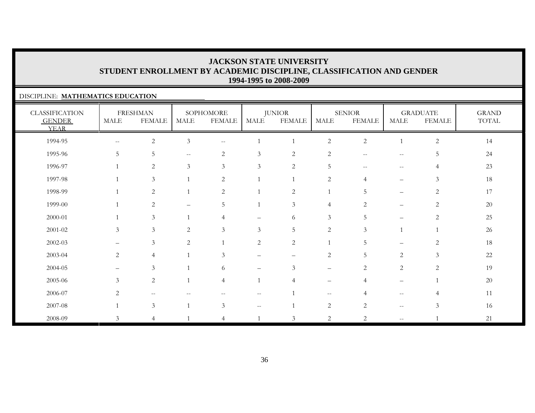#### DISCIPLINE: **MATHEMATICS EDUCATION**

| <b>CLASSIFICATION</b><br><b>GENDER</b><br><b>YEAR</b> | <b>MALE</b>              | <b>FRESHMAN</b><br><b>FEMALE</b> | MALE                                           | SOPHOMORE<br><b>FEMALE</b>                          | MALE                     | <b>JUNIOR</b><br><b>FEMALE</b> | <b>MALE</b>       | <b>SENIOR</b><br><b>FEMALE</b> | <b>MALE</b>                                           | <b>GRADUATE</b><br><b>FEMALE</b> | <b>GRAND</b><br>TOTAL |
|-------------------------------------------------------|--------------------------|----------------------------------|------------------------------------------------|-----------------------------------------------------|--------------------------|--------------------------------|-------------------|--------------------------------|-------------------------------------------------------|----------------------------------|-----------------------|
| 1994-95                                               | $- -$                    | $\sqrt{2}$                       | $\mathfrak{Z}$                                 | $\hspace{0.05cm} -\hspace{0.05cm} -\hspace{0.05cm}$ |                          |                                | $\overline{c}$    | $\sqrt{2}$                     |                                                       | $\sqrt{2}$                       | 14                    |
| 1995-96                                               | 5                        | $\sqrt{5}$                       | $\hspace{0.1mm}-\hspace{0.1mm}-\hspace{0.1mm}$ | $\overline{c}$                                      | $\mathfrak{Z}$           | $\sqrt{2}$                     | $\sqrt{2}$        | $\sim$ $-$                     | $\hspace{0.05cm} -\hspace{0.05cm} -\hspace{0.05cm}$   | 5                                | 24                    |
| 1996-97                                               | -1                       | $\overline{2}$                   | $\mathfrak{Z}$                                 | $\mathfrak{Z}$                                      | 3                        | $\overline{2}$                 | $\overline{5}$    | $\overline{\phantom{m}}$       | $--$                                                  | $\overline{4}$                   | 23                    |
| 1997-98                                               |                          | $\mathfrak{Z}$                   |                                                | $\overline{c}$                                      |                          |                                | $\overline{c}$    | $\overline{4}$                 | $\qquad \qquad -$                                     | $\mathfrak{Z}$                   | 18                    |
| 1998-99                                               |                          | $\overline{2}$                   |                                                | $\sqrt{2}$                                          |                          | $\sqrt{2}$                     | $\mathbf{1}$      | 5                              | $\overline{\phantom{m}}$                              | $\sqrt{2}$                       | 17                    |
| 1999-00                                               |                          | $\overline{2}$                   |                                                | 5                                                   |                          | 3                              | $\overline{4}$    | 2                              | $\qquad \qquad -$                                     | $\mathbf{2}$                     | 20                    |
| 2000-01                                               |                          | $\mathfrak{Z}$                   |                                                | $\overline{4}$                                      |                          | 6                              | 3                 | 5                              | $\overline{\phantom{0}}$                              | $\overline{2}$                   | 25                    |
| 2001-02                                               | 3                        | $\mathfrak{Z}$                   | 2                                              | $\mathfrak{Z}$                                      | 3                        | 5                              | $\mathbf{2}$      | $\mathfrak{Z}$                 |                                                       |                                  | 26                    |
| 2002-03                                               | $\qquad \qquad -$        | $\mathfrak{Z}$                   | $\sqrt{2}$                                     |                                                     | $\sqrt{2}$               | $\sqrt{2}$                     | $\mathbf{1}$      | 5                              | $\qquad \qquad -$                                     | $\overline{c}$                   | 18                    |
| 2003-04                                               | $\overline{2}$           | $\overline{4}$                   |                                                | 3                                                   | -                        | $\qquad \qquad -$              | $\overline{c}$    | 5                              | $\overline{c}$                                        | $\mathfrak{Z}$                   | 22                    |
| 2004-05                                               | $\overline{\phantom{0}}$ | $\mathfrak{Z}$                   |                                                | 6                                                   | $\overline{\phantom{0}}$ | $\mathfrak{Z}$                 | $\qquad \qquad -$ | $\overline{2}$                 | 2                                                     | $\overline{2}$                   | 19                    |
| 2005-06                                               | 3                        | $\sqrt{2}$                       |                                                | $\overline{4}$                                      | $\mathbf{1}$             | $\overline{4}$                 | $\qquad \qquad -$ | $\overline{4}$                 | $\overline{\phantom{m}}$                              |                                  | 20                    |
| 2006-07                                               | 2                        | --                               |                                                |                                                     | --                       |                                | $\qquad \qquad -$ | $\overline{4}$                 | $\hspace{0.05cm} - \hspace{0.05cm} - \hspace{0.05cm}$ |                                  | 11                    |
| 2007-08                                               |                          | $\mathfrak{Z}$                   |                                                | 3                                                   | $\overline{\phantom{a}}$ |                                | $\sqrt{2}$        | $\overline{2}$                 | $\sim$ $-$                                            | 3                                | 16                    |
| 2008-09                                               | 3                        | $\overline{4}$                   |                                                | 4                                                   |                          | $\mathfrak{Z}$                 | $\overline{c}$    | $\overline{2}$                 | $\mathbf{u}$                                          |                                  | 21                    |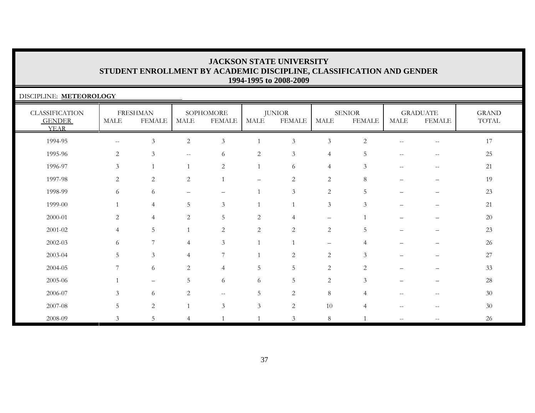| DISCIPLINE: METEOROLOGY                               |                |                                  |                                                     |                            |                |                                |                |                                |       |                                  |                       |
|-------------------------------------------------------|----------------|----------------------------------|-----------------------------------------------------|----------------------------|----------------|--------------------------------|----------------|--------------------------------|-------|----------------------------------|-----------------------|
| <b>CLASSIFICATION</b><br><b>GENDER</b><br><b>YEAR</b> | MALE           | <b>FRESHMAN</b><br><b>FEMALE</b> | MALE                                                | SOPHOMORE<br><b>FEMALE</b> | MALE           | <b>JUNIOR</b><br><b>FEMALE</b> | MALE           | <b>SENIOR</b><br><b>FEMALE</b> | MALE  | <b>GRADUATE</b><br><b>FEMALE</b> | <b>GRAND</b><br>TOTAL |
| 1994-95                                               | $\sim$ $-$     | 3                                | $\overline{2}$                                      | 3                          | $\mathbf{1}$   | $\mathfrak{Z}$                 | $\mathfrak{Z}$ | 2                              | $- -$ | $\overline{\phantom{m}}$         | 17                    |
| 1995-96                                               | 2              | $\mathfrak{Z}$                   | $\hspace{0.05cm} -\hspace{0.05cm} -\hspace{0.05cm}$ | 6                          | $\overline{c}$ | $\mathfrak{Z}$                 | $\overline{4}$ | 5                              | $-$   | --                               | 25                    |
| 1996-97                                               | 3              |                                  |                                                     | 2                          | $\mathbf{1}$   | 6                              | $\overline{4}$ | 3                              | $-$   | $\overline{\phantom{m}}$         | 21                    |
| 1997-98                                               | $\overline{2}$ | $\overline{c}$                   | $\overline{2}$                                      |                            |                | $\overline{2}$                 | $\mathbf{2}$   | 8                              |       |                                  | 19                    |
| 1998-99                                               | 6              | 6                                |                                                     |                            |                | 3                              | $\mathbf{2}$   | $\overline{5}$                 |       |                                  | 23                    |
| 1999-00                                               |                | $\overline{4}$                   | 5                                                   | 3                          |                |                                | 3              | 3                              |       |                                  | 21                    |
| 2000-01                                               | $\mathfrak{D}$ | $\overline{4}$                   | $\overline{2}$                                      | 5                          | $\mathbf{2}$   | $\overline{4}$                 |                |                                |       |                                  | 20                    |
| $2001 - 02$                                           | $\overline{4}$ | $\overline{5}$                   |                                                     | $\overline{2}$             | 2              | $\overline{2}$                 | $\mathbf{2}$   | 5                              |       |                                  | 23                    |
| 2002-03                                               | 6              |                                  | 4                                                   | 3                          |                |                                |                |                                |       |                                  | 26                    |
| 2003-04                                               | .5             | $\mathfrak{Z}$                   | 4                                                   | 7                          |                | 2                              | 2              | $\mathcal{Z}$                  |       |                                  | $27\,$                |
| 2004-05                                               | 7              | 6                                | 2                                                   | $\overline{4}$             | 5              | 5                              | 2              | 2                              |       |                                  | 33                    |
| 2005-06                                               |                |                                  | 5                                                   | 6                          | 6              | 5                              | $\mathbf{2}$   | 3                              |       |                                  | 28                    |
| 2006-07                                               | 3              | 6                                | 2                                                   | $\overline{\phantom{a}}$   | 5              | $\overline{c}$                 | $\,8\,$        |                                | $-$   | $-$                              | 30                    |
| 2007-08                                               | 5              | 2                                |                                                     | $\mathfrak{Z}$             | $\mathfrak{Z}$ | $\overline{c}$                 | 10             | 4                              |       |                                  | 30                    |
| 2008-09                                               | $\mathcal{Z}$  | .5                               | 4                                                   |                            |                | 3                              | $\,8\,$        |                                |       |                                  | 26                    |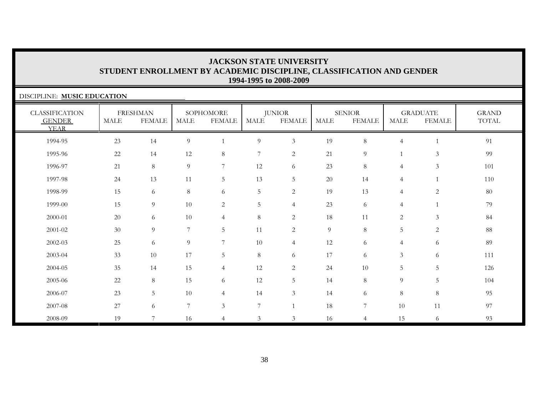| DISCIPLINE: MUSIC EDUCATION                           |        |                                  |                  |                            |                  |                                |                |                                |                |                                  |                       |
|-------------------------------------------------------|--------|----------------------------------|------------------|----------------------------|------------------|--------------------------------|----------------|--------------------------------|----------------|----------------------------------|-----------------------|
| <b>CLASSIFICATION</b><br><b>GENDER</b><br><b>YEAR</b> | MALE   | <b>FRESHMAN</b><br><b>FEMALE</b> | <b>MALE</b>      | SOPHOMORE<br><b>FEMALE</b> | <b>MALE</b>      | <b>JUNIOR</b><br><b>FEMALE</b> | <b>MALE</b>    | <b>SENIOR</b><br><b>FEMALE</b> | <b>MALE</b>    | <b>GRADUATE</b><br><b>FEMALE</b> | <b>GRAND</b><br>TOTAL |
| 1994-95                                               | 23     | 14                               | $\overline{9}$   |                            | $\overline{9}$   | $\mathfrak{Z}$                 | 19             | 8                              | $\overline{4}$ | $\mathbf{1}$                     | 91                    |
| 1995-96                                               | 22     | 14                               | 12               | 8                          | $\boldsymbol{7}$ | 2                              | 21             | 9                              |                | $\mathfrak{Z}$                   | 99                    |
| 1996-97                                               | 21     | 8                                | 9                | $\overline{7}$             | 12               | 6                              | 23             | 8                              | $\overline{4}$ | 3                                | 101                   |
| 1997-98                                               | 24     | 13                               | 11               | $5\phantom{.0}$            | 13               | 5                              | 20             | 14                             | $\overline{4}$ | $\mathbf{1}$                     | 110                   |
| 1998-99                                               | 15     | 6                                | 8                | 6                          | $\overline{5}$   | 2                              | 19             | 13                             | $\overline{4}$ | 2                                | 80                    |
| 1999-00                                               | 15     | 9                                | 10               | 2                          | $\overline{5}$   | $\overline{4}$                 | 23             | 6                              | $\overline{4}$ | $\mathbf{1}$                     | 79                    |
| 2000-01                                               | 20     | 6                                | 10               | $\overline{4}$             | 8                | 2                              | 18             | 11                             | 2              | $\mathfrak{Z}$                   | 84                    |
| 2001-02                                               | 30     | 9                                | 7                | $5\phantom{.0}$            | 11               | $\overline{2}$                 | $\overline{9}$ | $8\phantom{.}$                 | 5              | $\sqrt{2}$                       | 88                    |
| 2002-03                                               | 25     | 6                                | 9                | 7                          | 10               | $\overline{4}$                 | 12             | 6                              | $\overline{4}$ | 6                                | 89                    |
| 2003-04                                               | 33     | 10                               | 17               | $5\phantom{.0}$            | $8\,$            | 6                              | 17             | 6                              | $\mathfrak{Z}$ | $\sqrt{6}$                       | 111                   |
| 2004-05                                               | 35     | 14                               | 15               | $\overline{4}$             | 12               | 2                              | 24             | 10                             | 5              | 5                                | 126                   |
| 2005-06                                               | 22     | 8                                | 15               | 6                          | 12               | 5                              | 14             | 8                              | 9              | 5                                | 104                   |
| 2006-07                                               | 23     | 5                                | $10\,$           | $\overline{4}$             | 14               | $\mathfrak{Z}$                 | 14             | 6                              | 8              | $\,8\,$                          | 95                    |
| 2007-08                                               | $27\,$ | 6                                | $\boldsymbol{7}$ | $\mathfrak{Z}$             | $\boldsymbol{7}$ |                                | 18             | 7                              | 10             | 11                               | 97                    |
| 2008-09                                               | 19     | 7                                | 16               | $\overline{4}$             | $\overline{3}$   | 3                              | 16             | $\overline{4}$                 | 15             | 6                                | 93                    |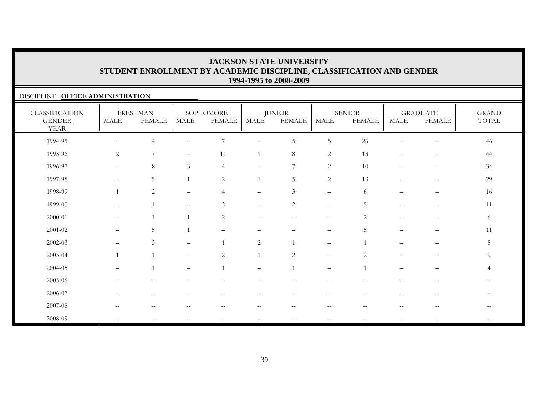#### DISCIPLINE: **OFFICE ADMINISTRATION**

| <b>CLASSIFICATION</b><br><b>GENDER</b><br><b>YEAR</b> | $\operatorname{MALE}$                         | <b>FRESHMAN</b><br><b>FEMALE</b> | MALE                     | SOPHOMORE<br><b>FEMALE</b> | MALE                     | <b>JUNIOR</b><br><b>FEMALE</b> | <b>MALE</b>                     | <b>SENIOR</b><br><b>FEMALE</b> | MALE                                                  | <b>GRADUATE</b><br><b>FEMALE</b>                      | <b>GRAND</b><br>TOTAL |
|-------------------------------------------------------|-----------------------------------------------|----------------------------------|--------------------------|----------------------------|--------------------------|--------------------------------|---------------------------------|--------------------------------|-------------------------------------------------------|-------------------------------------------------------|-----------------------|
| 1994-95                                               | $\mathord{\hspace{1pt}\text{--}\hspace{1pt}}$ | $\overline{4}$                   | $\overline{\phantom{a}}$ | 7                          | $- -$                    | $\mathbf 5$                    | $5\,$                           | 26                             | $\overline{\phantom{m}}$                              | $\hspace{0.05cm}$ – $\hspace{0.05cm}$                 | 46                    |
| 1995-96                                               | $\overline{2}$                                | 7                                | $\sim$                   | 11                         |                          | $\,8\,$                        | 2                               | 13                             | $\hspace{0.05cm} - \hspace{0.05cm} - \hspace{0.05cm}$ | $\hspace{0.05cm} - \hspace{0.05cm} - \hspace{0.05cm}$ | 44                    |
| 1996-97                                               | $\sim$ $\sim$                                 | 8                                | $\mathfrak{Z}$           | $\overline{4}$             | $\overline{\phantom{a}}$ | 7                              | $\mathbf{2}$                    | 10                             | $\hspace{0.05cm}$ $\hspace{0.05cm}$                   | $\hspace{0.05cm} -\hspace{0.05cm} -\hspace{0.05cm}$   | 34                    |
| 1997-98                                               | $\qquad \qquad -$                             | $\overline{5}$                   | $\mathbf{1}$             | $\overline{c}$             |                          | $\sqrt{5}$                     | $\overline{2}$                  | 13                             | $-$                                                   | $\qquad \qquad -$                                     | 29                    |
| 1998-99                                               | $\mathbf{1}$                                  | $\overline{c}$                   | $\qquad \qquad -$        | $\overline{4}$             | $\overline{\phantom{m}}$ | $\mathfrak{Z}$                 | $\overline{\phantom{m}}$        | 6                              | $\qquad \qquad -$                                     | $\overline{\phantom{m}}$                              | 16                    |
| 1999-00                                               | $\qquad \qquad -$                             |                                  |                          | $\mathfrak{Z}$             | $\qquad \qquad -$        | $\overline{2}$                 | $\qquad \qquad -$               | 5                              |                                                       |                                                       | 11                    |
| 2000-01                                               |                                               |                                  |                          | 2                          | $\overline{\phantom{0}}$ |                                | $\qquad \qquad -$               | $\overline{2}$                 |                                                       |                                                       | 6                     |
| $2001 - 02$                                           | $\qquad \qquad -$                             | 5                                |                          |                            |                          |                                | $\qquad \qquad -$               | 5                              | $\overline{\phantom{0}}$                              | —                                                     | 11                    |
| $2002 - 03$                                           | $\qquad \qquad -$                             | 3                                | $\qquad \qquad -$        |                            | $\sqrt{2}$               |                                | $\qquad \qquad -$               |                                |                                                       | —                                                     | $8\,$                 |
| 2003-04                                               | $\mathbf{1}$                                  |                                  |                          | 2                          |                          | $\overline{c}$                 | $\qquad \qquad -$               | $\overline{2}$                 |                                                       |                                                       | $\overline{9}$        |
| 2004-05                                               | $\qquad \qquad =$                             |                                  | $\overline{\phantom{0}}$ |                            | $\overline{\phantom{0}}$ |                                | $\qquad \qquad -$               |                                |                                                       |                                                       | $\overline{4}$        |
| 2005-06                                               | $\equiv$                                      | $\overline{\phantom{0}}$         |                          |                            |                          | $\overline{\phantom{0}}$       | $\overbrace{\phantom{1232211}}$ |                                | -                                                     |                                                       | $- -$                 |
| 2006-07                                               |                                               | $\overline{\phantom{0}}$         |                          |                            |                          |                                |                                 |                                |                                                       |                                                       |                       |
| 2007-08                                               | $\qquad \qquad -$                             | $\qquad \qquad -$                |                          | $- -$                      | --                       | $\overline{\phantom{m}}$       | $-$                             | $-$                            |                                                       | $\qquad \qquad -$                                     | $ -$                  |
| 2008-09                                               | $\qquad \qquad -$                             | $\qquad \qquad -$                |                          | $\qquad \qquad -$          | $-$                      | $\overline{\phantom{m}}$       | $\overline{\phantom{a}}$        | $\overline{\phantom{m}}$       |                                                       |                                                       |                       |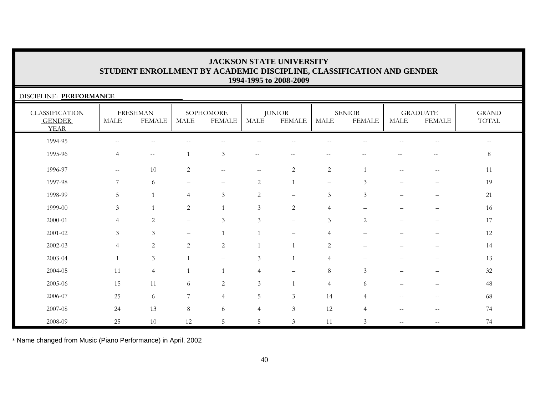| DISCIPLINE: PERFORMANCE                               |                          |                                                     |                          |                     |                          |                                |                          |                                |                                       |                                       |                              |
|-------------------------------------------------------|--------------------------|-----------------------------------------------------|--------------------------|---------------------|--------------------------|--------------------------------|--------------------------|--------------------------------|---------------------------------------|---------------------------------------|------------------------------|
| <b>CLASSIFICATION</b><br><b>GENDER</b><br><b>YEAR</b> | <b>MALE</b>              | <b>FRESHMAN</b><br><b>FEMALE</b>                    | <b>MALE</b>              | SOPHOMORE<br>FEMALE | MALE                     | <b>JUNIOR</b><br><b>FEMALE</b> | <b>MALE</b>              | <b>SENIOR</b><br><b>FEMALE</b> | <b>MALE</b>                           | <b>GRADUATE</b><br><b>FEMALE</b>      | <b>GRAND</b><br><b>TOTAL</b> |
| 1994-95                                               |                          |                                                     |                          |                     |                          |                                |                          |                                |                                       |                                       |                              |
| 1995-96                                               | $\overline{4}$           | $\hspace{0.05cm} -\hspace{0.05cm} -\hspace{0.05cm}$ |                          | $\mathfrak{Z}$      | $\overline{\phantom{m}}$ |                                | --                       |                                |                                       |                                       | 8                            |
| 1996-97                                               | $\overline{\phantom{m}}$ | 10                                                  | 2                        | $- -$               | $\overline{\phantom{m}}$ | $\overline{2}$                 | $\overline{2}$           |                                |                                       | $\hspace{0.05cm}$ – $\hspace{0.05cm}$ | 11                           |
| 1997-98                                               | $\overline{7}$           | 6                                                   |                          |                     | $\overline{2}$           |                                | $\overline{\phantom{m}}$ | 3                              |                                       |                                       | 19                           |
| 1998-99                                               | .5                       |                                                     | 4                        | 3                   | 2                        |                                | 3                        | 3                              |                                       | —                                     | 21                           |
| 1999-00                                               | 3                        |                                                     | 2                        |                     | 3                        | 2                              | $\overline{4}$           |                                |                                       |                                       | 16                           |
| $2000 - 01$                                           | $\overline{4}$           | 2                                                   | $\overline{\phantom{0}}$ | 3                   | 3                        | $\overline{\phantom{m}}$       | 3                        | 2                              |                                       |                                       | 17                           |
| 2001-02                                               | 3                        | $\mathfrak{Z}$                                      | $\overline{\phantom{0}}$ |                     |                          |                                |                          |                                |                                       |                                       | $12\,$                       |
| 2002-03                                               | $\overline{4}$           | 2                                                   | $\overline{2}$           | $\overline{2}$      |                          |                                | 2                        |                                |                                       |                                       | 14                           |
| 2003-04                                               | $\mathbf{1}$             | $\mathfrak{Z}$                                      |                          |                     | 3                        |                                | $\overline{4}$           |                                |                                       |                                       | 13                           |
| 2004-05                                               | 11                       | $\overline{4}$                                      |                          |                     | $\overline{4}$           |                                | 8                        | 3                              |                                       |                                       | 32                           |
| 2005-06                                               | 15                       | 11                                                  | 6                        | 2                   | 3                        |                                | $\overline{4}$           | 6                              |                                       |                                       | 48                           |
| 2006-07                                               | 25                       | 6                                                   | 7                        | $\overline{4}$      | 5                        | $\mathfrak{Z}$                 | 14                       | 4                              |                                       | $-$                                   | 68                           |
| 2007-08                                               | 24                       | 13                                                  | $\,8\,$                  | 6                   | $\overline{4}$           | $\mathfrak{Z}$                 | 12                       | 4                              | $\hspace{0.05cm}$ – $\hspace{0.05cm}$ | $\hspace{0.05cm}$ – $\hspace{0.05cm}$ | 74                           |
| 2008-09                                               | 25                       | 10                                                  | 12                       | 5                   | $\mathbf 5$              | $\mathfrak{Z}$                 | 11                       | 3                              | $\sim$ $-$                            | $\qquad \qquad -$                     | 74                           |

\* Name changed from Music (Piano Performance) in April, 2002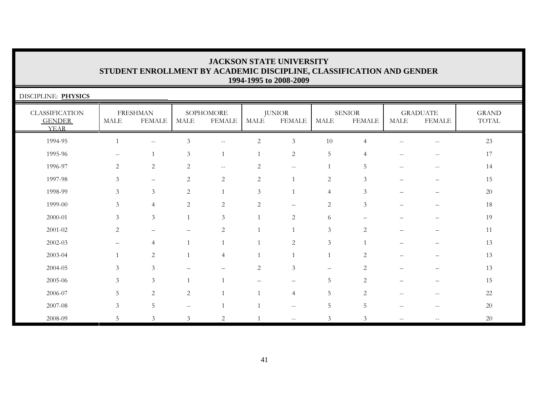| DISCIPLINE: PHYSICS                                   |                |                                  |                   |                                                     |             |                                |                |                                |                                                     |                                  |                       |
|-------------------------------------------------------|----------------|----------------------------------|-------------------|-----------------------------------------------------|-------------|--------------------------------|----------------|--------------------------------|-----------------------------------------------------|----------------------------------|-----------------------|
| <b>CLASSIFICATION</b><br><b>GENDER</b><br><b>YEAR</b> | <b>MALE</b>    | <b>FRESHMAN</b><br><b>FEMALE</b> | MALE              | SOPHOMORE<br><b>FEMALE</b>                          | <b>MALE</b> | <b>JUNIOR</b><br><b>FEMALE</b> | <b>MALE</b>    | <b>SENIOR</b><br><b>FEMALE</b> | $\operatorname{MALE}$                               | <b>GRADUATE</b><br><b>FEMALE</b> | <b>GRAND</b><br>TOTAL |
| 1994-95                                               |                | $\mathbf{u}$                     | $\mathfrak{Z}$    | $\hspace{0.05cm} -\hspace{0.05cm} -\hspace{0.05cm}$ | 2           | 3                              | 10             | $\overline{4}$                 | $\overline{\phantom{m}}$                            | $-\,-$                           | 23                    |
| 1995-96                                               |                |                                  | 3                 |                                                     |             | $\overline{2}$                 | 5              | $\overline{4}$                 | $-$                                                 | $-$                              | 17                    |
| 1996-97                                               | 2              | $\overline{c}$                   | 2                 | $\hspace{0.1mm}-\hspace{0.1mm}-\hspace{0.1mm}$      | 2           | $--$                           |                | 5                              | $\hspace{0.05cm} -\hspace{0.05cm} -\hspace{0.05cm}$ | $\overline{\phantom{m}}$         | 14                    |
| 1997-98                                               | $\mathfrak{Z}$ | $\overline{\phantom{m}}$         | $\overline{c}$    | 2                                                   | 2           |                                | $\overline{2}$ | $\mathfrak{Z}$                 |                                                     |                                  | 15                    |
| 1998-99                                               | 3              | $\overline{3}$                   | $\overline{c}$    | $\mathbf{1}$                                        | 3           |                                | $\overline{4}$ | 3                              |                                                     | $\overline{\phantom{0}}$         | 20                    |
| 1999-00                                               | 3              | $\overline{4}$                   | 2                 | $\sqrt{2}$                                          | 2           |                                | $\overline{2}$ | 3                              |                                                     |                                  | 18                    |
| 2000-01                                               | 3              | $\mathfrak{Z}$                   |                   | 3                                                   |             | 2                              | 6              |                                |                                                     |                                  | 19                    |
| 2001-02                                               | 2              |                                  |                   | $\overline{2}$                                      |             |                                | $\mathfrak{Z}$ | 2                              |                                                     |                                  | 11                    |
| 2002-03                                               |                | $\overline{4}$                   |                   |                                                     |             | $\overline{2}$                 | 3              |                                |                                                     |                                  | 13                    |
| 2003-04                                               |                | $\overline{c}$                   |                   | $\overline{4}$                                      |             |                                |                | 2                              |                                                     |                                  | 13                    |
| 2004-05                                               | 3              | $\mathfrak{Z}$                   |                   |                                                     | 2           | 3                              |                | 2                              |                                                     |                                  | 13                    |
| 2005-06                                               | 3              | $\mathfrak{Z}$                   |                   |                                                     |             |                                | 5              | 2                              |                                                     |                                  | 15                    |
| 2006-07                                               | 5              | $\overline{c}$                   | 2                 |                                                     |             | $\overline{4}$                 | 5              | 2                              | $-$                                                 | $-$                              | 22                    |
| 2007-08                                               | 3              | 5                                | $\qquad \qquad -$ |                                                     |             | $\sim$ $\sim$                  | 5              | 5                              | $-$                                                 | $-$                              | 20                    |
| 2008-09                                               | 5              | $\mathfrak{Z}$                   | $\mathfrak{Z}$    | $\overline{2}$                                      |             | $\overline{\phantom{a}}$       | 3              | 3                              | $\overline{\phantom{m}}$                            | $-$                              | 20                    |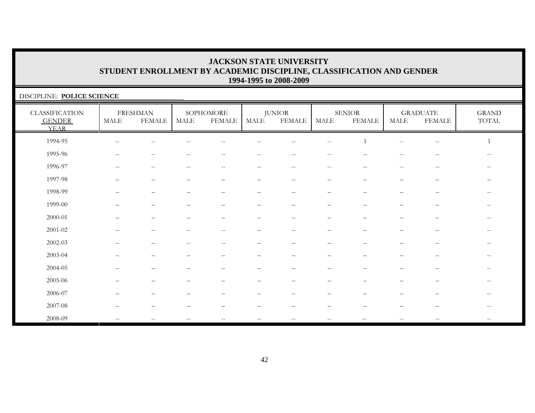| DISCIPLINE: POLICE SCIENCE                            |                          |                                  |      |                                                       |      |                                |                          |                                |                                                     |                                  |                                        |  |
|-------------------------------------------------------|--------------------------|----------------------------------|------|-------------------------------------------------------|------|--------------------------------|--------------------------|--------------------------------|-----------------------------------------------------|----------------------------------|----------------------------------------|--|
| <b>CLASSIFICATION</b><br><b>GENDER</b><br><b>YEAR</b> | <b>MALE</b>              | <b>FRESHMAN</b><br><b>FEMALE</b> | MALE | SOPHOMORE<br><b>FEMALE</b>                            | MALE | <b>JUNIOR</b><br><b>FEMALE</b> | $\operatorname{MALE}$    | <b>SENIOR</b><br><b>FEMALE</b> | MALE                                                | <b>GRADUATE</b><br><b>FEMALE</b> | <b>GRAND</b><br>$\operatorname{TOTAL}$ |  |
| 1994-95                                               |                          |                                  |      |                                                       |      |                                |                          |                                |                                                     |                                  |                                        |  |
| 1995-96                                               |                          |                                  |      |                                                       |      |                                |                          |                                |                                                     |                                  | $-$                                    |  |
| 1996-97                                               | $-$                      | $\qquad \qquad -$                | --   | $\hspace{0.05cm} - \hspace{0.05cm} - \hspace{0.05cm}$ | --   | $--$                           | $\overline{\phantom{m}}$ |                                | $\hspace{0.05cm} -\hspace{0.05cm} -\hspace{0.05cm}$ | $\overline{\phantom{m}}$         | $\overline{\phantom{m}}$               |  |
| 1997-98                                               |                          |                                  |      |                                                       | -    |                                |                          |                                |                                                     |                                  | $\overline{\phantom{m}}$               |  |
| 1998-99                                               |                          |                                  |      |                                                       |      |                                |                          |                                |                                                     |                                  | $\qquad \qquad -$                      |  |
| 1999-00                                               |                          |                                  |      |                                                       |      |                                |                          |                                |                                                     |                                  | $\overline{\phantom{m}}$               |  |
| 2000-01                                               |                          |                                  |      |                                                       |      |                                |                          |                                |                                                     |                                  | $\overline{\phantom{m}}$               |  |
| $2001 - 02$                                           |                          |                                  | $=$  | $-$                                                   |      |                                |                          |                                |                                                     |                                  | $\qquad \qquad -$                      |  |
| $2002 - 03$                                           |                          |                                  |      |                                                       |      |                                |                          |                                |                                                     |                                  | $-$                                    |  |
| 2003-04                                               |                          |                                  |      |                                                       |      |                                |                          |                                |                                                     |                                  | $-$                                    |  |
| 2004-05                                               |                          |                                  |      |                                                       |      |                                |                          |                                |                                                     |                                  | $- -$                                  |  |
| 2005-06                                               |                          |                                  |      |                                                       |      |                                |                          |                                |                                                     |                                  | $\qquad \qquad -$                      |  |
| 2006-07                                               |                          |                                  |      |                                                       |      |                                |                          |                                |                                                     |                                  | $-$                                    |  |
| 2007-08                                               |                          |                                  |      |                                                       |      |                                |                          |                                |                                                     |                                  | $-$                                    |  |
| 2008-09                                               | $\overline{\phantom{m}}$ |                                  | --   | $\hspace{0.05cm} - \hspace{0.05cm} - \hspace{0.05cm}$ | --   | $- -$                          | $\overline{\phantom{m}}$ |                                | $- -$                                               |                                  | $\qquad \qquad -$                      |  |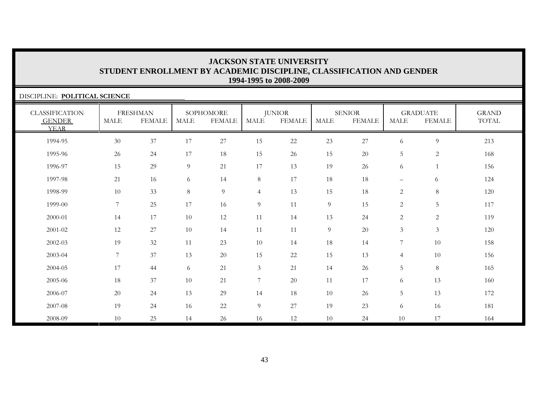| DISCIPLINE: POLITICAL SCIENCE                         |                |                                  |             |                            |                  |                                |             |                                |                          |                                  |                                        |
|-------------------------------------------------------|----------------|----------------------------------|-------------|----------------------------|------------------|--------------------------------|-------------|--------------------------------|--------------------------|----------------------------------|----------------------------------------|
| <b>CLASSIFICATION</b><br><b>GENDER</b><br><b>YEAR</b> | <b>MALE</b>    | <b>FRESHMAN</b><br><b>FEMALE</b> | <b>MALE</b> | SOPHOMORE<br><b>FEMALE</b> | <b>MALE</b>      | <b>JUNIOR</b><br><b>FEMALE</b> | <b>MALE</b> | <b>SENIOR</b><br><b>FEMALE</b> | <b>MALE</b>              | <b>GRADUATE</b><br><b>FEMALE</b> | <b>GRAND</b><br>$\operatorname{TOTAL}$ |
| 1994-95                                               | 30             | 37                               | 17          | 27                         | 15               | 22                             | 23          | 27                             | 6                        | $\overline{9}$                   | 213                                    |
| 1995-96                                               | 26             | 24                               | 17          | 18                         | 15               | 26                             | 15          | $20\,$                         | $\overline{5}$           | $\overline{c}$                   | 168                                    |
| 1996-97                                               | 15             | 29                               | 9           | 21                         | 17               | 13                             | 19          | 26                             | 6                        |                                  | 156                                    |
| 1997-98                                               | 21             | 16                               | 6           | 14                         | 8                | 17                             | 18          | 18                             | $\overline{\phantom{m}}$ | 6                                | 124                                    |
| 1998-99                                               | 10             | 33                               | $8\,$       | 9                          | $\overline{4}$   | 13                             | 15          | 18                             | $\overline{2}$           | $8\,$                            | 120                                    |
| 1999-00                                               | $\overline{7}$ | 25                               | $17\,$      | 16                         | $\overline{9}$   | 11                             | 9           | 15                             | $\overline{2}$           | $\overline{5}$                   | 117                                    |
| 2000-01                                               | 14             | 17                               | 10          | 12                         | 11               | 14                             | 13          | 24                             | $\sqrt{2}$               | $\sqrt{2}$                       | 119                                    |
| 2001-02                                               | 12             | 27                               | 10          | 14                         | 11               | 11                             | 9           | $20\,$                         | $\mathfrak{Z}$           | $\mathfrak{Z}$                   | 120                                    |
| 2002-03                                               | 19             | 32                               | 11          | 23                         | 10               | 14                             | 18          | 14                             | $\overline{7}$           | 10                               | 158                                    |
| 2003-04                                               | $\overline{7}$ | 37                               | 13          | 20                         | 15               | 22                             | 15          | 13                             | $\overline{4}$           | 10                               | 156                                    |
| 2004-05                                               | 17             | 44                               | 6           | 21                         | $\mathfrak{Z}$   | 21                             | 14          | 26                             | 5                        | $8\,$                            | 165                                    |
| 2005-06                                               | 18             | 37                               | 10          | 21                         | $\boldsymbol{7}$ | 20                             | 11          | 17                             | 6                        | 13                               | 160                                    |
| 2006-07                                               | 20             | 24                               | 13          | 29                         | 14               | 18                             | 10          | 26                             | 5                        | 13                               | 172                                    |
| 2007-08                                               | 19             | 24                               | 16          | 22                         | $\overline{9}$   | 27                             | 19          | 23                             | 6                        | 16                               | 181                                    |
| 2008-09                                               | 10             | 25                               | 14          | 26                         | 16               | 12                             | 10          | 24                             | 10                       | 17                               | 164                                    |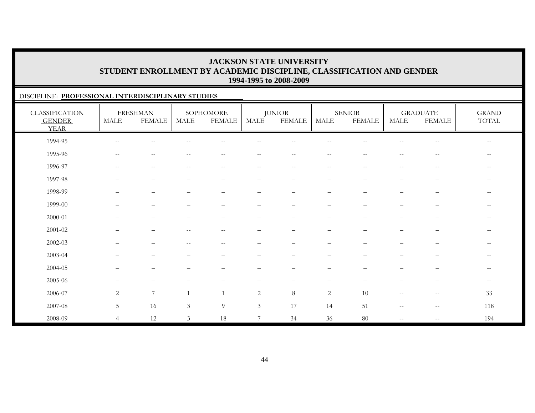#### DISCIPLINE: **PROFESSIONAL INTERDISCIPLINARY STUDIES**

| <b>CLASSIFICATION</b><br><b>GENDER</b><br><b>YEAR</b> | MALE                     | <b>FRESHMAN</b><br><b>FEMALE</b>                      | MALE           | SOPHOMORE<br><b>FEMALE</b> | MALE                     | <b>JUNIOR</b><br><b>FEMALE</b>                        | MALE                                                  | <b>SENIOR</b><br><b>FEMALE</b> | MALE                     | <b>GRADUATE</b><br><b>FEMALE</b>                      | <b>GRAND</b><br>$\operatorname{TOTAL}$ |
|-------------------------------------------------------|--------------------------|-------------------------------------------------------|----------------|----------------------------|--------------------------|-------------------------------------------------------|-------------------------------------------------------|--------------------------------|--------------------------|-------------------------------------------------------|----------------------------------------|
| 1994-95                                               | $\overline{\phantom{m}}$ | $\mathrel{{-}{-}}$                                    |                | $- -$                      | $ -$                     | --                                                    | $ -$                                                  |                                | $\qquad \qquad -$        | $-\,-$                                                | $- -$                                  |
| 1995-96                                               | $-\,-$                   | --                                                    |                |                            | $\overline{\phantom{m}}$ | $\hspace{0.05cm}$ – $\hspace{0.05cm}$                 | $\qquad \qquad -$                                     |                                | $\qquad \qquad -$        | $\qquad \qquad -$                                     | $\qquad \qquad -$                      |
| 1996-97                                               | $\overline{\phantom{m}}$ | $\hspace{0.05cm} - \hspace{0.05cm} - \hspace{0.05cm}$ | $-$            | $- -$                      | $\qquad \qquad -$        | $\hspace{0.05cm} - \hspace{0.05cm} - \hspace{0.05cm}$ | $\hspace{0.05cm} - \hspace{0.05cm} - \hspace{0.05cm}$ | $\sim$ –                       | $\qquad \qquad -$        | $\hspace{0.05cm} - \hspace{0.05cm} - \hspace{0.05cm}$ | $\qquad \qquad -$                      |
| 1997-98                                               | $\overline{\phantom{0}}$ | $\overline{\phantom{0}}$                              |                |                            | $\overline{\phantom{0}}$ | $\qquad \qquad -$                                     | $\overline{\phantom{0}}$                              |                                | $\overline{\phantom{0}}$ | —                                                     |                                        |
| 1998-99                                               |                          | $\overline{\phantom{0}}$                              |                |                            |                          |                                                       |                                                       |                                |                          |                                                       | $- -$                                  |
| 1999-00                                               |                          | $\overline{\phantom{0}}$                              |                |                            | $\overline{\phantom{m}}$ |                                                       |                                                       |                                |                          | —                                                     | $\overline{\phantom{a}}$               |
| 2000-01                                               |                          | $\overline{\phantom{0}}$                              |                |                            | -                        |                                                       |                                                       |                                | -                        | —                                                     | $--$                                   |
| $2001 - 02$                                           |                          |                                                       |                | $-$                        |                          |                                                       |                                                       |                                |                          |                                                       | $\overline{\phantom{a}}$               |
| $2002 - 03$                                           |                          |                                                       |                |                            |                          |                                                       |                                                       |                                |                          |                                                       | $\qquad \qquad -$                      |
| 2003-04                                               |                          |                                                       |                |                            |                          |                                                       |                                                       |                                |                          |                                                       | $--$                                   |
| 2004-05                                               |                          | $\overline{\phantom{0}}$                              |                |                            |                          | $\qquad \qquad -$                                     | $\qquad \qquad -$                                     |                                | —                        | —                                                     | $--$                                   |
| 2005-06                                               |                          | $\overline{\phantom{0}}$                              |                |                            |                          |                                                       |                                                       |                                |                          |                                                       | $- -$                                  |
| 2006-07                                               | $\overline{c}$           | $\overline{7}$                                        |                |                            | $\overline{2}$           | $\,8\,$                                               | 2                                                     | 10                             | $\qquad \qquad -$        | $-\,-$                                                | 33                                     |
| 2007-08                                               | $5\phantom{.}$           | 16                                                    | $\mathfrak{Z}$ | 9                          | $\mathfrak{Z}$           | 17                                                    | 14                                                    | 51                             | $\qquad \qquad -$        | $\hspace{0.05cm}$ – $\hspace{0.05cm}$                 | 118                                    |
| 2008-09                                               | $\overline{4}$           | 12                                                    | 3              | 18                         | 7                        | 34                                                    | 36                                                    | $80\,$                         | $- -$                    | $-\,-$                                                | 194                                    |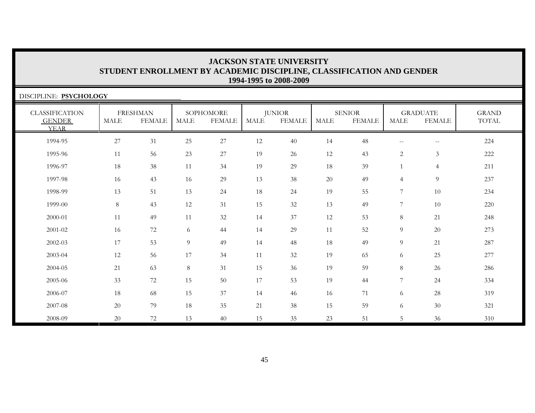| DISCIPLINE: PSYCHOLOGY                                |             |                                  |        |                            |             |                                |             |                                |                |                                  |                              |
|-------------------------------------------------------|-------------|----------------------------------|--------|----------------------------|-------------|--------------------------------|-------------|--------------------------------|----------------|----------------------------------|------------------------------|
| <b>CLASSIFICATION</b><br><b>GENDER</b><br><b>YEAR</b> | <b>MALE</b> | <b>FRESHMAN</b><br><b>FEMALE</b> | MALE   | SOPHOMORE<br><b>FEMALE</b> | <b>MALE</b> | <b>JUNIOR</b><br><b>FEMALE</b> | <b>MALE</b> | <b>SENIOR</b><br><b>FEMALE</b> | <b>MALE</b>    | <b>GRADUATE</b><br><b>FEMALE</b> | <b>GRAND</b><br><b>TOTAL</b> |
| 1994-95                                               | 27          | 31                               | 25     | 27                         | 12          | 40                             | 14          | 48                             | $- -$          | $-\,-$                           | 224                          |
| 1995-96                                               | 11          | 56                               | 23     | 27                         | 19          | 26                             | 12          | 43                             | $\mathbf{2}$   | 3                                | 222                          |
| 1996-97                                               | 18          | 38                               | 11     | 34                         | 19          | 29                             | 18          | 39                             |                | $\overline{4}$                   | 211                          |
| 1997-98                                               | 16          | 43                               | 16     | 29                         | 13          | 38                             | 20          | 49                             | $\overline{4}$ | $\overline{9}$                   | 237                          |
| 1998-99                                               | 13          | 51                               | 13     | 24                         | 18          | 24                             | 19          | 55                             | $\overline{7}$ | 10                               | 234                          |
| 1999-00                                               | 8           | 43                               | 12     | 31                         | 15          | 32                             | 13          | 49                             | 7              | 10                               | 220                          |
| 2000-01                                               | 11          | 49                               | 11     | 32                         | 14          | 37                             | 12          | 53                             | $\,8\,$        | 21                               | 248                          |
| 2001-02                                               | 16          | 72                               | 6      | 44                         | 14          | 29                             | 11          | 52                             | 9              | 20                               | 273                          |
| 2002-03                                               | 17          | 53                               | 9      | 49                         | 14          | 48                             | 18          | 49                             | 9              | 21                               | 287                          |
| 2003-04                                               | 12          | 56                               | 17     | 34                         | 11          | 32                             | 19          | 65                             | 6              | 25                               | 277                          |
| 2004-05                                               | 21          | 63                               | $8\,$  | 31                         | 15          | 36                             | 19          | 59                             | 8              | 26                               | 286                          |
| 2005-06                                               | 33          | 72                               | 15     | 50                         | 17          | 53                             | 19          | 44                             | $\overline{7}$ | 24                               | 334                          |
| 2006-07                                               | 18          | 68                               | 15     | 37                         | 14          | 46                             | 16          | 71                             | 6              | 28                               | 319                          |
| 2007-08                                               | 20          | 79                               | $18\,$ | 35                         | 21          | 38                             | 15          | 59                             | 6              | $30\,$                           | 321                          |
| 2008-09                                               | 20          | 72                               | 13     | 40                         | 15          | 35                             | 23          | 51                             | 5              | 36                               | 310                          |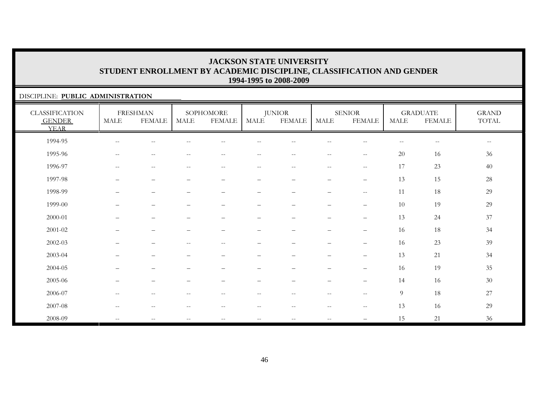#### DISCIPLINE: **PUBLIC ADMINISTRATION**

| <b>CLASSIFICATION</b><br><b>GENDER</b><br><b>YEAR</b> | <b>MALE</b>              | <b>FRESHMAN</b><br><b>FEMALE</b> | <b>MALE</b>                                         | SOPHOMORE<br><b>FEMALE</b>                          | MALE                            | <b>JUNIOR</b><br><b>FEMALE</b>                      | <b>MALE</b>                                           | <b>SENIOR</b><br><b>FEMALE</b>                      | <b>MALE</b> | <b>GRADUATE</b><br><b>FEMALE</b> | <b>GRAND</b><br>TOTAL |
|-------------------------------------------------------|--------------------------|----------------------------------|-----------------------------------------------------|-----------------------------------------------------|---------------------------------|-----------------------------------------------------|-------------------------------------------------------|-----------------------------------------------------|-------------|----------------------------------|-----------------------|
| 1994-95                                               | $-$                      | --                               |                                                     |                                                     |                                 |                                                     |                                                       |                                                     | --          | $-\,-$                           | $--$                  |
| 1995-96                                               | $\overline{\phantom{a}}$ | $\sim$ $-$                       | $-$                                                 | $\qquad \qquad -$                                   | $- -$                           | $\overline{\phantom{m}}$                            | $\hspace{0.05cm} -\hspace{0.05cm} -\hspace{0.05cm}$   | $\hspace{0.05cm} -\hspace{0.05cm} -\hspace{0.05cm}$ | 20          | 16                               | 36                    |
| 1996-97                                               | $- -$                    | $\overline{\phantom{m}}$         | $\hspace{0.05cm} -\hspace{0.05cm} -\hspace{0.05cm}$ | $--$                                                | $--$                            | $\hspace{0.05cm} -\hspace{0.05cm} -\hspace{0.05cm}$ | $--$                                                  | $-\,-$                                              | 17          | 23                               | 40                    |
| 1997-98                                               | $\qquad \qquad -$        | $\overline{\phantom{m}}$         | $\qquad \qquad -$                                   | $\overline{\phantom{0}}$                            | $\overline{\phantom{m}}$        | $\overline{\phantom{m}}$                            | $\overline{\phantom{0}}$                              | $\qquad \qquad -$                                   | 13          | 15                               | 28                    |
| 1998-99                                               | $\overline{\phantom{0}}$ | $\overline{\phantom{0}}$         |                                                     | $\qquad \qquad -$                                   | $\overline{\phantom{m}}$        | $\qquad \qquad -$                                   | $\qquad \qquad -$                                     | $\overline{\phantom{m}}$                            | 11          | 18                               | 29                    |
| 1999-00                                               | $\overline{\phantom{0}}$ | $\overline{\phantom{0}}$         |                                                     | $\overline{\phantom{0}}$                            | $\overline{\phantom{m}}$        | $\qquad \qquad -$                                   | $\qquad \qquad -$                                     | $\overline{\phantom{m}}$                            | 10          | 19                               | 29                    |
| 2000-01                                               |                          | $\overline{\phantom{0}}$         |                                                     |                                                     | $\overbrace{\phantom{1232211}}$ |                                                     | $\overline{\phantom{0}}$                              | $\overline{\phantom{m}}$                            | 13          | 24                               | 37                    |
| $2001 - 02$                                           | $\qquad \qquad -$        | $\overline{\phantom{0}}$         |                                                     | $\qquad \qquad -$                                   |                                 | $\qquad \qquad -$                                   | $\overline{\phantom{m}}$                              | $\overline{\phantom{m}}$                            | 16          | 18                               | 34                    |
| 2002-03                                               |                          | $\overline{\phantom{0}}$         | $-$                                                 | $\overline{\phantom{m}}$                            | $\overline{\phantom{m}}$        | $\qquad \qquad -$                                   | $\overline{\phantom{0}}$                              | $\qquad \qquad -$                                   | 16          | 23                               | 39                    |
| 2003-04                                               |                          | $\overline{\phantom{0}}$         |                                                     |                                                     |                                 |                                                     | $\qquad \qquad -$                                     | $\overline{\phantom{m}}$                            | 13          | 21                               | 34                    |
| 2004-05                                               |                          |                                  |                                                     |                                                     |                                 |                                                     |                                                       | $\overline{\phantom{0}}$                            | 16          | 19                               | 35                    |
| 2005-06                                               | $\qquad \qquad -$        | $\qquad \qquad -$                |                                                     |                                                     | $\overline{\phantom{m}}$        | $\qquad \qquad -$                                   | $\overline{\phantom{0}}$                              | $\overline{\phantom{m}}$                            | 14          | 16                               | $30\,$                |
| 2006-07                                               | $\overline{\phantom{a}}$ | $\overline{\phantom{m}}$         | $\overline{\phantom{a}}$                            | $\hspace{0.05cm} -\hspace{0.05cm} -\hspace{0.05cm}$ | $--$                            | $--$                                                | $\hspace{0.05cm} -\hspace{0.05cm} -\hspace{0.05cm}$   | $\hspace{0.05cm} -$                                 | 9           | 18                               | 27                    |
| 2007-08                                               | $\overline{\phantom{m}}$ | $-\, -$                          | $- -$                                               | $-\,-$                                              | $-\,-$                          | $\overline{\phantom{m}}$                            | $\hspace{0.05cm} - \hspace{0.05cm} - \hspace{0.05cm}$ | $\hspace{0.05cm}$ – $\hspace{0.05cm}$               | 13          | 16                               | 29                    |
| 2008-09                                               | $- -$                    | $- -$                            |                                                     |                                                     | $- -$                           | $-$                                                 |                                                       |                                                     | 15          | 21                               | 36                    |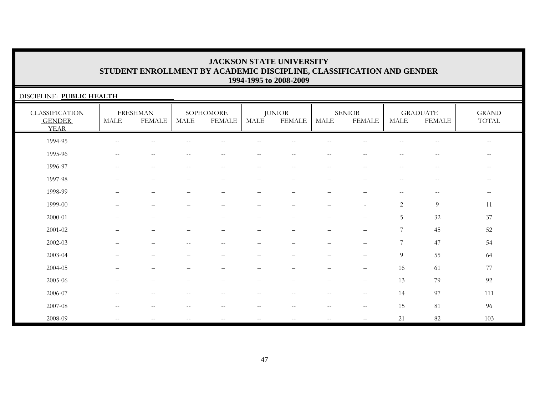| DISCIPLINE: PUBLIC HEALTH                             |                                                     |                                  |                          |                            |                          |                          |                          |                                |                                                       |                                                     |                                                       |
|-------------------------------------------------------|-----------------------------------------------------|----------------------------------|--------------------------|----------------------------|--------------------------|--------------------------|--------------------------|--------------------------------|-------------------------------------------------------|-----------------------------------------------------|-------------------------------------------------------|
| <b>CLASSIFICATION</b><br><b>GENDER</b><br><b>YEAR</b> | MALE                                                | <b>FRESHMAN</b><br><b>FEMALE</b> | MALE                     | SOPHOMORE<br><b>FEMALE</b> | MALE                     | <b>JUNIOR</b><br>FEMALE  | <b>MALE</b>              | <b>SENIOR</b><br><b>FEMALE</b> | MALE                                                  | <b>GRADUATE</b><br><b>FEMALE</b>                    | <b>GRAND</b><br>$\operatorname{TOTAL}$                |
| 1994-95                                               | $\overline{\phantom{m}}$                            | $-$                              |                          | --                         |                          |                          |                          |                                |                                                       | $\overline{\phantom{m}}$                            | $\overline{\phantom{m}}$                              |
| 1995-96                                               | $\hspace{0.05cm} -\hspace{0.05cm} -\hspace{0.05cm}$ | $- -$                            | $\overline{\phantom{m}}$ | $--$                       | $- -$                    | $--$                     | $-$                      | $- -$                          | $--$                                                  | $\overline{\phantom{m}}$                            | $\hspace{0.1mm}-\hspace{0.1mm}-\hspace{0.1mm}$        |
| 1996-97                                               | $\overline{\phantom{m}}$                            | $\qquad \qquad -$                | $\overline{\phantom{m}}$ | $\overline{\phantom{a}}$   | $\qquad \qquad -$        | $\overline{\phantom{m}}$ | $\sim$ $-$               | $\qquad \qquad -$              | $\hspace{0.05cm} - \hspace{0.05cm} - \hspace{0.05cm}$ | $-\,-$                                              | $-\,-$                                                |
| 1997-98                                               |                                                     |                                  |                          | $\qquad \qquad -$          | -                        |                          |                          |                                | $\overline{\phantom{a}}$                              | $\overline{\phantom{m}}$                            | $\hspace{0.05cm} - \hspace{0.05cm} - \hspace{0.05cm}$ |
| 1998-99                                               |                                                     | $\overline{\phantom{0}}$         | -                        | $\overline{\phantom{0}}$   | $\overline{\phantom{0}}$ | $\overline{\phantom{0}}$ |                          | $\overline{\phantom{0}}$       | $\hspace{0.05cm} - \hspace{0.05cm} - \hspace{0.05cm}$ | $\hspace{0.05cm} -\hspace{0.05cm} -\hspace{0.05cm}$ | $\hspace{0.05cm} -\hspace{0.05cm} -\hspace{0.05cm}$   |
| 1999-00                                               |                                                     |                                  |                          | $\qquad \qquad -$          | -                        |                          |                          | ٠                              | 2                                                     | 9                                                   | 11                                                    |
| 2000-01                                               |                                                     | $\overline{\phantom{0}}$         | -                        | $\overline{\phantom{0}}$   | $\overline{\phantom{0}}$ | $\equiv$                 |                          | $\overline{\phantom{0}}$       | $\overline{5}$                                        | $32\,$                                              | 37                                                    |
| 2001-02                                               |                                                     |                                  |                          |                            |                          |                          |                          |                                | 7                                                     | 45                                                  | 52                                                    |
| $2002 - 03$                                           |                                                     |                                  |                          | $\sim$                     |                          |                          |                          |                                | 7                                                     | 47                                                  | 54                                                    |
| 2003-04                                               |                                                     |                                  |                          |                            |                          |                          |                          |                                | 9                                                     | 55                                                  | 64                                                    |
| 2004-05                                               |                                                     |                                  |                          |                            |                          |                          |                          | $\qquad \qquad -$              | 16                                                    | 61                                                  | $77\,$                                                |
| 2005-06                                               |                                                     |                                  | -                        |                            | $\overline{\phantom{0}}$ |                          |                          | $\overline{\phantom{0}}$       | 13                                                    | 79                                                  | 92                                                    |
| 2006-07                                               | $\overline{\phantom{a}}$                            | $--$                             | $\overline{\phantom{m}}$ | $\overline{\phantom{a}}$   | $--$                     | $\sim$ $\sim$            | $\overline{\phantom{m}}$ | $--$                           | 14                                                    | 97                                                  | 111                                                   |
| 2007-08                                               | $\overline{\phantom{m}}$                            | $\overline{\phantom{m}}$         | --                       | $-\,-$                     | $--$                     | $\overline{\phantom{m}}$ | $-\, -$                  | $\overline{\phantom{m}}$       | 15                                                    | 81                                                  | 96                                                    |
| 2008-09                                               | $\overline{\phantom{m}}$                            |                                  | $-$                      | $\overline{\phantom{m}}$   | $- -$                    | $- -$                    |                          |                                | 21                                                    | 82                                                  | 103                                                   |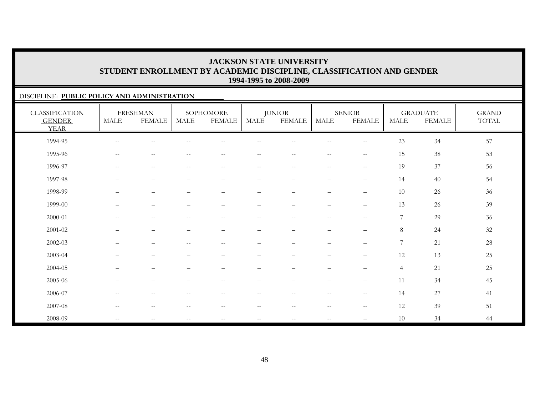#### DISCIPLINE: **PUBLIC POLICY AND ADMINISTRATION**

| <b>CLASSIFICATION</b><br><b>GENDER</b><br><b>YEAR</b> | MALE                                                  | <b>FRESHMAN</b><br><b>FEMALE</b>                    | <b>MALE</b>                                           | SOPHOMORE<br><b>FEMALE</b> | <b>MALE</b>              | <b>JUNIOR</b><br><b>FEMALE</b>                        | <b>MALE</b>              | <b>SENIOR</b><br><b>FEMALE</b>                      | MALE             | <b>GRADUATE</b><br><b>FEMALE</b> | <b>GRAND</b><br>TOTAL |
|-------------------------------------------------------|-------------------------------------------------------|-----------------------------------------------------|-------------------------------------------------------|----------------------------|--------------------------|-------------------------------------------------------|--------------------------|-----------------------------------------------------|------------------|----------------------------------|-----------------------|
| 1994-95                                               | $\hspace{0.05cm} -\hspace{0.05cm} -\hspace{0.05cm}$   | $\qquad \qquad -$                                   |                                                       | $- -$                      | --                       | $- -$                                                 | $\overline{\phantom{a}}$ | $- -$                                               | 23               | 34                               | 57                    |
| 1995-96                                               | $--$                                                  | $\hspace{0.05cm} -\hspace{0.05cm} -\hspace{0.05cm}$ | $\sim$ $-$                                            | $\overline{\phantom{m}}$   | $- -$                    | $--$                                                  | $--$                     | $\overline{\phantom{m}}$                            | 15               | $38\,$                           | 53                    |
| 1996-97                                               | $\overline{\phantom{m}}$                              | $-\,-$                                              | $\hspace{0.05cm} - \hspace{0.05cm} - \hspace{0.05cm}$ | $\qquad \qquad -$          | $-\,-$                   | $\overline{\phantom{m}}$                              | $--$                     | $\overline{\phantom{m}}$                            | 19               | 37                               | 56                    |
| 1997-98                                               | —                                                     | $\qquad \qquad -$                                   | $\overline{\phantom{0}}$                              | $\overline{\phantom{0}}$   | —                        | $\overbrace{\phantom{1232211}}$                       | $\qquad \qquad -$        | $\overline{\phantom{m}}$                            | 14               | 40                               | 54                    |
| 1998-99                                               | $\overline{\phantom{0}}$                              | $\qquad \qquad -$                                   |                                                       | $\overline{\phantom{0}}$   | $\overline{\phantom{0}}$ | $\overbrace{\phantom{1232211}}$                       | $\qquad \qquad -$        | $\qquad \qquad -$                                   | 10               | 26                               | 36                    |
| 1999-00                                               | $\equiv$                                              | $\qquad \qquad -$                                   |                                                       | -                          | $\overline{\phantom{0}}$ |                                                       | $\qquad \qquad -$        | $\overline{\phantom{0}}$                            | 13               | 26                               | 39                    |
| $2000 - 01$                                           | $\hspace{0.05cm} -\hspace{0.05cm} -\hspace{0.05cm}$   | $\overline{\phantom{m}}$                            | $\sim$ $-$                                            | $\overline{\phantom{m}}$   | $- -$                    | $--$                                                  | $--$                     | $\hspace{0.05cm} -\hspace{0.05cm} -\hspace{0.05cm}$ | 7                | 29                               | 36                    |
| 2001-02                                               |                                                       | $\qquad \qquad -$                                   |                                                       | $\qquad \qquad -$          | —                        | $\overline{\phantom{m}}$                              | $\qquad \qquad -$        | $\qquad \qquad -$                                   | $8\,$            | 24                               | 32                    |
| 2002-03                                               |                                                       | $\qquad \qquad -$                                   | $-$                                                   | $\sim$ $-$                 | -                        | $\overline{\phantom{0}}$                              | $\overline{\phantom{0}}$ | $\qquad \qquad -$                                   | $\boldsymbol{7}$ | 21                               | 28                    |
| 2003-04                                               |                                                       | -                                                   |                                                       |                            |                          |                                                       |                          | $\qquad \qquad -$                                   | 12               | 13                               | 25                    |
| 2004-05                                               | —                                                     | $\qquad \qquad -$                                   |                                                       |                            | -                        | $\overbrace{\phantom{1232211}}$                       | $\qquad \qquad -$        | $\qquad \qquad -$                                   | $\overline{4}$   | 21                               | $25\,$                |
| 2005-06                                               | —                                                     | $\qquad \qquad -$                                   |                                                       | $\overline{\phantom{m}}$   | —                        | $\overbrace{\phantom{1232211}}$                       | $\qquad \qquad -$        | $\overline{\phantom{0}}$                            | 11               | 34                               | 45                    |
| 2006-07                                               | $\hspace{0.05cm} - \hspace{0.05cm} - \hspace{0.05cm}$ | $\qquad \qquad -$                                   | $-$                                                   | $- -$                      | $\overline{\phantom{m}}$ | $\hspace{0.05cm} - \hspace{0.05cm} - \hspace{0.05cm}$ | $\qquad \qquad -$        | $\hspace{0.05cm} -\hspace{0.05cm} -\hspace{0.05cm}$ | 14               | 27                               | 41                    |
| 2007-08                                               | $ -$                                                  | $-$                                                 |                                                       | --                         | --                       | $-$                                                   | $\overline{\phantom{m}}$ | $\overline{\phantom{m}}$                            | $12\,$           | 39                               | 51                    |
| 2008-09                                               | $\mathbf{u}$                                          | $\overline{\phantom{m}}$                            | $\sim$ $-$                                            | $\overline{\phantom{m}}$   | $- -$                    | $\sim$ $\sim$                                         | $--$                     | $\overline{\phantom{m}}$                            | 10               | 34                               | 44                    |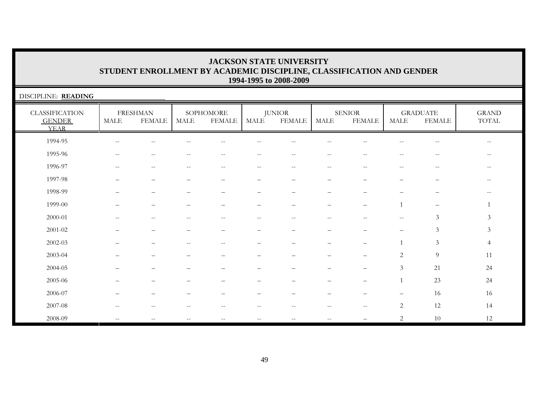| DISCIPLINE: READING                                   |                       |                                  |       |                                                     |                          |                                |                          |                                |                                                     |                                                     |                                        |
|-------------------------------------------------------|-----------------------|----------------------------------|-------|-----------------------------------------------------|--------------------------|--------------------------------|--------------------------|--------------------------------|-----------------------------------------------------|-----------------------------------------------------|----------------------------------------|
| <b>CLASSIFICATION</b><br><b>GENDER</b><br><b>YEAR</b> | $\operatorname{MALE}$ | <b>FRESHMAN</b><br><b>FEMALE</b> | MALE  | SOPHOMORE<br><b>FEMALE</b>                          | <b>MALE</b>              | <b>JUNIOR</b><br><b>FEMALE</b> | <b>MALE</b>              | <b>SENIOR</b><br><b>FEMALE</b> | <b>MALE</b>                                         | <b>GRADUATE</b><br><b>FEMALE</b>                    | <b>GRAND</b><br>$\operatorname{TOTAL}$ |
| 1994-95                                               | $\sim$ $-$            | $\overline{\phantom{m}}$         |       | $- -$                                               | $\overline{\phantom{m}}$ | $\overline{\phantom{m}}$       | $\sim$ -                 | $\qquad \qquad -$              | $\sim$ $-$                                          | $\hspace{0.05cm} -\hspace{0.05cm} -\hspace{0.05cm}$ | $- -$                                  |
| 1995-96                                               | $-$                   | $\qquad \qquad -$                | $- -$ | $ -$                                                | $\qquad \qquad -$        | $- -$                          | $ -$                     | $- -$                          | $ -$                                                | $-$                                                 | $\qquad \qquad -$                      |
| 1996-97                                               | $\sim$ $\sim$         | $- -$                            | $- -$ | $\hspace{0.05cm} -\hspace{0.05cm} -\hspace{0.05cm}$ | $--$                     | $--$                           | $-$                      | $- -$                          | $\sim$ $-$                                          | $\overline{\phantom{m}}$                            | $ -$                                   |
| 1997-98                                               |                       |                                  | —     | $\qquad \qquad -$                                   | $\overline{\phantom{0}}$ | $\overline{\phantom{0}}$       | $\overline{\phantom{0}}$ |                                | $\overline{\phantom{0}}$                            |                                                     | $\qquad \qquad -$                      |
| 1998-99                                               |                       |                                  |       |                                                     |                          |                                |                          |                                |                                                     |                                                     |                                        |
| 1999-00                                               |                       |                                  |       | $\overline{\phantom{0}}$                            | –                        | $\equiv$                       |                          | $\overline{\phantom{0}}$       | $\mathbf{1}$                                        | $\overline{\phantom{m}}$                            |                                        |
| 2000-01                                               | $-$                   | $- -$                            | $- -$ | $\overline{\phantom{m}}$                            | $\hspace{0.05cm} -$      | $- -$                          | $-$                      | $- -$                          | $\hspace{0.05cm} -\hspace{0.05cm} -\hspace{0.05cm}$ | $\mathfrak{Z}$                                      | $\mathfrak{Z}$                         |
| $2001 - 02$                                           |                       |                                  |       |                                                     |                          |                                |                          |                                |                                                     | $\mathfrak{Z}$                                      | $\mathfrak{Z}$                         |
| $2002 - 03$                                           |                       |                                  | $-$   | $- -$                                               |                          |                                |                          |                                |                                                     | $\mathfrak{Z}$                                      | $\overline{4}$                         |
| 2003-04                                               |                       |                                  |       |                                                     |                          |                                |                          |                                | $\overline{c}$                                      | 9                                                   | 11                                     |
| 2004-05                                               |                       |                                  |       |                                                     |                          |                                |                          |                                | 3                                                   | 21                                                  | 24                                     |
| 2005-06                                               |                       |                                  |       |                                                     | -                        |                                |                          |                                |                                                     | 23                                                  | 24                                     |
| 2006-07                                               |                       |                                  | -     |                                                     |                          |                                |                          |                                |                                                     | 16                                                  | 16                                     |
| $2007 - 08$                                           | $-$                   | $-$                              | --    | $-$                                                 | $\qquad \qquad -$        |                                | $-$                      | $- -$                          | $\sqrt{2}$                                          | 12                                                  | 14                                     |
| 2008-09                                               | $\sim$ $-$            | --                               | --    | $\qquad \qquad -$                                   | $- -$                    | --                             | $\sim$ $\sim$            |                                | 2                                                   | 10                                                  | 12                                     |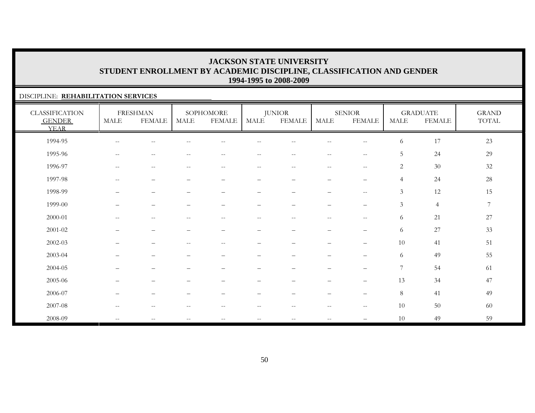#### DISCIPLINE: **REHABILITATION SERVICES**

| <b>CLASSIFICATION</b><br><b>GENDER</b><br><b>YEAR</b> | <b>MALE</b>                                         | <b>FRESHMAN</b><br><b>FEMALE</b>                      | MALE                     | SOPHOMORE<br><b>FEMALE</b> | MALE                                                  | <b>JUNIOR</b><br><b>FEMALE</b> | MALE                                                  | <b>SENIOR</b><br><b>FEMALE</b>                      | <b>MALE</b>    | <b>GRADUATE</b><br><b>FEMALE</b> | <b>GRAND</b><br>TOTAL |
|-------------------------------------------------------|-----------------------------------------------------|-------------------------------------------------------|--------------------------|----------------------------|-------------------------------------------------------|--------------------------------|-------------------------------------------------------|-----------------------------------------------------|----------------|----------------------------------|-----------------------|
| 1994-95                                               | $\qquad \qquad -$                                   | $\sim$                                                |                          |                            |                                                       |                                |                                                       | $\sim$ $\sim$                                       | 6              | 17                               | 23                    |
| 1995-96                                               | $\hspace{0.05cm} -\hspace{0.05cm} -\hspace{0.05cm}$ | $\hspace{0.05cm} - \hspace{0.05cm} - \hspace{0.05cm}$ | $- -$                    | $\qquad \qquad -$          | $\hspace{0.05cm} - \hspace{0.05cm} - \hspace{0.05cm}$ | $\sim$ $-$                     | $\hspace{0.05cm} -\hspace{0.05cm} -\hspace{0.05cm}$   | $\hspace{0.05cm} -$                                 | 5              | 24                               | 29                    |
| 1996-97                                               | $--$                                                | $\overline{\phantom{m}}$                              | $\overline{\phantom{m}}$ | $--$                       | $--$                                                  | $--$                           | $\overline{\phantom{m}}$                              | $\hspace{0.05cm} -\hspace{0.05cm} -\hspace{0.05cm}$ | $\overline{2}$ | 30                               | $32\,$                |
| 1997-98                                               | $\hspace{0.05cm} -\hspace{0.05cm} -\hspace{0.05cm}$ | $\overline{\phantom{0}}$                              |                          | $\overline{\phantom{0}}$   | $\overline{\phantom{a}}$                              | $\overline{\phantom{0}}$       | $\overline{\phantom{0}}$                              | $\qquad \qquad -$                                   | $\overline{4}$ | 24                               | 28                    |
| 1998-99                                               | $\overline{\phantom{0}}$                            | $\overline{\phantom{0}}$                              |                          | $\qquad \qquad -$          | $\overline{\phantom{m}}$                              | $\qquad \qquad -$              | $\qquad \qquad -$                                     | $\sim$ $\sim$                                       | $\mathfrak{Z}$ | 12                               | 15                    |
| 1999-00                                               | $\overline{\phantom{0}}$                            | $\overline{\phantom{0}}$                              |                          | -                          |                                                       |                                | $\qquad \qquad -$                                     | $\overline{\phantom{0}}$                            | $\mathfrak{Z}$ | $\overline{4}$                   | 7                     |
| 2000-01                                               | $\qquad \qquad -$                                   | $-$                                                   | $-$                      | $\overline{\phantom{m}}$   | $\hspace{0.05cm} - \hspace{0.05cm} - \hspace{0.05cm}$ | --                             | $\hspace{0.05cm} - \hspace{0.05cm} - \hspace{0.05cm}$ | $\sim$ $\sim$                                       | 6              | 21                               | 27                    |
| 2001-02                                               | $\qquad \qquad -$                                   | $\overline{\phantom{a}}$                              |                          | $\qquad \qquad -$          | $\overline{\phantom{m}}$                              |                                | $\qquad \qquad -$                                     | $\overline{\phantom{m}}$                            | 6              | $27\,$                           | 33                    |
| 2002-03                                               |                                                     |                                                       |                          | $\qquad \qquad -$          |                                                       |                                |                                                       | $\qquad \qquad -$                                   | 10             | 41                               | 51                    |
| 2003-04                                               |                                                     |                                                       |                          |                            |                                                       |                                |                                                       | $\qquad \qquad -$                                   | 6              | 49                               | 55                    |
| 2004-05                                               |                                                     |                                                       |                          |                            |                                                       |                                |                                                       | $\overline{\phantom{m}}$                            | $\overline{7}$ | 54                               | 61                    |
| 2005-06                                               | $\overline{\phantom{0}}$                            | $\overline{\phantom{m}}$                              |                          | -                          | -                                                     | $\qquad \qquad -$              | $\qquad \qquad -$                                     | $\qquad \qquad -$                                   | 13             | 34                               | 47                    |
| 2006-07                                               | $\overline{\phantom{0}}$                            | $\overline{\phantom{0}}$                              |                          |                            |                                                       |                                | $\overline{\phantom{0}}$                              | $\qquad \qquad -$                                   | 8              | 41                               | 49                    |
| 2007-08                                               | $\qquad \qquad -$                                   | $\hspace{0.05cm} -\hspace{0.05cm} -\hspace{0.05cm}$   | $-$                      | $\qquad \qquad -$          | $--$                                                  | $--$                           | $\hspace{0.05cm} -\hspace{0.05cm} -\hspace{0.05cm}$   | $-\,-$                                              | 10             | 50                               | 60                    |
| 2008-09                                               | $- -$                                               | $\overline{\phantom{m}}$                              | $\qquad \qquad -$        | $- -$                      | $-\,-$                                                | $\overline{\phantom{m}}$       | $\overline{\phantom{m}}$                              | $\overline{\phantom{0}}$                            | 10             | 49                               | 59                    |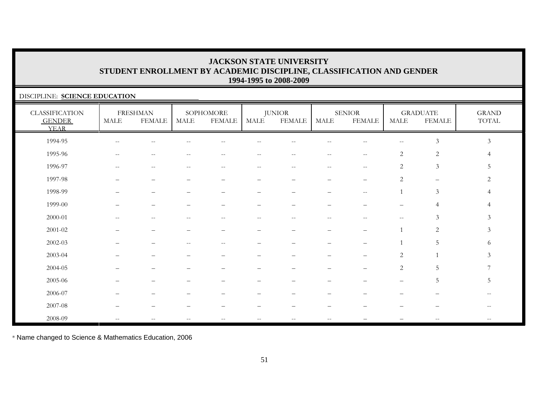#### DISCIPLINE: **SCIENCE EDUCATION**

| <b>CLASSIFICATION</b><br><b>GENDER</b><br><b>YEAR</b> | <b>MALE</b>                                         | <b>FRESHMAN</b><br><b>FEMALE</b>                    | MALE  | SOPHOMORE<br><b>FEMALE</b> | <b>MALE</b>                                         | <b>JUNIOR</b><br><b>FEMALE</b> | MALE              | <b>SENIOR</b><br><b>FEMALE</b>                | <b>MALE</b>       | <b>GRADUATE</b><br><b>FEMALE</b> | <b>GRAND</b><br>$\operatorname{TOTAL}$ |
|-------------------------------------------------------|-----------------------------------------------------|-----------------------------------------------------|-------|----------------------------|-----------------------------------------------------|--------------------------------|-------------------|-----------------------------------------------|-------------------|----------------------------------|----------------------------------------|
| 1994-95                                               |                                                     |                                                     |       |                            |                                                     |                                |                   |                                               |                   | $\mathfrak{Z}$                   | $\mathfrak{Z}$                         |
| 1995-96                                               | $\qquad \qquad -$                                   | $\sim$                                              |       |                            | $\sim$                                              | $\sim$                         | $\qquad \qquad -$ | $\mathord{\hspace{1pt}\text{--}\hspace{1pt}}$ | 2                 | $\sqrt{2}$                       |                                        |
| 1996-97                                               | $\hspace{0.05cm} -\hspace{0.05cm} -\hspace{0.05cm}$ | $\hspace{0.05cm} -\hspace{0.05cm} -\hspace{0.05cm}$ | $- -$ | $\overline{\phantom{m}}$   | $\hspace{0.05cm} -\hspace{0.05cm} -\hspace{0.05cm}$ | $--$                           | $--$              | $\hspace{0.05cm}$ – $\hspace{0.05cm}$         | 2                 | $\mathfrak{Z}$                   | 5                                      |
| 1997-98                                               |                                                     | -                                                   |       |                            | -                                                   |                                |                   | $\overline{\phantom{0}}$                      | 2                 | $\qquad \qquad -$                | 2                                      |
| 1998-99                                               |                                                     | $\overline{\phantom{0}}$                            |       |                            |                                                     | $\overline{\phantom{0}}$       |                   | $\mathrel{{-}{-}}$                            |                   | $\mathfrak{Z}$                   |                                        |
| 1999-00                                               |                                                     |                                                     |       |                            |                                                     |                                |                   |                                               |                   |                                  |                                        |
| $2000 - 01$                                           |                                                     |                                                     |       |                            | --                                                  | $\sim$                         | $-$               |                                               |                   | 3                                | 3                                      |
| $2001 - 02$                                           |                                                     |                                                     |       |                            |                                                     |                                |                   |                                               |                   | 2                                | 3                                      |
| 2002-03                                               |                                                     |                                                     |       | $\overline{\phantom{m}}$   |                                                     |                                |                   |                                               |                   | .5                               | 6                                      |
| 2003-04                                               |                                                     |                                                     |       |                            |                                                     |                                |                   |                                               | 2                 |                                  | 3                                      |
| 2004-05                                               |                                                     |                                                     |       |                            |                                                     |                                |                   |                                               | 2                 | 5                                |                                        |
| 2005-06                                               |                                                     |                                                     |       |                            |                                                     |                                |                   |                                               | $\qquad \qquad -$ | 5                                | 5                                      |
| 2006-07                                               |                                                     |                                                     |       |                            |                                                     |                                |                   |                                               |                   |                                  |                                        |
| 2007-08                                               |                                                     |                                                     |       |                            |                                                     |                                |                   |                                               |                   |                                  |                                        |
| 2008-09                                               | $\overline{\phantom{a}}$                            | $- -$                                               | $-$   | $- -$                      | $- -$                                               | $-\,-$                         | $- -$             |                                               |                   | $ -$                             |                                        |

\* Name changed to Science & Mathematics Education, 2006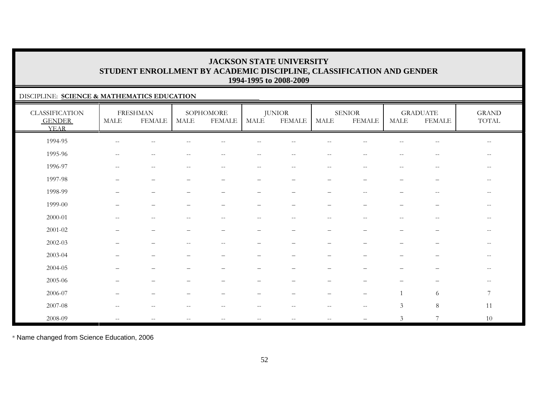#### DISCIPLINE: **SCIENCE & MATHEMATICS EDUCATION**

| <b>CLASSIFICATION</b><br><b>GENDER</b><br><b>YEAR</b> | MALE                      | <b>FRESHMAN</b><br><b>FEMALE</b>                      | MALE                     | SOPHOMORE<br><b>FEMALE</b> | MALE                                                  | <b>JUNIOR</b><br><b>FEMALE</b> | MALE                     | <b>SENIOR</b><br><b>FEMALE</b> | MALE                                                | <b>GRADUATE</b><br><b>FEMALE</b>               | <b>GRAND</b><br>TOTAL                                 |
|-------------------------------------------------------|---------------------------|-------------------------------------------------------|--------------------------|----------------------------|-------------------------------------------------------|--------------------------------|--------------------------|--------------------------------|-----------------------------------------------------|------------------------------------------------|-------------------------------------------------------|
| 1994-95                                               | $-\,-$                    |                                                       |                          |                            |                                                       |                                |                          |                                |                                                     |                                                | $-\,-$                                                |
| 1995-96                                               | $--$                      | $\hspace{0.05cm} - \hspace{0.05cm} - \hspace{0.05cm}$ | $- -$                    | $- -$                      | $\hspace{0.05cm} - \hspace{0.05cm} - \hspace{0.05cm}$ | $-$                            | $\overline{\phantom{m}}$ | $-$                            | $-$                                                 | $--$                                           | $\overline{\phantom{m}}$                              |
| 1996-97                                               | $--$                      | $\hspace{0.05cm} -\hspace{0.05cm} -\hspace{0.05cm}$   | $-$                      | $\overline{\phantom{m}}$   | $- -$                                                 | $--$                           | $--$                     | $\hspace{0.05cm} -$            | $\hspace{0.05cm} -\hspace{0.05cm} -\hspace{0.05cm}$ | $\hspace{0.1mm}-\hspace{0.1mm}-\hspace{0.1mm}$ | $\qquad \qquad -$                                     |
| 1997-98                                               |                           | $\overline{\phantom{0}}$                              |                          | -                          | $\overline{\phantom{0}}$                              | $\overline{\phantom{m}}$       | $\overline{\phantom{0}}$ |                                | —                                                   | $\overline{\phantom{m}}$                       | $- -$                                                 |
| 1998-99                                               |                           |                                                       |                          |                            |                                                       |                                |                          |                                |                                                     | $-$                                            |                                                       |
| 1999-00                                               |                           |                                                       |                          |                            | $\overline{\phantom{0}}$                              |                                | $\qquad \qquad -$        |                                |                                                     | $\overline{\phantom{0}}$                       | $- -$                                                 |
| $2000 - 01$                                           | $--$                      | $\hspace{0.05cm} -\hspace{0.05cm} -\hspace{0.05cm}$   | $\qquad \qquad -$        | $--$                       | $--$                                                  | $--$                           | $\overline{\phantom{m}}$ | $\hspace{0.05cm} -$            | $\overline{\phantom{a}}$                            | $\hspace{0.1mm}-\hspace{0.1mm}-\hspace{0.1mm}$ | $\qquad \qquad -$                                     |
| $2001 - 02$                                           |                           |                                                       |                          | -                          | -                                                     |                                | $\overline{\phantom{0}}$ |                                |                                                     | $\qquad \qquad -$                              | $\qquad \qquad -$                                     |
| $2002 - 03$                                           |                           |                                                       |                          | $\qquad \qquad -$          |                                                       |                                | $\overline{\phantom{0}}$ |                                |                                                     |                                                | $\qquad \qquad -$                                     |
| 2003-04                                               |                           |                                                       |                          |                            |                                                       |                                |                          |                                |                                                     |                                                | $- -$                                                 |
| 2004-05                                               |                           |                                                       |                          |                            |                                                       |                                |                          |                                |                                                     |                                                | $\hspace{0.05cm} - \hspace{0.05cm} - \hspace{0.05cm}$ |
| 2005-06                                               | $\overline{\phantom{0}}$  | $\overline{\phantom{0}}$                              |                          |                            | -                                                     | $\overline{\phantom{0}}$       | $\qquad \qquad -$        |                                | —                                                   | $\qquad \qquad -$                              | $\qquad \qquad -$                                     |
| 2006-07                                               |                           |                                                       |                          |                            |                                                       |                                |                          |                                |                                                     | 6                                              | $\overline{7}$                                        |
| 2007-08                                               | $\frac{1}{2}$             | $-$                                                   |                          | $- -$                      | $- -$                                                 | $ -$                           | $\sim$ $-$               | $\sim$ $\sim$                  | $\mathfrak{Z}$                                      | $8\,$                                          | 11                                                    |
| 2008-09                                               | $\mathbf{u} = \mathbf{v}$ | $\hspace{0.05cm} - \hspace{0.05cm} - \hspace{0.05cm}$ | $\overline{\phantom{m}}$ | $\overline{\phantom{a}}$   | $\overline{\phantom{m}}$                              | $-\,-$                         | $-\,-$                   |                                | $\mathfrak{Z}$                                      | $\overline{7}$                                 | $10\,$                                                |

\* Name changed from Science Education, 2006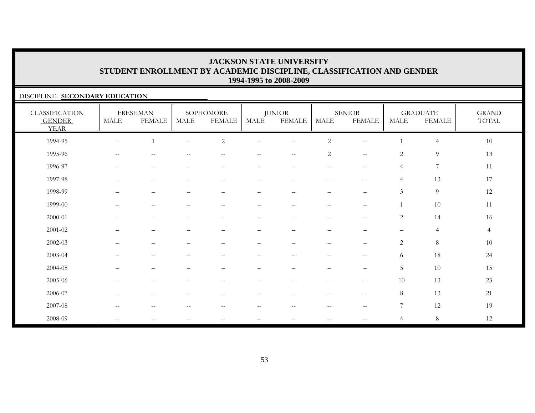#### DISCIPLINE: **SECONDARY EDUCATION**

| <b>CLASSIFICATION</b><br><b>GENDER</b><br><b>YEAR</b> | <b>MALE</b>                                           | <b>FRESHMAN</b><br><b>FEMALE</b> | MALE                                                | SOPHOMORE<br><b>FEMALE</b> | <b>MALE</b>              | <b>JUNIOR</b><br><b>FEMALE</b>                        | <b>MALE</b>              | <b>SENIOR</b><br><b>FEMALE</b>                | MALE              | <b>GRADUATE</b><br><b>FEMALE</b> | <b>GRAND</b><br>TOTAL |
|-------------------------------------------------------|-------------------------------------------------------|----------------------------------|-----------------------------------------------------|----------------------------|--------------------------|-------------------------------------------------------|--------------------------|-----------------------------------------------|-------------------|----------------------------------|-----------------------|
| 1994-95                                               | $- -$                                                 |                                  | $\overline{\phantom{m}}$                            | $\overline{c}$             | $\qquad \qquad -$        | $\overline{\phantom{m}}$                              | $\overline{c}$           | $\mathbf{u} = \mathbf{v}$                     |                   | $\overline{4}$                   | $10\,$                |
| 1995-96                                               | $\hspace{0.05cm} - \hspace{0.05cm} - \hspace{0.05cm}$ | $-$                              |                                                     |                            |                          | $\overline{\phantom{m}}$                              | $\overline{c}$           | $\mathbf{u}$                                  | $\overline{c}$    | $\overline{9}$                   | 13                    |
| 1996-97                                               | $\overline{\phantom{m}}$                              | $\overline{\phantom{m}}$         | $\hspace{0.05cm} -\hspace{0.05cm} -\hspace{0.05cm}$ | $\overline{\phantom{m}}$   | $\overline{\phantom{m}}$ | $\hspace{0.05cm} - \hspace{0.05cm} - \hspace{0.05cm}$ | $--$                     | $-\,-$                                        | $\overline{4}$    | $\overline{7}$                   | 11                    |
| 1997-98                                               | $\overline{\phantom{m}}$                              | $\overline{\phantom{m}}$         | $\overline{\phantom{0}}$                            | $\qquad \qquad -$          | $\overline{\phantom{m}}$ | $\overline{\phantom{m}}$                              | $\qquad \qquad -$        | $\qquad \qquad -$                             | $\overline{4}$    | 13                               | 17                    |
| 1998-99                                               |                                                       | $\qquad \qquad -$                |                                                     | $\overline{\phantom{0}}$   | $\qquad \qquad -$        | $\overline{\phantom{0}}$                              | $\overline{\phantom{0}}$ | $\overline{\phantom{m}}$                      | $\mathfrak{Z}$    | $\overline{9}$                   | 12                    |
| 1999-00                                               | ▃                                                     | $\qquad \qquad -$                |                                                     | $\overline{\phantom{0}}$   | $\overline{\phantom{0}}$ | $\overline{\phantom{m}}$                              | $\overline{\phantom{0}}$ | $\overline{\phantom{m}}$                      |                   | $10\,$                           | 11                    |
| 2000-01                                               | $\qquad \qquad -$                                     | $\sim$ $-$                       | $\overline{\phantom{m}}$                            | $-$                        | $\qquad \qquad -$        | $\overline{\phantom{m}}$                              | $--$                     | $\mathord{\hspace{1pt}\text{--}\hspace{1pt}}$ | $\overline{c}$    | 14                               | 16                    |
| 2001-02                                               | $\qquad \qquad -$                                     | $\overline{\phantom{m}}$         | $\equiv$                                            | $\qquad \qquad -$          | $\qquad \qquad -$        | $\overline{\phantom{m}}$                              | $\qquad \qquad -$        | $\overline{\phantom{m}}$                      | $\qquad \qquad -$ | $\overline{4}$                   | $\overline{4}$        |
| 2002-03                                               | $\overline{\phantom{0}}$                              | $\overline{\phantom{0}}$         |                                                     | $\qquad \qquad -$          | $\qquad \qquad -$        | $\overline{\phantom{0}}$                              | $\qquad \qquad -$        | $\overline{\phantom{m}}$                      | $\overline{c}$    | $\,8\,$                          | 10                    |
| 2003-04                                               |                                                       |                                  |                                                     |                            |                          |                                                       |                          |                                               | 6                 | 18                               | 24                    |
| 2004-05                                               |                                                       |                                  |                                                     |                            |                          |                                                       | -                        | $\overline{\phantom{m}}$                      | 5                 | 10                               | 15                    |
| 2005-06                                               |                                                       |                                  |                                                     |                            |                          |                                                       |                          | $\qquad \qquad -$                             | 10                | 13                               | 23                    |
| 2006-07                                               |                                                       | $\overline{\phantom{0}}$         |                                                     |                            |                          |                                                       |                          | $\overline{\phantom{m}}$                      | 8                 | 13                               | 21                    |
| 2007-08                                               | $\overline{\phantom{m}}$                              | $-\,-$                           | $-$                                                 | $- -$                      | $\qquad \qquad -$        | $\hspace{0.05cm} - \hspace{0.05cm} - \hspace{0.05cm}$ | $--$                     | $\overline{\phantom{m}}$                      | 7                 | 12                               | 19                    |
| 2008-09                                               | $\mathbf{u}$                                          | $\overline{\phantom{m}}$         | $-$                                                 | $- -$                      | $- -$                    | $\hspace{0.05cm} - \hspace{0.05cm} - \hspace{0.05cm}$ | $--$                     |                                               | $\overline{4}$    | $8\phantom{.}$                   | 12                    |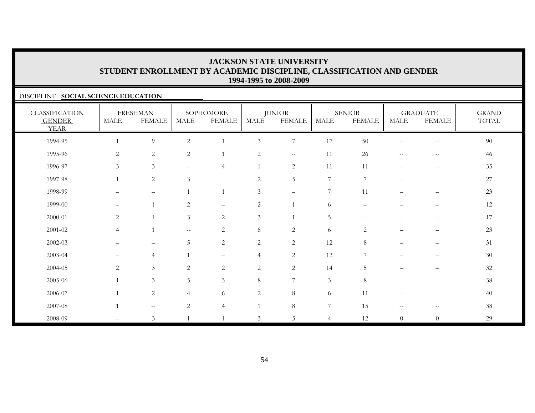#### DISCIPLINE: **SOCIAL SCIENCE EDUCATION**

| <b>CLASSIFICATION</b><br><b>GENDER</b><br><b>YEAR</b> | <b>MALE</b>       | <b>FRESHMAN</b><br><b>FEMALE</b> | <b>MALE</b>                                         | SOPHOMORE<br><b>FEMALE</b> | <b>MALE</b>    | <b>JUNIOR</b><br><b>FEMALE</b> | <b>MALE</b>    | <b>SENIOR</b><br><b>FEMALE</b> | <b>MALE</b>                                         | <b>GRADUATE</b><br><b>FEMALE</b> | <b>GRAND</b><br>TOTAL |
|-------------------------------------------------------|-------------------|----------------------------------|-----------------------------------------------------|----------------------------|----------------|--------------------------------|----------------|--------------------------------|-----------------------------------------------------|----------------------------------|-----------------------|
| 1994-95                                               |                   | $\overline{9}$                   | $\sqrt{2}$                                          | $\overline{1}$             | $\mathfrak{Z}$ | $7\phantom{.0}$                | 17             | 50                             | $\hspace{0.05cm} -\hspace{0.05cm} -\hspace{0.05cm}$ | $-\,-$                           | $90\,$                |
| 1995-96                                               | $\sqrt{2}$        | $\sqrt{2}$                       | 2                                                   | $\overline{1}$             | $\overline{c}$ | $\sim$ $-$                     | 11             | 26                             | $\hspace{0.05cm} -\hspace{0.05cm} -\hspace{0.05cm}$ | $\overline{\phantom{m}}$         | 46                    |
| 1996-97                                               | $\mathfrak{Z}$    | $\mathfrak{Z}$                   | $\hspace{0.05cm} -\hspace{0.05cm} -\hspace{0.05cm}$ | 4                          | 1              | $\sqrt{2}$                     | 11             | 11                             | $\hspace{0.05cm} -\hspace{0.05cm} -\hspace{0.05cm}$ | $-\,-$                           | 35                    |
| 1997-98                                               | $\mathbf{1}$      | $\sqrt{2}$                       | $\mathfrak{Z}$                                      | $\qquad \qquad -$          | $\sqrt{2}$     | $\mathbf 5$                    | $\sqrt{ }$     | 7                              | —                                                   | $\qquad \qquad -$                | $27\,$                |
| 1998-99                                               |                   | $\overline{\phantom{m}}$         | $\overline{1}$                                      | $\overline{1}$             | 3              | $\qquad \qquad -$              | 7              | 11                             | $\overline{\phantom{0}}$                            | $\overline{\phantom{m}}$         | 23                    |
| 1999-00                                               | $\qquad \qquad -$ | $\overline{1}$                   | 2                                                   | $\qquad \qquad -$          | 2              |                                | 6              | $\overline{\phantom{0}}$       |                                                     |                                  | 12                    |
| 2000-01                                               | $\overline{c}$    | $\overline{1}$                   | $\mathfrak{Z}$                                      | $\mathbf{2}$               | $\mathfrak{Z}$ |                                | $\overline{5}$ | $-\, -$                        | $\qquad \qquad -$                                   | $-\,-$                           | 17                    |
| $2001 - 02$                                           | $\overline{4}$    | $\mathbf{1}$                     | $\hspace{0.05cm} -\hspace{0.05cm} -\hspace{0.05cm}$ | 2                          | 6              | $\sqrt{2}$                     | 6              | $\overline{c}$                 |                                                     | $\overline{\phantom{m}}$         | 23                    |
| $2002 - 03$                                           |                   | -                                | $\overline{5}$                                      | $\mathbf{2}$               | $\overline{c}$ | $\sqrt{2}$                     | 12             | 8                              |                                                     |                                  | 31                    |
| 2003-04                                               | $\qquad \qquad -$ | $\overline{4}$                   |                                                     | $\qquad \qquad -$          | $\overline{4}$ | $\sqrt{2}$                     | 12             | 7                              |                                                     |                                  | $30\,$                |
| 2004-05                                               | $\overline{c}$    | $\mathfrak{Z}$                   | 2                                                   | 2                          | 2              | $\overline{2}$                 | 14             | 5                              | $\qquad \qquad -$                                   | $\overline{\phantom{m}}$         | 32                    |
| 2005-06                                               | $\overline{1}$    | $\mathfrak{Z}$                   | $5\overline{)}$                                     | $\mathfrak{Z}$             | $\,8\,$        | 7                              | $\mathfrak{Z}$ | $\,8\,$                        | -                                                   | -                                | 38                    |
| 2006-07                                               |                   | $\sqrt{2}$                       | $\overline{4}$                                      | 6                          | $\sqrt{2}$     | $\,8\,$                        | 6              | 11                             |                                                     | $\qquad \qquad -$                | 40                    |
| 2007-08                                               | $\overline{1}$    | $\mathbf{u}$                     | $\overline{2}$                                      | $\overline{4}$             |                | $\,8\,$                        | 7              | 15                             | $\hspace{0.05cm} -\hspace{0.05cm} -\hspace{0.05cm}$ | $\hspace{0.05cm} -$              | $38\,$                |
| 2008-09                                               | $- -$             | $\mathfrak{Z}$                   |                                                     | $\overline{1}$             | $\mathfrak{Z}$ | 5                              | $\overline{4}$ | 12                             | $\overline{0}$                                      | $\boldsymbol{0}$                 | 29                    |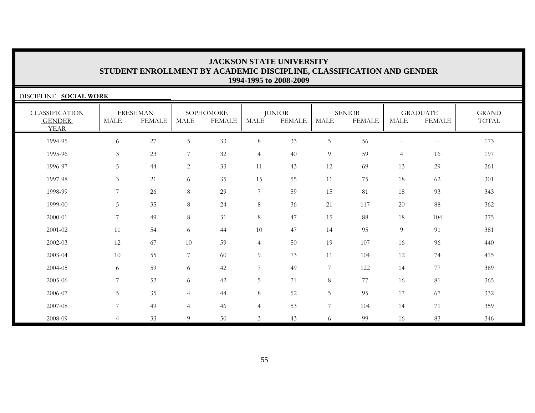| DISCIPLINE: SOCIAL WORK                               |                |                                  |                |                            |                  |                                |                  |                                |                   |                                  |                       |
|-------------------------------------------------------|----------------|----------------------------------|----------------|----------------------------|------------------|--------------------------------|------------------|--------------------------------|-------------------|----------------------------------|-----------------------|
| <b>CLASSIFICATION</b><br><b>GENDER</b><br><b>YEAR</b> | <b>MALE</b>    | <b>FRESHMAN</b><br><b>FEMALE</b> | MALE           | SOPHOMORE<br><b>FEMALE</b> | <b>MALE</b>      | <b>JUNIOR</b><br><b>FEMALE</b> | <b>MALE</b>      | <b>SENIOR</b><br><b>FEMALE</b> | <b>MALE</b>       | <b>GRADUATE</b><br><b>FEMALE</b> | <b>GRAND</b><br>TOTAL |
| 1994-95                                               | 6              | 27                               | 5              | 33                         | $8\,$            | 33                             | 5                | 56                             | $\qquad \qquad -$ | $\overline{\phantom{m}}$         | 173                   |
| 1995-96                                               | 3              | 23                               | 7              | 32                         | $\overline{4}$   | 40                             | 9                | 59                             | $\overline{4}$    | 16                               | 197                   |
| 1996-97                                               | 5              | 44                               | 2              | 33                         | 11               | 43                             | 12               | 69                             | 13                | 29                               | 261                   |
| 1997-98                                               | 3              | 21                               | 6              | 35                         | 15               | 55                             | 11               | 75                             | 18                | 62                               | 301                   |
| 1998-99                                               | 7              | 26                               | 8              | 29                         | $\boldsymbol{7}$ | 59                             | 15               | 81                             | 18                | 93                               | 343                   |
| 1999-00                                               | 5              | 35                               | 8              | 24                         | $8\,$            | 36                             | 21               | 117                            | 20                | 88                               | 362                   |
| 2000-01                                               | 7              | 49                               | 8              | 31                         | $8\,$            | 47                             | 15               | 88                             | 18                | 104                              | 375                   |
| 2001-02                                               | 11             | 54                               | 6              | 44                         | 10               | 47                             | 14               | 95                             | 9                 | 91                               | 381                   |
| 2002-03                                               | 12             | 67                               | 10             | 59                         | $\overline{4}$   | 50                             | 19               | 107                            | 16                | 96                               | 440                   |
| 2003-04                                               | 10             | 55                               | $\overline{7}$ | 60                         | 9                | 73                             | 11               | 104                            | 12                | 74                               | 415                   |
| 2004-05                                               | 6              | 59                               | 6              | 42                         | $\overline{7}$   | 49                             | 7                | 122                            | 14                | 77                               | 389                   |
| 2005-06                                               | $\overline{7}$ | 52                               | 6              | 42                         | $5\phantom{.0}$  | 71                             | $\,8\,$          | 77                             | 16                | 81                               | 365                   |
| 2006-07                                               | 5              | 35                               | 4              | 44                         | $8\,$            | 52                             | $\mathbf 5$      | 95                             | 17                | 67                               | 332                   |
| 2007-08                                               | $\overline{7}$ | 49                               | $\overline{4}$ | 46                         | $\overline{4}$   | 53                             | $\boldsymbol{7}$ | 104                            | 14                | 71                               | 359                   |
| 2008-09                                               | $\overline{4}$ | 33                               | 9              | 50                         | 3                | 43                             | 6                | 99                             | 16                | 83                               | 346                   |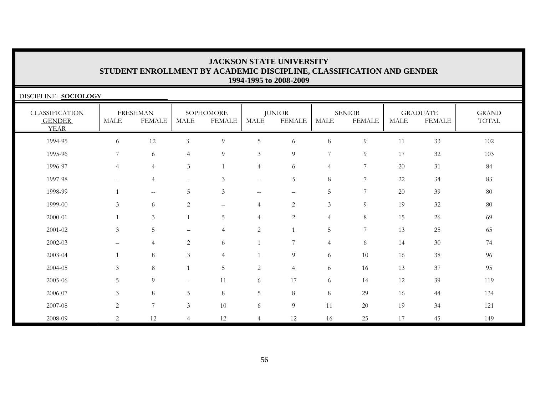| DISCIPLINE: SOCIOLOGY                                 |                |                                  |                          |                            |                          |                                |                |                                |             |                                  |                       |
|-------------------------------------------------------|----------------|----------------------------------|--------------------------|----------------------------|--------------------------|--------------------------------|----------------|--------------------------------|-------------|----------------------------------|-----------------------|
| <b>CLASSIFICATION</b><br><b>GENDER</b><br><b>YEAR</b> | MALE           | <b>FRESHMAN</b><br><b>FEMALE</b> | MALE                     | SOPHOMORE<br><b>FEMALE</b> | <b>MALE</b>              | <b>JUNIOR</b><br><b>FEMALE</b> | MALE           | <b>SENIOR</b><br><b>FEMALE</b> | <b>MALE</b> | <b>GRADUATE</b><br><b>FEMALE</b> | <b>GRAND</b><br>TOTAL |
| 1994-95                                               | 6              | 12                               | $\mathfrak{Z}$           | 9                          | 5                        | 6                              | $\,8\,$        | 9                              | 11          | 33                               | 102                   |
| 1995-96                                               | 7              | 6                                | 4                        | 9                          | 3                        | 9                              | 7              | 9                              | 17          | 32                               | 103                   |
| 1996-97                                               | $\overline{4}$ | $\overline{4}$                   | $\mathfrak{Z}$           | $\mathbf{1}$               | $\overline{4}$           | 6                              | $\overline{4}$ | 7                              | 20          | 31                               | 84                    |
| 1997-98                                               |                | $\overline{4}$                   | $\overline{\phantom{0}}$ | $\mathfrak{Z}$             | $\overline{\phantom{0}}$ | 5                              | $8\,$          | 7                              | 22          | 34                               | 83                    |
| 1998-99                                               |                | $- -$                            | 5                        | 3                          | $\overline{\phantom{m}}$ | $\qquad \qquad -$              | 5              | $\overline{7}$                 | 20          | 39                               | 80                    |
| 1999-00                                               | 3              | 6                                | $\mathbf{2}$             | $\qquad \qquad -$          | $\overline{4}$           | $\mathbf{2}$                   | $\mathfrak{Z}$ | 9                              | 19          | 32                               | 80                    |
| 2000-01                                               |                | 3                                |                          | 5                          | $\overline{4}$           | 2                              | $\overline{4}$ | 8                              | 15          | 26                               | 69                    |
| 2001-02                                               | 3              | 5                                | $\overline{\phantom{0}}$ | $\overline{4}$             | $\overline{2}$           |                                | 5              | 7                              | 13          | 25                               | 65                    |
| 2002-03                                               |                | $\overline{4}$                   | $\overline{c}$           | 6                          | $\mathbf{1}$             | $\overline{7}$                 | $\overline{4}$ | 6                              | 14          | $30\,$                           | 74                    |
| 2003-04                                               |                | 8                                | $\mathfrak{Z}$           | $\overline{4}$             | $\mathbf{1}$             | 9                              | 6              | 10                             | 16          | $38\,$                           | 96                    |
| 2004-05                                               | 3              | 8                                |                          | 5                          | $\sqrt{2}$               | $\overline{4}$                 | 6              | 16                             | 13          | 37                               | 95                    |
| 2005-06                                               | 5              | 9                                | $\overline{\phantom{0}}$ | 11                         | 6                        | 17                             | 6              | 14                             | 12          | 39                               | 119                   |
| 2006-07                                               | 3              | 8                                | 5                        | 8                          | $5\phantom{.0}$          | 8                              | $\,8\,$        | 29                             | 16          | 44                               | 134                   |
| 2007-08                                               | $\overline{c}$ | $\overline{7}$                   | $\mathfrak{Z}$           | 10                         | 6                        | $\overline{9}$                 | 11             | 20                             | 19          | 34                               | 121                   |
| 2008-09                                               | 2              | 12                               | $\overline{4}$           | 12                         | $\overline{4}$           | 12                             | 16             | 25                             | 17          | 45                               | 149                   |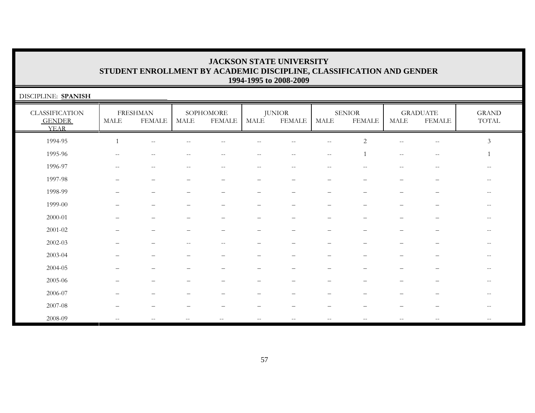| DISCIPLINE: SPANISH                                   |                          |                                  |                          |                                                     |                   |                                |                       |                                |                                                     |                                  |                       |
|-------------------------------------------------------|--------------------------|----------------------------------|--------------------------|-----------------------------------------------------|-------------------|--------------------------------|-----------------------|--------------------------------|-----------------------------------------------------|----------------------------------|-----------------------|
| <b>CLASSIFICATION</b><br><b>GENDER</b><br><b>YEAR</b> | <b>MALE</b>              | <b>FRESHMAN</b><br><b>FEMALE</b> | <b>MALE</b>              | SOPHOMORE<br><b>FEMALE</b>                          | MALE              | <b>JUNIOR</b><br><b>FEMALE</b> | $\operatorname{MALE}$ | <b>SENIOR</b><br><b>FEMALE</b> | $\operatorname{MALE}$                               | <b>GRADUATE</b><br><b>FEMALE</b> | <b>GRAND</b><br>TOTAL |
| 1994-95                                               | $\mathbf{1}$             | $\sim$ $-$                       |                          |                                                     |                   |                                | $-$                   | $\overline{c}$                 | $ -$                                                | $\overline{\phantom{m}}$         | $\mathfrak{Z}$        |
| 1995-96                                               | $-$                      |                                  | --                       | $\qquad \qquad -$                                   | $\qquad \qquad -$ | $--$                           | $\sim$ $-$            |                                | $\hspace{0.05cm} -\hspace{0.05cm} -\hspace{0.05cm}$ | $\hspace{0.05cm} -$              |                       |
| 1996-97                                               | $\overline{\phantom{m}}$ | $\overline{\phantom{m}}$         | $\overline{\phantom{m}}$ | $\hspace{0.05cm} -\hspace{0.05cm} -\hspace{0.05cm}$ | $--$              | $--$                           | $\qquad \qquad -$     | $- -$                          | $\overline{\phantom{m}}$                            | $\hspace{0.05cm} -$              | $\qquad \qquad -$     |
| 1997-98                                               |                          |                                  |                          |                                                     |                   |                                |                       |                                |                                                     |                                  |                       |
| 1998-99                                               |                          |                                  |                          |                                                     |                   |                                |                       |                                |                                                     |                                  | $-$                   |
| 1999-00                                               |                          |                                  |                          |                                                     |                   |                                |                       |                                |                                                     |                                  |                       |
| $2000 - 01$                                           |                          |                                  |                          |                                                     |                   |                                |                       |                                |                                                     |                                  |                       |
| $2001 - 02$                                           |                          |                                  |                          |                                                     |                   |                                |                       |                                |                                                     |                                  |                       |
| $2002 - 03$                                           |                          |                                  |                          |                                                     |                   |                                |                       |                                |                                                     |                                  |                       |
| 2003-04                                               |                          |                                  |                          |                                                     |                   |                                |                       |                                |                                                     |                                  |                       |
| 2004-05                                               |                          |                                  |                          |                                                     |                   |                                |                       |                                |                                                     |                                  |                       |
| 2005-06                                               |                          |                                  |                          |                                                     |                   |                                |                       |                                |                                                     |                                  | $- -$                 |
| 2006-07                                               |                          |                                  |                          |                                                     |                   |                                |                       |                                |                                                     |                                  | $- -$                 |
| 2007-08                                               |                          |                                  |                          |                                                     |                   |                                |                       |                                |                                                     |                                  |                       |
| 2008-09                                               | $\sim$                   |                                  |                          |                                                     | $- -$             |                                |                       |                                |                                                     |                                  | $-$                   |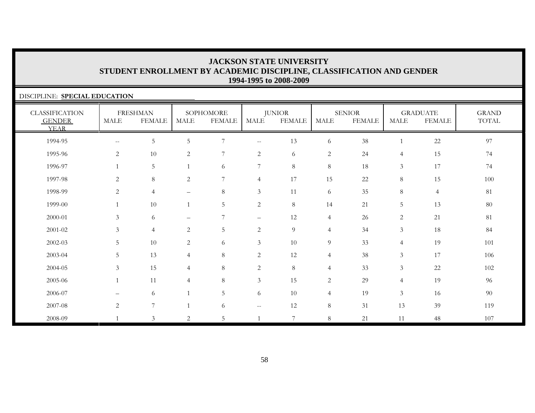| DISCIPLINE: SPECIAL EDUCATION                         |                                                     |                                  |                          |                            |                          |                                |                |                                |                |                                  |                       |  |
|-------------------------------------------------------|-----------------------------------------------------|----------------------------------|--------------------------|----------------------------|--------------------------|--------------------------------|----------------|--------------------------------|----------------|----------------------------------|-----------------------|--|
| <b>CLASSIFICATION</b><br><b>GENDER</b><br><b>YEAR</b> | <b>MALE</b>                                         | <b>FRESHMAN</b><br><b>FEMALE</b> | <b>MALE</b>              | SOPHOMORE<br><b>FEMALE</b> | <b>MALE</b>              | <b>JUNIOR</b><br><b>FEMALE</b> | <b>MALE</b>    | <b>SENIOR</b><br><b>FEMALE</b> | <b>MALE</b>    | <b>GRADUATE</b><br><b>FEMALE</b> | <b>GRAND</b><br>TOTAL |  |
| 1994-95                                               | $\hspace{0.05cm} -\hspace{0.05cm} -\hspace{0.05cm}$ | 5                                | 5                        | 7                          | $- -$                    | 13                             | 6              | 38                             | $\overline{1}$ | 22                               | 97                    |  |
| 1995-96                                               | 2                                                   | 10                               | 2                        | 7                          | $\overline{c}$           | 6                              | $\sqrt{2}$     | 24                             | $\overline{4}$ | 15                               | 74                    |  |
| 1996-97                                               |                                                     | 5                                | $\mathbf{1}$             | 6                          | 7                        | $8\,$                          | 8              | 18                             | $\mathfrak{Z}$ | 17                               | 74                    |  |
| 1997-98                                               | 2                                                   | 8                                | 2                        | 7                          | $\overline{4}$           | 17                             | 15             | 22                             | 8              | 15                               | 100                   |  |
| 1998-99                                               | 2                                                   | $\overline{4}$                   | $\overline{\phantom{0}}$ | $\,8\,$                    | $\mathfrak{Z}$           | 11                             | 6              | 35                             | 8              | $\overline{4}$                   | 81                    |  |
| 1999-00                                               |                                                     | 10                               | $\mathbf{1}$             | 5                          | $\overline{c}$           | $8\,$                          | 14             | 21                             | 5              | 13                               | $80\,$                |  |
| 2000-01                                               | 3                                                   | 6                                |                          | 7                          | $\overline{\phantom{m}}$ | 12                             | $\overline{4}$ | 26                             | $\overline{2}$ | 21                               | 81                    |  |
| 2001-02                                               | 3                                                   | $\overline{4}$                   | $\overline{c}$           | 5                          | $\overline{2}$           | 9                              | $\overline{4}$ | 34                             | $\mathfrak{Z}$ | 18                               | 84                    |  |
| 2002-03                                               | 5                                                   | 10                               | $\mathbf{2}$             | 6                          | $\mathfrak{Z}$           | 10                             | 9              | 33                             | $\overline{4}$ | 19                               | 101                   |  |
| 2003-04                                               | 5                                                   | 13                               | $\overline{4}$           | $\,8\,$                    | $\overline{c}$           | 12                             | $\overline{4}$ | $38\,$                         | $\mathfrak{Z}$ | 17                               | 106                   |  |
| 2004-05                                               | $\mathfrak{Z}$                                      | 15                               | $\overline{4}$           | 8                          | $\overline{c}$           | $8\,$                          | $\overline{4}$ | 33                             | 3              | 22                               | 102                   |  |
| 2005-06                                               | $\mathbf{1}$                                        | 11                               | 4                        | $8\phantom{.}$             | $\mathfrak{Z}$           | 15                             | $\overline{2}$ | 29                             | $\overline{4}$ | 19                               | 96                    |  |
| 2006-07                                               |                                                     | 6                                |                          | 5                          | 6                        | 10                             | $\overline{4}$ | 19                             | $\mathfrak{Z}$ | 16                               | 90                    |  |
| 2007-08                                               | 2                                                   | $\overline{7}$                   |                          | 6                          | $\sim$ $\sim$            | 12                             | 8              | 31                             | 13             | 39                               | 119                   |  |
| 2008-09                                               |                                                     | $\mathfrak{Z}$                   | 2                        | 5                          |                          | $\overline{7}$                 | 8              | 21                             | 11             | 48                               | 107                   |  |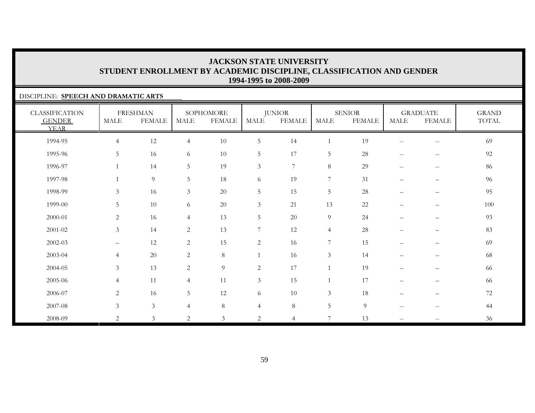#### DISCIPLINE: **SPEECH AND DRAMATIC ARTS**

| <b>CLASSIFICATION</b><br><b>GENDER</b><br><b>YEAR</b> | <b>MALE</b>       | <b>FRESHMAN</b><br><b>FEMALE</b> | <b>MALE</b>     | SOPHOMORE<br><b>FEMALE</b> | MALE           | <b>JUNIOR</b><br><b>FEMALE</b> | <b>MALE</b>      | <b>SENIOR</b><br><b>FEMALE</b> | MALE                                                | <b>GRADUATE</b><br><b>FEMALE</b> | <b>GRAND</b><br>TOTAL |
|-------------------------------------------------------|-------------------|----------------------------------|-----------------|----------------------------|----------------|--------------------------------|------------------|--------------------------------|-----------------------------------------------------|----------------------------------|-----------------------|
| 1994-95                                               | $\overline{4}$    | 12                               | $\overline{4}$  | 10                         | 5              | 14                             | $\mathbf{1}$     | 19                             |                                                     | $\hspace{0.05cm} -$              | 69                    |
| 1995-96                                               | 5                 | 16                               | 6               | 10                         | $\mathbf 5$    | 17                             | $5\phantom{.0}$  | 28                             | $-$                                                 | $\hspace{0.05cm} -$              | 92                    |
| 1996-97                                               | $\overline{1}$    | 14                               | $5\phantom{.0}$ | 19                         | $\mathfrak{Z}$ | $7\phantom{.}$                 | $\,8\,$          | 29                             | $\hspace{0.05cm} -\hspace{0.05cm} -\hspace{0.05cm}$ | $\overline{\phantom{m}}$         | 86                    |
| 1997-98                                               | $\overline{1}$    | 9                                | 5               | 18                         | 6              | 19                             | $\overline{7}$   | 31                             | $\qquad \qquad -$                                   | $\overline{\phantom{m}}$         | 96                    |
| 1998-99                                               | $\overline{3}$    | 16                               | $\mathfrak{Z}$  | $20\,$                     | $\mathbf 5$    | 15                             | $\overline{5}$   | 28                             | $\qquad \qquad -$                                   | $\overline{\phantom{m}}$         | 95                    |
| 1999-00                                               | 5                 | 10                               | 6               | 20                         | 3              | 21                             | 13               | 22                             |                                                     |                                  | $100\,$               |
| 2000-01                                               | $\overline{2}$    | 16                               | $\overline{4}$  | 13                         | $\mathbf 5$    | 20                             | $\overline{9}$   | 24                             | $\qquad \qquad -$                                   | $\overline{\phantom{m}}$         | 93                    |
| $2001 - 02$                                           | $\mathfrak{Z}$    | 14                               | 2               | 13                         | 7              | 12                             | $\overline{4}$   | 28                             | $\qquad \qquad -$                                   | $\qquad \qquad -$                | 83                    |
| 2002-03                                               | $\qquad \qquad -$ | 12                               | 2               | 15                         | $\overline{c}$ | 16                             | $\boldsymbol{7}$ | 15                             | —                                                   | $\overline{\phantom{m}}$         | 69                    |
| 2003-04                                               | $\overline{4}$    | $20\,$                           | 2               | $8\,$                      | $\mathbf{1}$   | 16                             | $\mathfrak{Z}$   | 14                             |                                                     |                                  | 68                    |
| 2004-05                                               | $\mathfrak{Z}$    | 13                               | 2               | 9                          | $\overline{c}$ | 17                             |                  | 19                             | $\qquad \qquad -$                                   | $\qquad \qquad -$                | 66                    |
| 2005-06                                               | $\overline{4}$    | 11                               | $\overline{4}$  | 11                         | 3              | 15                             |                  | 17                             | $\qquad \qquad -$                                   | $\qquad \qquad -$                | 66                    |
| 2006-07                                               | $\overline{2}$    | 16                               | $5\phantom{.}$  | 12                         | 6              | 10                             | $\mathfrak{Z}$   | 18                             |                                                     | $\overline{\phantom{m}}$         | 72                    |
| 2007-08                                               | $\mathfrak{Z}$    | $\mathfrak{Z}$                   | $\overline{4}$  | $\,8\,$                    | $\overline{4}$ | $\,8\,$                        | $5\phantom{.0}$  | 9                              | $\hspace{0.05cm} -\hspace{0.05cm} -\hspace{0.05cm}$ | $\hspace{0.05cm} -$              | 44                    |
| 2008-09                                               | $\mathbf{2}$      | $\mathfrak{Z}$                   | 2               | $\mathfrak{Z}$             | 2              | $\overline{4}$                 | 7                | 13                             | $\overline{\phantom{a}}$                            | $\hspace{0.05cm} -$              | 36                    |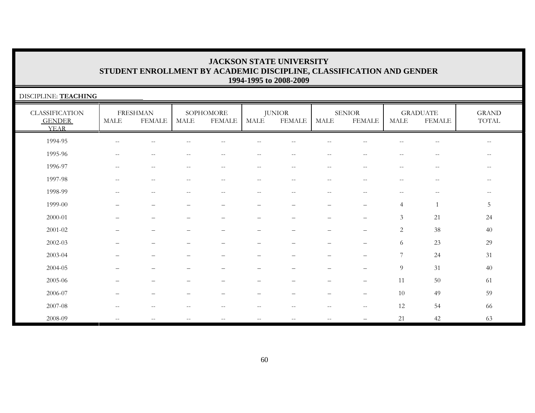| DISCIPLINE: TEACHING                                  |                          |                                  |                          |                                                       |                                                       |                                |                                                     |                                |                                                     |                                                     |                                        |
|-------------------------------------------------------|--------------------------|----------------------------------|--------------------------|-------------------------------------------------------|-------------------------------------------------------|--------------------------------|-----------------------------------------------------|--------------------------------|-----------------------------------------------------|-----------------------------------------------------|----------------------------------------|
| <b>CLASSIFICATION</b><br><b>GENDER</b><br><b>YEAR</b> | $\operatorname{MALE}$    | <b>FRESHMAN</b><br><b>FEMALE</b> | MALE                     | SOPHOMORE<br><b>FEMALE</b>                            | MALE                                                  | <b>JUNIOR</b><br><b>FEMALE</b> | $\operatorname{MALE}$                               | <b>SENIOR</b><br><b>FEMALE</b> | MALE                                                | <b>GRADUATE</b><br><b>FEMALE</b>                    | <b>GRAND</b><br>$\operatorname{TOTAL}$ |
| 1994-95                                               | $\overline{\phantom{m}}$ |                                  |                          |                                                       |                                                       |                                |                                                     |                                |                                                     | --                                                  | $\overline{\phantom{m}}$               |
| 1995-96                                               | $\overline{\phantom{m}}$ | $\qquad \qquad -$                | $- -$                    | $\mathrel{{-}{-}}$                                    | $\overline{\phantom{m}}$                              | $\overline{\phantom{m}}$       | $-$                                                 | $- -$                          | $\mathrel{{-}{-}}$                                  | $\hspace{0.05cm}$ – $\hspace{0.05cm}$               | $\overline{\phantom{m}}$               |
| 1996-97                                               | $\overline{\phantom{m}}$ | $ -$                             | $\overline{\phantom{a}}$ | $\mathrel{{-}{-}}$                                    | $--$                                                  | $--$                           | $\hspace{0.05cm} -\hspace{0.05cm} -\hspace{0.05cm}$ | $--$                           | $\hspace{0.05cm} -\hspace{0.05cm} -\hspace{0.05cm}$ | $\hspace{0.05cm} -\hspace{0.05cm} -\hspace{0.05cm}$ | $\overline{\phantom{m}}$               |
| 1997-98                                               | $\overline{\phantom{m}}$ | $- -$                            | $- -$                    | $-$                                                   | $-$                                                   | $- -$                          | $-$                                                 | $- -$                          | $ -$                                                | $-$                                                 | $ -$                                   |
| 1998-99                                               | $-$                      | $- -$                            | $\qquad \qquad -$        | $\hspace{0.05cm} - \hspace{0.05cm} - \hspace{0.05cm}$ | $\hspace{0.05cm} - \hspace{0.05cm} - \hspace{0.05cm}$ | $--$                           | $\overline{\phantom{m}}$                            | $\overline{\phantom{m}}$       | $\hspace{0.05cm}$ – $\hspace{0.05cm}$               | $-$                                                 | $\qquad \qquad -$                      |
| 1999-00                                               |                          |                                  | —                        | $\overline{\phantom{0}}$                              | $\qquad \qquad -$                                     | -                              | $\overline{\phantom{0}}$                            | $\qquad \qquad -$              | $\overline{4}$                                      | $\overline{1}$                                      | 5                                      |
| $2000 - 01$                                           |                          |                                  |                          |                                                       |                                                       |                                |                                                     |                                | 3                                                   | 21                                                  | 24                                     |
| 2001-02                                               |                          |                                  |                          |                                                       |                                                       |                                |                                                     |                                | $\overline{2}$                                      | 38                                                  | 40                                     |
| $2002 - 03$                                           |                          |                                  |                          |                                                       |                                                       |                                |                                                     |                                | 6                                                   | 23                                                  | 29                                     |
| 2003-04                                               |                          |                                  |                          |                                                       |                                                       |                                |                                                     |                                | $\overline{7}$                                      | 24                                                  | 31                                     |
| 2004-05                                               |                          |                                  |                          |                                                       |                                                       |                                |                                                     |                                | 9                                                   | 31                                                  | 40                                     |
| 2005-06                                               |                          |                                  |                          |                                                       | -                                                     |                                |                                                     | $\overline{\phantom{0}}$       | 11                                                  | 50                                                  | 61                                     |
| 2006-07                                               |                          |                                  | —                        |                                                       | $\qquad \qquad -$                                     |                                | $\overline{\phantom{0}}$                            | $\qquad \qquad -$              | 10                                                  | 49                                                  | 59                                     |
| 2007-08                                               | $-$                      | $-$                              | --                       | --                                                    | $-\,-$                                                | $-\,-$                         | $-$                                                 | $\overline{\phantom{m}}$       | 12                                                  | 54                                                  | 66                                     |
| 2008-09                                               | $-$                      |                                  | $=$                      |                                                       | $- -$                                                 | $-$                            | $\sim$                                              |                                | 21                                                  | 42                                                  | 63                                     |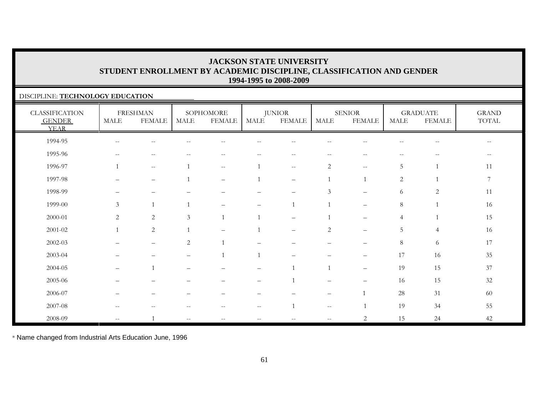#### DISCIPLINE: **TECHNOLOGY EDUCATION**

| <b>CLASSIFICATION</b><br><b>GENDER</b><br><b>YEAR</b> | MALE                                                | <b>FRESHMAN</b><br><b>FEMALE</b>                      | MALE              | SOPHOMORE<br><b>FEMALE</b>                            | MALE                                                | <b>JUNIOR</b><br><b>FEMALE</b>                      | MALE                                                | <b>SENIOR</b><br><b>FEMALE</b>        | MALE                     | <b>GRADUATE</b><br><b>FEMALE</b> | <b>GRAND</b><br>TOTAL    |
|-------------------------------------------------------|-----------------------------------------------------|-------------------------------------------------------|-------------------|-------------------------------------------------------|-----------------------------------------------------|-----------------------------------------------------|-----------------------------------------------------|---------------------------------------|--------------------------|----------------------------------|--------------------------|
| 1994-95                                               | $\sim$ $-$                                          |                                                       |                   |                                                       |                                                     |                                                     |                                                     |                                       |                          |                                  | $\qquad \qquad -$        |
| 1995-96                                               | $\hspace{0.05cm} -\hspace{0.05cm} -\hspace{0.05cm}$ | $\hspace{0.05cm} - \hspace{0.05cm} - \hspace{0.05cm}$ | $- -$             | $\hspace{0.05cm} - \hspace{0.05cm} - \hspace{0.05cm}$ | $ -$                                                | $\hspace{0.05cm} -\hspace{0.05cm} -\hspace{0.05cm}$ | $\overline{\phantom{m}}$                            | $\hspace{0.05cm}$ – $\hspace{0.05cm}$ | $\overline{\phantom{m}}$ | $-\,-$                           | $\overline{\phantom{a}}$ |
| 1996-97                                               |                                                     | $--$                                                  |                   | $--$                                                  |                                                     | $\sim$                                              | $\mathbf{2}$                                        | $--$                                  | 5                        | $\mathbf{1}$                     | 11                       |
| 1997-98                                               |                                                     | $\overline{\phantom{m}}$                              |                   |                                                       |                                                     | $\overline{\phantom{m}}$                            |                                                     | $\overline{1}$                        | 2                        |                                  | $\boldsymbol{7}$         |
| 1998-99                                               |                                                     | -                                                     |                   |                                                       |                                                     | $\overline{\phantom{0}}$                            | $\mathfrak{Z}$                                      | $\overline{\phantom{0}}$              | 6                        | $\sqrt{2}$                       | 11                       |
| 1999-00                                               | $\mathfrak{Z}$                                      | $\overline{1}$                                        |                   |                                                       |                                                     |                                                     |                                                     |                                       | $8\,$                    |                                  | 16                       |
| $2000 - 01$                                           | $\overline{2}$                                      | $\overline{2}$                                        | 3                 |                                                       |                                                     | $\qquad \qquad -$                                   |                                                     |                                       | 4                        |                                  | 15                       |
| $2001 - 02$                                           |                                                     | $\sqrt{2}$                                            |                   |                                                       |                                                     | $\qquad \qquad -$                                   | $\sqrt{2}$                                          | $\overline{\phantom{m}}$              | 5                        | $\overline{4}$                   | 16                       |
| 2002-03                                               |                                                     | $\overline{\phantom{m}}$                              | $\overline{c}$    |                                                       |                                                     |                                                     | $\qquad \qquad \longleftarrow$                      |                                       | $8\,$                    | 6                                | 17                       |
| 2003-04                                               |                                                     |                                                       |                   |                                                       |                                                     |                                                     |                                                     |                                       | 17                       | 16                               | $35\,$                   |
| 2004-05                                               |                                                     |                                                       |                   |                                                       |                                                     |                                                     |                                                     | $\qquad \qquad -$                     | 19                       | 15                               | 37                       |
| 2005-06                                               |                                                     |                                                       |                   | —                                                     | $\overline{\phantom{m}}$                            |                                                     | $\overline{\phantom{0}}$                            | $\qquad \qquad -$                     | 16                       | 15                               | $32\,$                   |
| 2006-07                                               |                                                     |                                                       |                   |                                                       |                                                     |                                                     | $\qquad \qquad -$                                   | $\overline{1}$                        | 28                       | 31                               | 60                       |
| 2007-08                                               | $\hspace{0.05cm} -\hspace{0.05cm} -\hspace{0.05cm}$ | $-$                                                   |                   | $ -$                                                  | $\hspace{0.05cm} -\hspace{0.05cm} -\hspace{0.05cm}$ | $\overline{1}$                                      | $\hspace{0.05cm} -\hspace{0.05cm} -\hspace{0.05cm}$ |                                       | 19                       | 34                               | 55                       |
| 2008-09                                               | $\hspace{0.05cm} -\hspace{0.05cm} -\hspace{0.05cm}$ |                                                       | $\qquad \qquad -$ | $--$                                                  |                                                     |                                                     | $\overline{\phantom{m}}$                            | 2                                     | 15                       | 24                               | 42                       |

\* Name changed from Industrial Arts Education June, 1996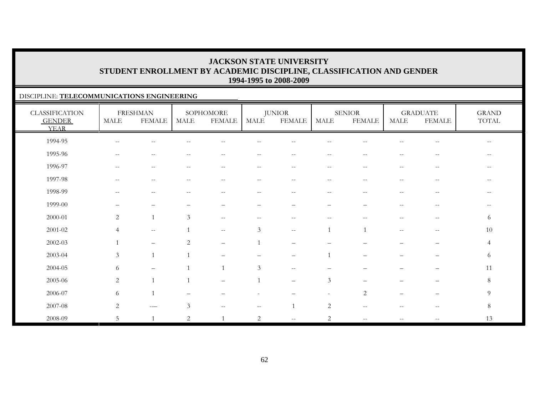#### DISCIPLINE: **TELECOMMUNICATIONS ENGINEERING**

| <b>CLASSIFICATION</b><br><b>GENDER</b><br><b>YEAR</b> | MALE                     | <b>FRESHMAN</b><br><b>FEMALE</b> | MALE                                                  | SOPHOMORE<br><b>FEMALE</b> | MALE                     | <b>JUNIOR</b><br><b>FEMALE</b>                        | MALE                     | <b>SENIOR</b><br><b>FEMALE</b>                      | <b>MALE</b>                                         | <b>GRADUATE</b><br><b>FEMALE</b>                      | <b>GRAND</b><br>TOTAL                               |
|-------------------------------------------------------|--------------------------|----------------------------------|-------------------------------------------------------|----------------------------|--------------------------|-------------------------------------------------------|--------------------------|-----------------------------------------------------|-----------------------------------------------------|-------------------------------------------------------|-----------------------------------------------------|
| 1994-95                                               | $\overline{\phantom{m}}$ | $-$                              |                                                       |                            |                          |                                                       |                          |                                                     | --                                                  | $\hspace{0.05cm} - \hspace{0.05cm} - \hspace{0.05cm}$ | $\hspace{0.05cm} -\hspace{0.05cm} -\hspace{0.05cm}$ |
| 1995-96                                               | $\overline{\phantom{m}}$ | $-\,-$                           | $\qquad \qquad -$                                     | $- -$                      | $-\,-$                   | $\overline{\phantom{a}}$                              | $--$                     | $\overline{\phantom{m}}$                            | $- -$                                               | $-\,-$                                                | $\qquad \qquad -$                                   |
| 1996-97                                               | $\overline{\phantom{m}}$ | $\overline{\phantom{m}}$         | $- -$                                                 | $-$                        | $\qquad \qquad -$        | $ -$                                                  | $- -$                    | $-$                                                 | $\overline{\phantom{m}}$                            | $\hspace{0.05cm} -$                                   | $- -$                                               |
| 1997-98                                               | $- -$                    | $\overline{\phantom{a}}$         | $ -$                                                  | $-$                        | $- -$                    | $\hspace{0.05cm} - \hspace{0.05cm} - \hspace{0.05cm}$ | $\sim$ $-$               | $- -$                                               | $\overline{\phantom{a}}$                            | $\sim$ $\sim$                                         | $- -$                                               |
| 1998-99                                               | $\overline{\phantom{m}}$ | $-$                              | $\hspace{0.05cm} - \hspace{0.05cm} - \hspace{0.05cm}$ | $- -$                      | $\overline{\phantom{m}}$ | $\overline{\phantom{m}}$                              | $\overline{\phantom{m}}$ | $\overline{\phantom{m}}$                            | $\overline{\phantom{m}}$                            | $\hspace{0.05cm}$ – $\hspace{0.05cm}$                 | $- -$                                               |
| 1999-00                                               | -                        |                                  |                                                       |                            | $\qquad \qquad -$        | -                                                     | $\qquad \qquad -$        |                                                     | $\mathord{\hspace{1pt}\text{--}\hspace{1pt}}$       | $--$                                                  | $\qquad \qquad -$                                   |
| 2000-01                                               | $\mathbf{2}$             | $\mathbf{1}$                     | $\mathfrak{Z}$                                        | $\overline{\phantom{m}}$   | $- -$                    |                                                       | --                       |                                                     | --                                                  | $-\,-$                                                | 6                                                   |
| $2001 - 02$                                           | $\overline{4}$           | $\overline{\phantom{m}}$         |                                                       | $- -$                      | $\mathfrak z$            | $\mathord{\hspace{1pt}\text{--}\hspace{1pt}}$         | 1                        | $\mathbf{1}$                                        | $\hspace{0.05cm} -\hspace{0.05cm} -\hspace{0.05cm}$ | $\hspace{0.05cm} - \hspace{0.05cm} - \hspace{0.05cm}$ | 10                                                  |
| 2002-03                                               | $\overline{1}$           | $\overline{\phantom{0}}$         | $\overline{2}$                                        | $\overline{\phantom{0}}$   |                          |                                                       |                          |                                                     |                                                     |                                                       | $\overline{4}$                                      |
| 2003-04                                               | $\mathfrak{Z}$           | $\mathbf{1}$                     |                                                       |                            |                          |                                                       |                          |                                                     |                                                     |                                                       | 6                                                   |
| 2004-05                                               | 6                        | $\qquad \qquad -$                |                                                       | $\overline{1}$             | 3                        | $\mathord{\hspace{1pt}\text{--}\hspace{1pt}}$         | $\overline{\phantom{m}}$ |                                                     | —                                                   | $\overline{\phantom{m}}$                              | 11                                                  |
| 2005-06                                               | 2                        | $\mathbf{1}$                     |                                                       | $\qquad \qquad -$          |                          | $\overline{\phantom{m}}$                              | $\mathfrak{Z}$           |                                                     |                                                     |                                                       | 8                                                   |
| 2006-07                                               | 6                        | $\mathbf{1}$                     |                                                       |                            |                          |                                                       |                          | 2                                                   |                                                     |                                                       | 9                                                   |
| 2007-08                                               | $\overline{2}$           | $---$                            | 3                                                     | $\overline{\phantom{m}}$   | $\overline{\phantom{m}}$ |                                                       | 2                        | $\hspace{0.05cm} -\hspace{0.05cm} -\hspace{0.05cm}$ | $\overline{\phantom{m}}$                            | $\hspace{0.1mm}-\hspace{0.1mm}-\hspace{0.1mm}$        | 8                                                   |
| 2008-09                                               | 5                        | $\mathbf{1}$                     | 2                                                     | $\mathbf{1}$               | $\overline{c}$           | $\overline{\phantom{m}}$                              | $\overline{c}$           | $\overline{\phantom{m}}$                            | $\overline{\phantom{a}}$                            | $\overline{\phantom{m}}$                              | 13                                                  |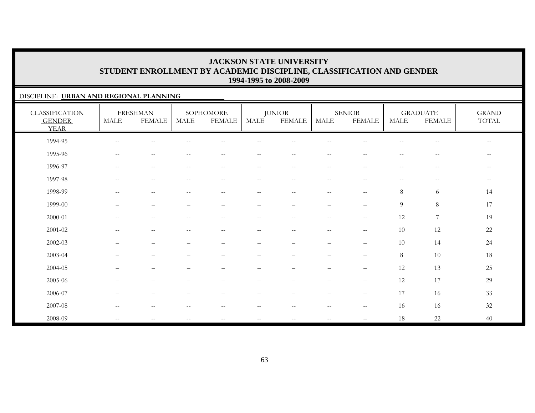#### DISCIPLINE: **URBAN AND REGIONAL PLANNING**

| <b>CLASSIFICATION</b><br><b>GENDER</b><br><b>YEAR</b> | MALE                     | <b>FRESHMAN</b><br><b>FEMALE</b>                      | MALE                                                | SOPHOMORE<br><b>FEMALE</b>                            | <b>MALE</b>              | <b>JUNIOR</b><br><b>FEMALE</b>                | MALE                     | <b>SENIOR</b><br><b>FEMALE</b>                        | <b>MALE</b>              | <b>GRADUATE</b><br><b>FEMALE</b>                      | <b>GRAND</b><br>$\operatorname{TOTAL}$ |
|-------------------------------------------------------|--------------------------|-------------------------------------------------------|-----------------------------------------------------|-------------------------------------------------------|--------------------------|-----------------------------------------------|--------------------------|-------------------------------------------------------|--------------------------|-------------------------------------------------------|----------------------------------------|
| 1994-95                                               | $\qquad \qquad -$        |                                                       |                                                     |                                                       |                          |                                               |                          |                                                       |                          | $- -$                                                 | $\qquad \qquad -$                      |
| 1995-96                                               | $--$                     | $\mathrel{{-}{-}}$                                    | $\overline{\phantom{m}}$                            | $\hspace{0.05cm} - \hspace{0.05cm} - \hspace{0.05cm}$ | $\overline{\phantom{m}}$ | $--$                                          | $--$                     | $\hspace{0.05cm} - \hspace{0.05cm} - \hspace{0.05cm}$ | $\overline{\phantom{m}}$ | $\hspace{0.05cm} - \hspace{0.05cm} - \hspace{0.05cm}$ | $- -$                                  |
| 1996-97                                               | $\overline{\phantom{a}}$ | $\mathrel{{-}{-}}$                                    | $\hspace{0.05cm} -\hspace{0.05cm} -\hspace{0.05cm}$ | $\hspace{0.05cm} -\hspace{0.05cm} -\hspace{0.05cm}$   | $--$                     | $--$                                          | $--$                     | $\hspace{0.05cm} -$                                   | $\overline{\phantom{m}}$ | $\overline{\phantom{m}}$                              | $- -$                                  |
| 1997-98                                               | $-\,-$                   | $-\,-$                                                | $\overline{\phantom{m}}$                            | $-\,-$                                                | $\overline{\phantom{m}}$ | $-\,-$                                        | $\overline{\phantom{m}}$ | $-\,-$                                                | $\overline{\phantom{m}}$ | $\overline{\phantom{m}}$                              | $--$                                   |
| 1998-99                                               | $-$                      | $-$                                                   |                                                     | $-$                                                   | $\overline{\phantom{m}}$ | $-$                                           | $-$                      | $\hspace{0.05cm}$ – $\hspace{0.05cm}$                 | 8                        | 6                                                     | 14                                     |
| 1999-00                                               |                          | $\overline{\phantom{0}}$                              |                                                     |                                                       | -                        |                                               | $\equiv$                 |                                                       | 9                        | $\,8\,$                                               | 17                                     |
| 2000-01                                               | $\overline{\phantom{a}}$ | $\hspace{0.05cm} -\hspace{0.05cm} -\hspace{0.05cm}$   | $\hspace{0.05cm} -\hspace{0.05cm} -\hspace{0.05cm}$ | $\hspace{0.05cm} -\hspace{0.05cm} -\hspace{0.05cm}$   | $\overline{\phantom{m}}$ | $--$                                          | $\overline{\phantom{m}}$ | $\mathbf{u}$                                          | 12                       | $\overline{7}$                                        | 19                                     |
| $2001 - 02$                                           | $\overline{\phantom{a}}$ | $\sim$ $-$                                            |                                                     | $-$                                                   | $\overline{\phantom{a}}$ | $-$                                           | $\sim$ $-$               | $\sim$ $\sim$                                         | 10                       | 12                                                    | $22\,$                                 |
| $2002 - 03$                                           |                          | $\overline{\phantom{0}}$                              |                                                     |                                                       | -                        |                                               | $\overline{\phantom{0}}$ | $\qquad \qquad -$                                     | 10                       | 14                                                    | 24                                     |
| 2003-04                                               |                          |                                                       |                                                     |                                                       |                          |                                               |                          | $\overline{\phantom{m}}$                              | 8                        | 10                                                    | 18                                     |
| 2004-05                                               |                          | $\overline{\phantom{0}}$                              |                                                     |                                                       |                          |                                               | $\qquad \qquad -$        | $\qquad \qquad -$                                     | 12                       | 13                                                    | 25                                     |
| 2005-06                                               |                          | $\overline{\phantom{0}}$                              |                                                     |                                                       |                          |                                               | $\qquad \qquad -$        | $\qquad \qquad -$                                     | 12                       | 17                                                    | 29                                     |
| 2006-07                                               |                          | $\overline{\phantom{0}}$                              |                                                     |                                                       | -                        | $\overline{\phantom{0}}$                      | $\overline{\phantom{0}}$ | $\qquad \qquad -$                                     | 17                       | 16                                                    | 33                                     |
| 2007-08                                               | $\overline{\phantom{m}}$ | $\hspace{0.05cm} - \hspace{0.05cm} - \hspace{0.05cm}$ | $-$                                                 | $\hspace{0.05cm} - \hspace{0.05cm} - \hspace{0.05cm}$ | $--$                     | $\mathord{\hspace{1pt}\text{--}\hspace{1pt}}$ | $\sim$ $-$               | $\overline{\phantom{m}}$                              | 16                       | 16                                                    | $32\,$                                 |
| 2008-09                                               | $-$                      |                                                       |                                                     | $\qquad \qquad -$                                     | $-\,-$                   | $- -$                                         |                          |                                                       | 18                       | $22\,$                                                | 40                                     |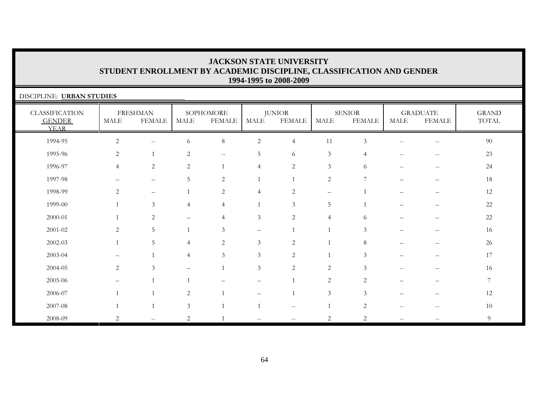| DISCIPLINE: URBAN STUDIES                             |                |                                  |                |                                                     |                   |                         |                |                                |                          |                                  |                       |
|-------------------------------------------------------|----------------|----------------------------------|----------------|-----------------------------------------------------|-------------------|-------------------------|----------------|--------------------------------|--------------------------|----------------------------------|-----------------------|
| <b>CLASSIFICATION</b><br><b>GENDER</b><br><b>YEAR</b> | <b>MALE</b>    | <b>FRESHMAN</b><br><b>FEMALE</b> | <b>MALE</b>    | SOPHOMORE<br><b>FEMALE</b>                          | <b>MALE</b>       | <b>JUNIOR</b><br>FEMALE | <b>MALE</b>    | <b>SENIOR</b><br><b>FEMALE</b> | <b>MALE</b>              | <b>GRADUATE</b><br><b>FEMALE</b> | <b>GRAND</b><br>TOTAL |
| 1994-95                                               | $\overline{2}$ | $\mathbf{u}$                     | 6              | $\,8\,$                                             | $\overline{c}$    | $\overline{4}$          | 11             | 3                              | $-$                      | $- -$                            | 90                    |
| 1995-96                                               | 2              |                                  | 2              | $\hspace{0.05cm} -\hspace{0.05cm} -\hspace{0.05cm}$ | 5                 | 6                       | $\mathfrak{Z}$ | 4                              | $-$                      | $\qquad \qquad -$                | 23                    |
| 1996-97                                               | $\overline{4}$ | $\overline{c}$                   | $\overline{c}$ |                                                     | $\overline{4}$    | $\overline{2}$          | 3              | 6                              | $-$                      | $\qquad \qquad -$                | 24                    |
| 1997-98                                               |                | $\overline{\phantom{0}}$         | 5              | 2                                                   |                   |                         | $\sqrt{2}$     | 7                              |                          | $\overline{\phantom{0}}$         | 18                    |
| 1998-99                                               | 2              |                                  |                | 2                                                   | $\overline{4}$    | 2                       | -              |                                |                          |                                  | 12                    |
| 1999-00                                               |                | $\mathfrak{Z}$                   | $\overline{4}$ | $\overline{4}$                                      |                   | $\mathfrak{Z}$          | 5              |                                |                          |                                  | 22                    |
| 2000-01                                               |                | 2                                |                | $\overline{4}$                                      | 3                 | 2                       | $\overline{4}$ | 6                              |                          |                                  | $22\,$                |
| 2001-02                                               | 2              | 5                                |                | 3                                                   | $\qquad \qquad -$ |                         | $\overline{1}$ | 3                              |                          |                                  | 16                    |
| 2002-03                                               |                | 5                                | 4              | 2                                                   | 3                 | 2                       |                | 8                              |                          |                                  | 26                    |
| 2003-04                                               |                |                                  | 4              | 3                                                   | $\mathfrak{Z}$    | 2                       |                | 3                              |                          |                                  | 17                    |
| 2004-05                                               | 2              | 3                                |                |                                                     | $\mathfrak{Z}$    | 2                       | $\overline{2}$ | 3                              |                          |                                  | 16                    |
| 2005-06                                               |                |                                  |                |                                                     |                   |                         | $\overline{2}$ | 2                              |                          |                                  | $7\phantom{.}$        |
| 2006-07                                               |                |                                  | 2              |                                                     |                   |                         | $\mathfrak{Z}$ | 3                              |                          |                                  | 12                    |
| 2007-08                                               |                |                                  | 3              |                                                     |                   | $- -$                   |                | 2                              | $-$                      | --                               | 10                    |
| 2008-09                                               | 2              | $\mathbf{u}$                     | 2              |                                                     |                   | $- -$                   | 2              | 2                              | $\overline{\phantom{a}}$ | $- -$                            | 9                     |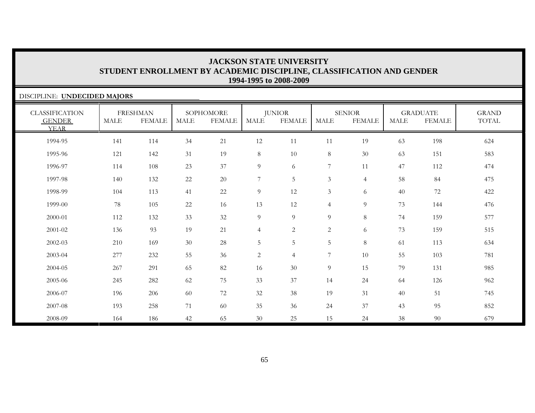| DISCIPLINE: UNDECIDED MAJORS                          |      |                                  |      |                            |                       |                                |                |                                |             |                                  |                       |
|-------------------------------------------------------|------|----------------------------------|------|----------------------------|-----------------------|--------------------------------|----------------|--------------------------------|-------------|----------------------------------|-----------------------|
| <b>CLASSIFICATION</b><br><b>GENDER</b><br><b>YEAR</b> | MALE | <b>FRESHMAN</b><br><b>FEMALE</b> | MALE | SOPHOMORE<br><b>FEMALE</b> | $\operatorname{MALE}$ | <b>JUNIOR</b><br><b>FEMALE</b> | <b>MALE</b>    | <b>SENIOR</b><br><b>FEMALE</b> | <b>MALE</b> | <b>GRADUATE</b><br><b>FEMALE</b> | <b>GRAND</b><br>TOTAL |
| 1994-95                                               | 141  | 114                              | 34   | 21                         | 12                    | 11                             | 11             | 19                             | 63          | 198                              | 624                   |
| 1995-96                                               | 121  | 142                              | 31   | 19                         | 8                     | 10                             | $\,8\,$        | $30\,$                         | 63          | 151                              | 583                   |
| 1996-97                                               | 114  | 108                              | 23   | 37                         | $\overline{9}$        | 6                              | 7              | 11                             | 47          | 112                              | 474                   |
| 1997-98                                               | 140  | 132                              | 22   | 20                         | $\sqrt{ }$            | 5                              | $\mathfrak{Z}$ | $\overline{4}$                 | 58          | 84                               | 475                   |
| 1998-99                                               | 104  | 113                              | 41   | 22                         | $\overline{9}$        | 12                             | $\mathfrak{Z}$ | 6                              | 40          | 72                               | 422                   |
| 1999-00                                               | 78   | 105                              | 22   | 16                         | 13                    | 12                             | $\overline{4}$ | 9                              | 73          | 144                              | 476                   |
| 2000-01                                               | 112  | 132                              | 33   | 32                         | $\overline{9}$        | 9                              | 9              | 8                              | 74          | 159                              | 577                   |
| 2001-02                                               | 136  | 93                               | 19   | 21                         | $\overline{4}$        | $\overline{2}$                 | $\overline{c}$ | 6                              | 73          | 159                              | 515                   |
| 2002-03                                               | 210  | 169                              | 30   | 28                         | $\overline{5}$        | 5                              | 5              | 8                              | 61          | 113                              | 634                   |
| 2003-04                                               | 277  | 232                              | 55   | 36                         | $\overline{c}$        | $\overline{4}$                 | $\overline{7}$ | 10                             | 55          | 103                              | 781                   |
| 2004-05                                               | 267  | 291                              | 65   | 82                         | 16                    | 30                             | 9              | 15                             | 79          | 131                              | 985                   |
| 2005-06                                               | 245  | 282                              | 62   | 75                         | 33                    | 37                             | 14             | 24                             | 64          | 126                              | 962                   |
| 2006-07                                               | 196  | 206                              | 60   | 72                         | 32                    | 38                             | 19             | 31                             | 40          | 51                               | 745                   |
| 2007-08                                               | 193  | 258                              | 71   | 60                         | 35                    | 36                             | 24             | 37                             | 43          | 95                               | 852                   |
| 2008-09                                               | 164  | 186                              | 42   | 65                         | 30                    | 25                             | 15             | 24                             | 38          | 90                               | 679                   |